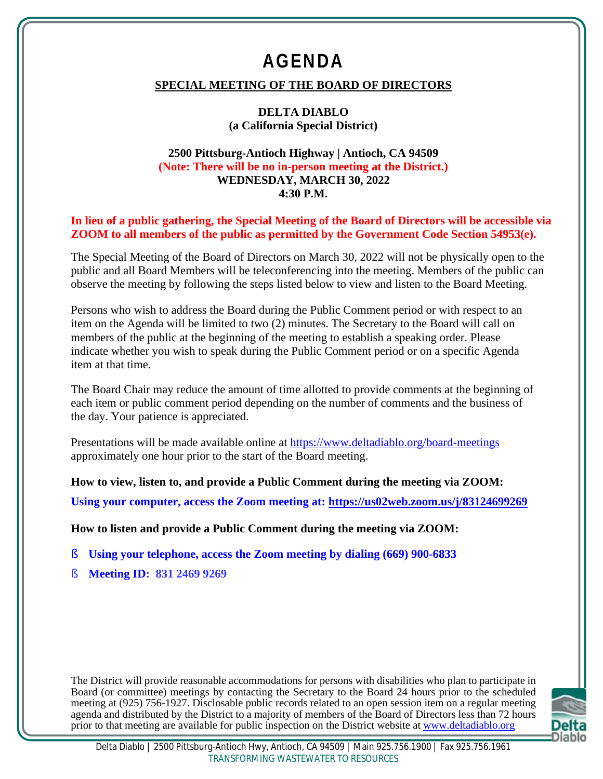# **AGENDA**

# **SPECIAL MEETING OF THE BOARD OF DIRECTORS**

#### **DELTA DIABLO (a California Special District)**

#### **2500 Pittsburg-Antioch Highway | Antioch, CA 94509 (Note: There will be no in-person meeting at the District.) WEDNESDAY, MARCH 30, 2022 4:30 P.M.**

**In lieu of a public gathering, the Special Meeting of the Board of Directors will be accessible via ZOOM to all members of the public as permitted by the Government Code Section 54953(e).**

The Special Meeting of the Board of Directors on March 30, 2022 will not be physically open to the public and all Board Members will be teleconferencing into the meeting. Members of the public can observe the meeting by following the steps listed below to view and listen to the Board Meeting.

Persons who wish to address the Board during the Public Comment period or with respect to an item on the Agenda will be limited to two (2) minutes. The Secretary to the Board will call on members of the public at the beginning of the meeting to establish a speaking order. Please indicate whether you wish to speak during the Public Comment period or on a specific Agenda item at that time.

The Board Chair may reduce the amount of time allotted to provide comments at the beginning of each item or public comment period depending on the number of comments and the business of the day. Your patience is appreciated.

Presentations will be made available online at https://www.deltadiablo.org/board-meetings approximately one hour prior to the start of the Board meeting.

**How to view, listen to, and provide a Public Comment during the meeting via ZOOM: Using your computer, access the Zoom meeting at: https://us02web.zoom.us/j/83124699269**

**How to listen and provide a Public Comment during the meeting via ZOOM:**

- § **Using your telephone, access the Zoom meeting by dialing (669) 900-6833**
- § **Meeting ID: 831 2469 9269**

The District will provide reasonable accommodations for persons with disabilities who plan to participate in Board (or committee) meetings by contacting the Secretary to the Board 24 hours prior to the scheduled meeting at (925) 756-1927. Disclosable public records related to an open session item on a regular meeting agenda and distributed by the District to a majority of members of the Board of Directors less than 72 hours prior to that meeting are available for public inspection on the District website at www.deltadiablo.org

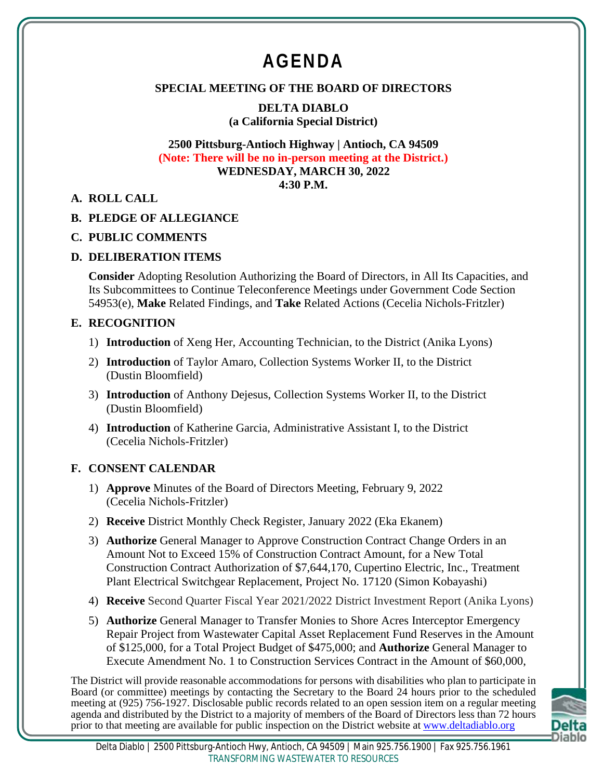# **AGENDA**

# **SPECIAL MEETING OF THE BOARD OF DIRECTORS**

**DELTA DIABLO (a California Special District)**

#### **2500 Pittsburg-Antioch Highway | Antioch, CA 94509 (Note: There will be no in-person meeting at the District.) WEDNESDAY, MARCH 30, 2022 4:30 P.M.**

**A. ROLL CALL**

#### **B. PLEDGE OF ALLEGIANCE**

#### **C. PUBLIC COMMENTS**

#### **D. DELIBERATION ITEMS**

**Consider** Adopting Resolution Authorizing the Board of Directors, in All Its Capacities, and Its Subcommittees to Continue Teleconference Meetings under Government Code Section 54953(e), **Make** Related Findings, and **Take** Related Actions (Cecelia Nichols-Fritzler)

#### **E. RECOGNITION**

- 1) **Introduction** of Xeng Her, Accounting Technician, to the District (Anika Lyons)
- 2) **Introduction** of Taylor Amaro, Collection Systems Worker II, to the District (Dustin Bloomfield)
- 3) **Introduction** of Anthony Dejesus, Collection Systems Worker II, to the District (Dustin Bloomfield)
- 4) **Introduction** of Katherine Garcia, Administrative Assistant I, to the District (Cecelia Nichols-Fritzler)

# **F. CONSENT CALENDAR**

- 1) **Approve** Minutes of the Board of Directors Meeting, February 9, 2022 (Cecelia Nichols-Fritzler)
- 2) **Receive** District Monthly Check Register, January 2022 (Eka Ekanem)
- 3) **Authorize** General Manager to Approve Construction Contract Change Orders in an Amount Not to Exceed 15% of Construction Contract Amount, for a New Total Construction Contract Authorization of \$7,644,170, Cupertino Electric, Inc., Treatment Plant Electrical Switchgear Replacement, Project No. 17120 (Simon Kobayashi)
- 4) **Receive** Second Quarter Fiscal Year 2021/2022 District Investment Report (Anika Lyons)
- 5) **Authorize** General Manager to Transfer Monies to Shore Acres Interceptor Emergency Repair Project from Wastewater Capital Asset Replacement Fund Reserves in the Amount of \$125,000, for a Total Project Budget of \$475,000; and **Authorize** General Manager to Execute Amendment No. 1 to Construction Services Contract in the Amount of \$60,000,

The District will provide reasonable accommodations for persons with disabilities who plan to participate in Board (or committee) meetings by contacting the Secretary to the Board 24 hours prior to the scheduled meeting at (925) 756-1927. Disclosable public records related to an open session item on a regular meeting agenda and distributed by the District to a majority of members of the Board of Directors less than 72 hours prior to that meeting are available for public inspection on the District website at www.deltadiablo.org

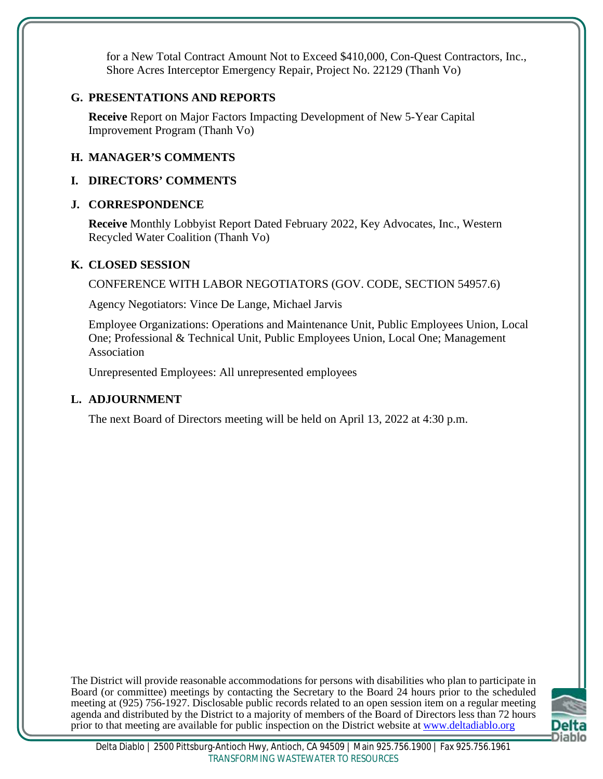for a New Total Contract Amount Not to Exceed \$410,000, Con-Quest Contractors, Inc., Shore Acres Interceptor Emergency Repair, Project No. 22129 (Thanh Vo)

# **G. PRESENTATIONS AND REPORTS**

**Receive** Report on Major Factors Impacting Development of New 5-Year Capital Improvement Program (Thanh Vo)

# **H. MANAGER'S COMMENTS**

# **I. DIRECTORS' COMMENTS**

# **J. CORRESPONDENCE**

**Receive** Monthly Lobbyist Report Dated February 2022, Key Advocates, Inc., Western Recycled Water Coalition (Thanh Vo)

# **K. CLOSED SESSION**

CONFERENCE WITH LABOR NEGOTIATORS (GOV. CODE, SECTION 54957.6)

Agency Negotiators: Vince De Lange, Michael Jarvis

Employee Organizations: Operations and Maintenance Unit, Public Employees Union, Local One; Professional & Technical Unit, Public Employees Union, Local One; Management Association

Unrepresented Employees: All unrepresented employees

# **L. ADJOURNMENT**

The next Board of Directors meeting will be held on April 13, 2022 at 4:30 p.m.

The District will provide reasonable accommodations for persons with disabilities who plan to participate in Board (or committee) meetings by contacting the Secretary to the Board 24 hours prior to the scheduled meeting at (925) 756-1927. Disclosable public records related to an open session item on a regular meeting agenda and distributed by the District to a majority of members of the Board of Directors less than 72 hours prior to that meeting are available for public inspection on the District website at www.deltadiablo.org

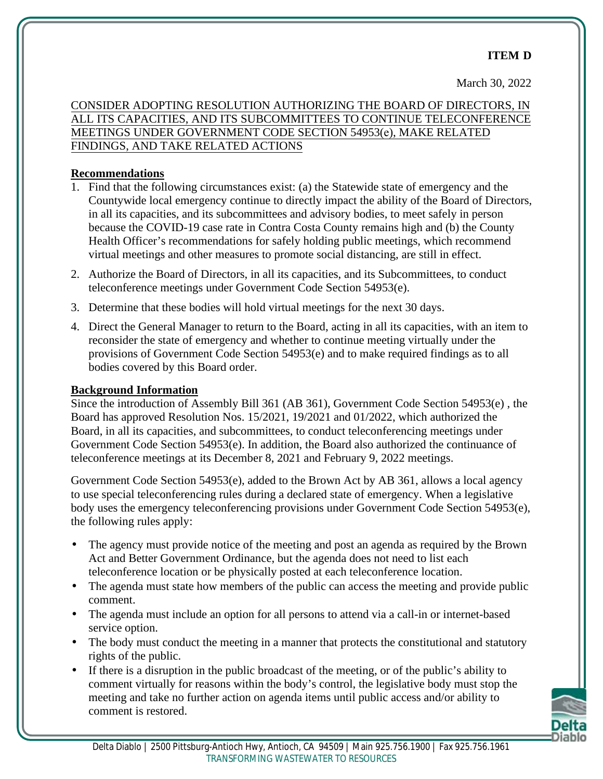# **ITEM D**

March 30, 2022

CONSIDER ADOPTING RESOLUTION AUTHORIZING THE BOARD OF DIRECTORS, IN ALL ITS CAPACITIES, AND ITS SUBCOMMITTEES TO CONTINUE TELECONFERENCE MEETINGS UNDER GOVERNMENT CODE SECTION 54953(e), MAKE RELATED FINDINGS, AND TAKE RELATED ACTIONS

## **Recommendations**

- 1. Find that the following circumstances exist: (a) the Statewide state of emergency and the Countywide local emergency continue to directly impact the ability of the Board of Directors, in all its capacities, and its subcommittees and advisory bodies, to meet safely in person because the COVID-19 case rate in Contra Costa County remains high and (b) the County Health Officer's recommendations for safely holding public meetings, which recommend virtual meetings and other measures to promote social distancing, are still in effect.
- 2. Authorize the Board of Directors, in all its capacities, and its Subcommittees, to conduct teleconference meetings under Government Code Section 54953(e).
- 3. Determine that these bodies will hold virtual meetings for the next 30 days.
- 4. Direct the General Manager to return to the Board, acting in all its capacities, with an item to reconsider the state of emergency and whether to continue meeting virtually under the provisions of Government Code Section 54953(e) and to make required findings as to all bodies covered by this Board order.

## **Background Information**

Since the introduction of Assembly Bill 361 (AB 361), Government Code Section 54953(e) , the Board has approved Resolution Nos. 15/2021, 19/2021 and 01/2022, which authorized the Board, in all its capacities, and subcommittees, to conduct teleconferencing meetings under Government Code Section 54953(e). In addition, the Board also authorized the continuance of teleconference meetings at its December 8, 2021 and February 9, 2022 meetings.

Government Code Section 54953(e), added to the Brown Act by AB 361, allows a local agency to use special teleconferencing rules during a declared state of emergency. When a legislative body uses the emergency teleconferencing provisions under Government Code Section 54953(e), the following rules apply:

- The agency must provide notice of the meeting and post an agenda as required by the Brown Act and Better Government Ordinance, but the agenda does not need to list each teleconference location or be physically posted at each teleconference location.
- The agenda must state how members of the public can access the meeting and provide public comment.
- The agenda must include an option for all persons to attend via a call-in or internet-based service option.
- The body must conduct the meeting in a manner that protects the constitutional and statutory rights of the public.
- If there is a disruption in the public broadcast of the meeting, or of the public's ability to comment virtually for reasons within the body's control, the legislative body must stop the meeting and take no further action on agenda items until public access and/or ability to comment is restored.

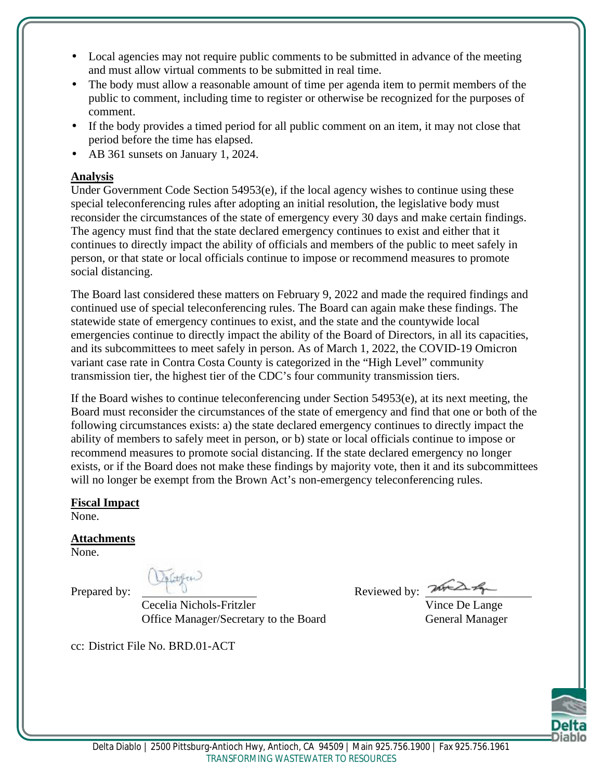- Local agencies may not require public comments to be submitted in advance of the meeting and must allow virtual comments to be submitted in real time.
- The body must allow a reasonable amount of time per agenda item to permit members of the public to comment, including time to register or otherwise be recognized for the purposes of comment.
- If the body provides a timed period for all public comment on an item, it may not close that period before the time has elapsed.
- AB 361 sunsets on January 1, 2024.

# **Analysis**

Under Government Code Section 54953(e), if the local agency wishes to continue using these special teleconferencing rules after adopting an initial resolution, the legislative body must reconsider the circumstances of the state of emergency every 30 days and make certain findings. The agency must find that the state declared emergency continues to exist and either that it continues to directly impact the ability of officials and members of the public to meet safely in person, or that state or local officials continue to impose or recommend measures to promote social distancing.

The Board last considered these matters on February 9, 2022 and made the required findings and continued use of special teleconferencing rules. The Board can again make these findings. The statewide state of emergency continues to exist, and the state and the countywide local emergencies continue to directly impact the ability of the Board of Directors, in all its capacities, and its subcommittees to meet safely in person. As of March 1, 2022, the COVID-19 Omicron variant case rate in Contra Costa County is categorized in the "High Level" community transmission tier, the highest tier of the CDC's four community transmission tiers.

If the Board wishes to continue teleconferencing under Section 54953(e), at its next meeting, the Board must reconsider the circumstances of the state of emergency and find that one or both of the following circumstances exists: a) the state declared emergency continues to directly impact the ability of members to safely meet in person, or b) state or local officials continue to impose or recommend measures to promote social distancing. If the state declared emergency no longer exists, or if the Board does not make these findings by majority vote, then it and its subcommittees will no longer be exempt from the Brown Act's non-emergency teleconferencing rules.

**Fiscal Impact**

None.

# **Attachments**

None.

cc: District File No. BRD.01-ACT

Cecelia Nichols-Fritzler Vince De Lange Office Manager/Secretary to the Board General Manager

Prepared by:  $\mathbb{R}^n$  Reviewed by:  $\mathbb{R}^n$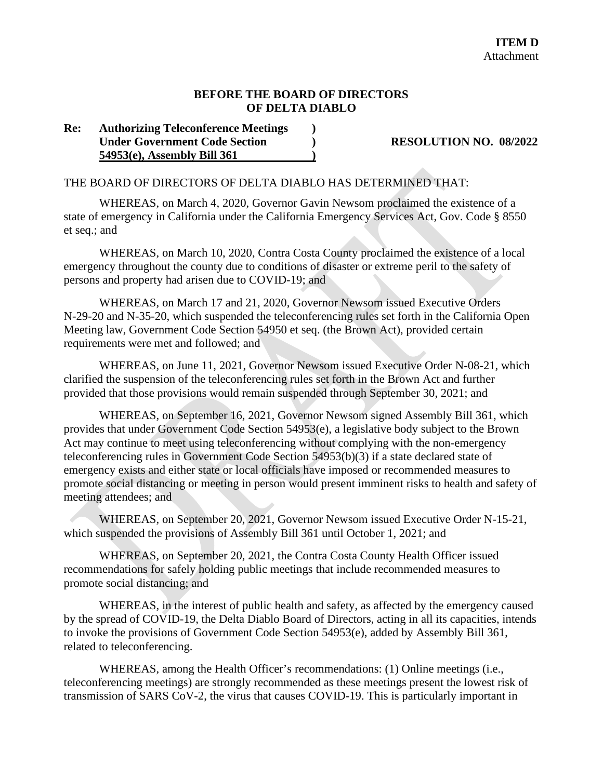#### **BEFORE THE BOARD OF DIRECTORS OF DELTA DIABLO**

#### **Re: Authorizing Teleconference Meetings ) Under Government Code Section ) RESOLUTION NO. 08/2022 54953(e), Assembly Bill 361 )**

#### THE BOARD OF DIRECTORS OF DELTA DIABLO HAS DETERMINED THAT:

WHEREAS, on March 4, 2020, Governor Gavin Newsom proclaimed the existence of a state of emergency in California under the California Emergency Services Act, Gov. Code § 8550 et seq.; and

WHEREAS, on March 10, 2020, Contra Costa County proclaimed the existence of a local emergency throughout the county due to conditions of disaster or extreme peril to the safety of persons and property had arisen due to COVID-19; and

WHEREAS, on March 17 and 21, 2020, Governor Newsom issued Executive Orders N-29-20 and N-35-20, which suspended the teleconferencing rules set forth in the California Open Meeting law, Government Code Section 54950 et seq. (the Brown Act), provided certain requirements were met and followed; and

WHEREAS, on June 11, 2021, Governor Newsom issued Executive Order N-08-21, which clarified the suspension of the teleconferencing rules set forth in the Brown Act and further provided that those provisions would remain suspended through September 30, 2021; and

WHEREAS, on September 16, 2021, Governor Newsom signed Assembly Bill 361, which provides that under Government Code Section 54953(e), a legislative body subject to the Brown Act may continue to meet using teleconferencing without complying with the non-emergency teleconferencing rules in Government Code Section 54953(b)(3) if a state declared state of emergency exists and either state or local officials have imposed or recommended measures to promote social distancing or meeting in person would present imminent risks to health and safety of meeting attendees; and

WHEREAS, on September 20, 2021, Governor Newsom issued Executive Order N-15-21, which suspended the provisions of Assembly Bill 361 until October 1, 2021; and

WHEREAS, on September 20, 2021, the Contra Costa County Health Officer issued recommendations for safely holding public meetings that include recommended measures to promote social distancing; and

WHEREAS, in the interest of public health and safety, as affected by the emergency caused by the spread of COVID-19, the Delta Diablo Board of Directors, acting in all its capacities, intends to invoke the provisions of Government Code Section 54953(e), added by Assembly Bill 361, related to teleconferencing.

WHEREAS, among the Health Officer's recommendations: (1) Online meetings (i.e., teleconferencing meetings) are strongly recommended as these meetings present the lowest risk of transmission of SARS CoV-2, the virus that causes COVID-19. This is particularly important in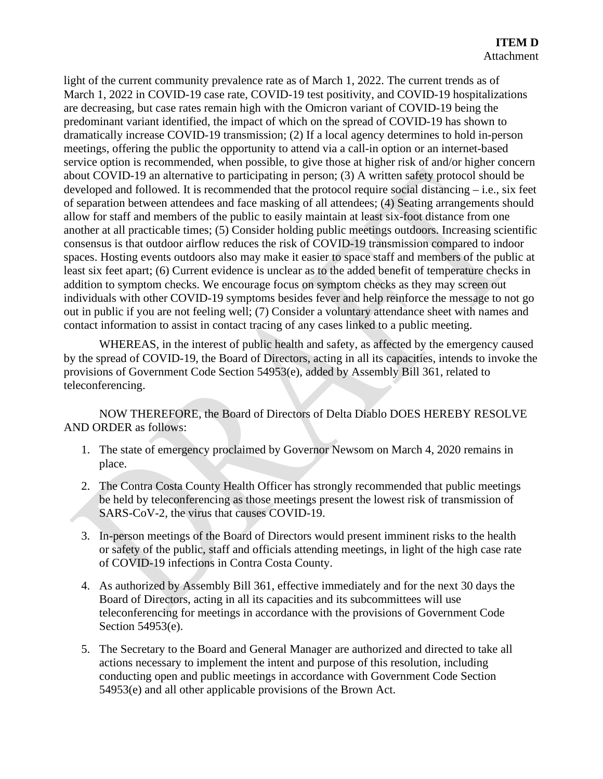light of the current community prevalence rate as of March 1, 2022. The current trends as of March 1, 2022 in COVID-19 case rate, COVID-19 test positivity, and COVID-19 hospitalizations are decreasing, but case rates remain high with the Omicron variant of COVID-19 being the predominant variant identified, the impact of which on the spread of COVID-19 has shown to dramatically increase COVID-19 transmission; (2) If a local agency determines to hold in-person meetings, offering the public the opportunity to attend via a call-in option or an internet-based service option is recommended, when possible, to give those at higher risk of and/or higher concern about COVID-19 an alternative to participating in person; (3) A written safety protocol should be developed and followed. It is recommended that the protocol require social distancing – i.e., six feet of separation between attendees and face masking of all attendees; (4) Seating arrangements should allow for staff and members of the public to easily maintain at least six-foot distance from one another at all practicable times; (5) Consider holding public meetings outdoors. Increasing scientific consensus is that outdoor airflow reduces the risk of COVID-19 transmission compared to indoor spaces. Hosting events outdoors also may make it easier to space staff and members of the public at least six feet apart; (6) Current evidence is unclear as to the added benefit of temperature checks in addition to symptom checks. We encourage focus on symptom checks as they may screen out individuals with other COVID-19 symptoms besides fever and help reinforce the message to not go out in public if you are not feeling well; (7) Consider a voluntary attendance sheet with names and contact information to assist in contact tracing of any cases linked to a public meeting.

WHEREAS, in the interest of public health and safety, as affected by the emergency caused by the spread of COVID-19, the Board of Directors, acting in all its capacities, intends to invoke the provisions of Government Code Section 54953(e), added by Assembly Bill 361, related to teleconferencing.

NOW THEREFORE, the Board of Directors of Delta Diablo DOES HEREBY RESOLVE AND ORDER as follows:

- 1. The state of emergency proclaimed by Governor Newsom on March 4, 2020 remains in place.
- 2. The Contra Costa County Health Officer has strongly recommended that public meetings be held by teleconferencing as those meetings present the lowest risk of transmission of SARS-CoV-2, the virus that causes COVID-19.
- 3. In-person meetings of the Board of Directors would present imminent risks to the health or safety of the public, staff and officials attending meetings, in light of the high case rate of COVID-19 infections in Contra Costa County.
- 4. As authorized by Assembly Bill 361, effective immediately and for the next 30 days the Board of Directors, acting in all its capacities and its subcommittees will use teleconferencing for meetings in accordance with the provisions of Government Code Section 54953(e).
- 5. The Secretary to the Board and General Manager are authorized and directed to take all actions necessary to implement the intent and purpose of this resolution, including conducting open and public meetings in accordance with Government Code Section 54953(e) and all other applicable provisions of the Brown Act.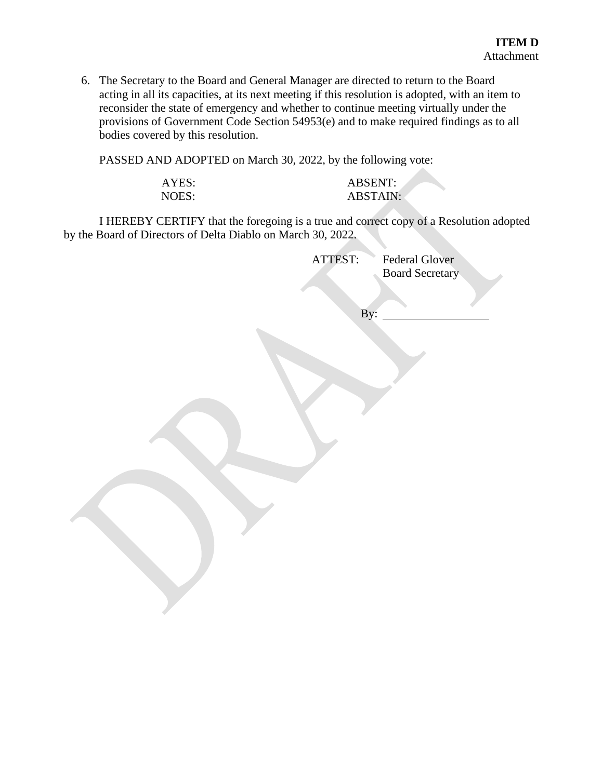6. The Secretary to the Board and General Manager are directed to return to the Board acting in all its capacities, at its next meeting if this resolution is adopted, with an item to reconsider the state of emergency and whether to continue meeting virtually under the provisions of Government Code Section 54953(e) and to make required findings as to all bodies covered by this resolution.

PASSED AND ADOPTED on March 30, 2022, by the following vote:

| \ Y F.<br>╰<br>д |  |
|------------------|--|
| Ή.<br>NO 11      |  |

| AYES: | <b>ABSENT:</b>  |
|-------|-----------------|
| NOES: | <b>ABSTAIN:</b> |

I HEREBY CERTIFY that the foregoing is a true and correct copy of a Resolution adopted by the Board of Directors of Delta Diablo on March 30, 2022.

| ATTEST: | Federal Glover<br><b>Board Secretary</b> |  |
|---------|------------------------------------------|--|
| By:     |                                          |  |
|         |                                          |  |
|         |                                          |  |
|         |                                          |  |
|         |                                          |  |
|         |                                          |  |
|         |                                          |  |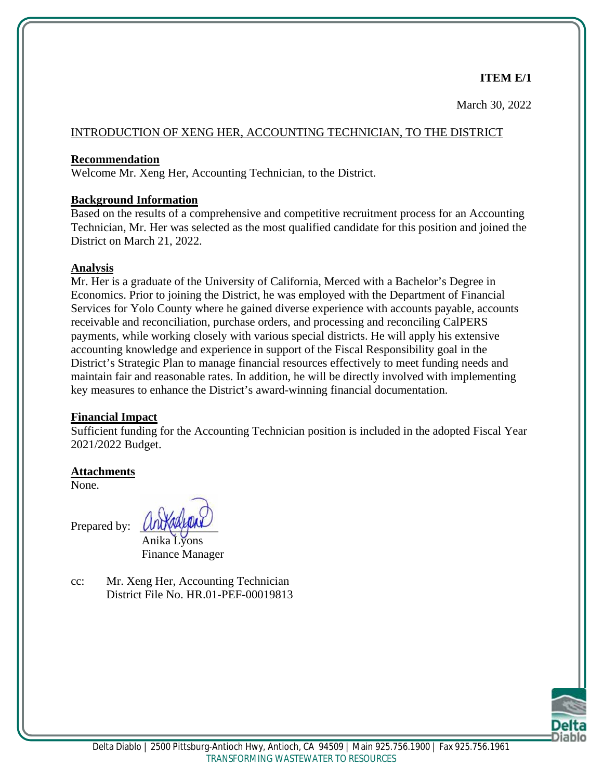March 30, 2022

#### INTRODUCTION OF XENG HER, ACCOUNTING TECHNICIAN, TO THE DISTRICT

#### **Recommendation**

Welcome Mr. Xeng Her, Accounting Technician, to the District.

#### **Background Information**

Based on the results of a comprehensive and competitive recruitment process for an Accounting Technician, Mr. Her was selected as the most qualified candidate for this position and joined the District on March 21, 2022.

#### **Analysis**

Mr. Her is a graduate of the University of California, Merced with a Bachelor's Degree in Economics. Prior to joining the District, he was employed with the Department of Financial Services for Yolo County where he gained diverse experience with accounts payable, accounts receivable and reconciliation, purchase orders, and processing and reconciling CalPERS payments, while working closely with various special districts. He will apply his extensive accounting knowledge and experience in support of the Fiscal Responsibility goal in the District's Strategic Plan to manage financial resources effectively to meet funding needs and maintain fair and reasonable rates. In addition, he will be directly involved with implementing key measures to enhance the District's award-winning financial documentation.

#### **Financial Impact**

Sufficient funding for the Accounting Technician position is included in the adopted Fiscal Year 2021/2022 Budget.

#### **Attachments**

None.

Prepared by:

Anika Lyons Finance Manager

cc: Mr. Xeng Her, Accounting Technician District File No. HR.01-PEF-00019813

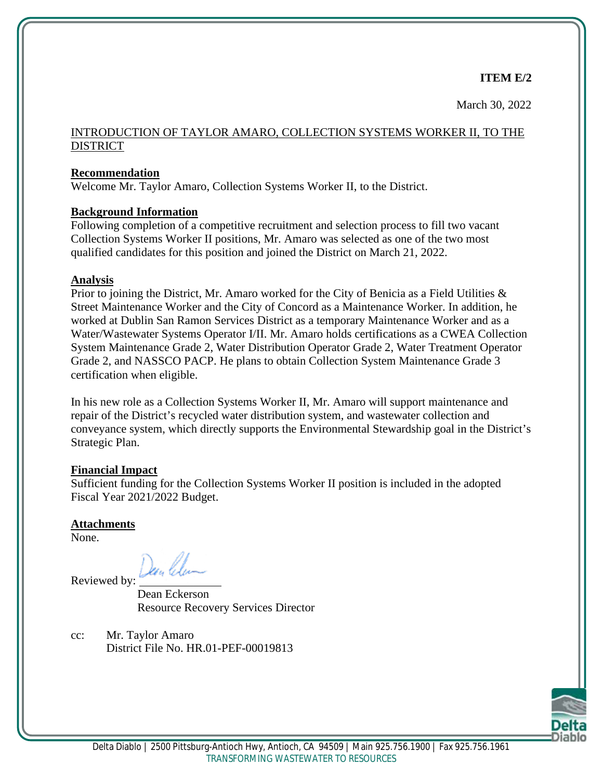March 30, 2022

#### INTRODUCTION OF TAYLOR AMARO, COLLECTION SYSTEMS WORKER II, TO THE **DISTRICT**

#### **Recommendation**

Welcome Mr. Taylor Amaro, Collection Systems Worker II, to the District.

#### **Background Information**

Following completion of a competitive recruitment and selection process to fill two vacant Collection Systems Worker II positions, Mr. Amaro was selected as one of the two most qualified candidates for this position and joined the District on March 21, 2022.

#### **Analysis**

Prior to joining the District, Mr. Amaro worked for the City of Benicia as a Field Utilities & Street Maintenance Worker and the City of Concord as a Maintenance Worker. In addition, he worked at Dublin San Ramon Services District as a temporary Maintenance Worker and as a Water/Wastewater Systems Operator I/II. Mr. Amaro holds certifications as a CWEA Collection System Maintenance Grade 2, Water Distribution Operator Grade 2, Water Treatment Operator Grade 2, and NASSCO PACP. He plans to obtain Collection System Maintenance Grade 3 certification when eligible.

In his new role as a Collection Systems Worker II, Mr. Amaro will support maintenance and repair of the District's recycled water distribution system, and wastewater collection and conveyance system, which directly supports the Environmental Stewardship goal in the District's Strategic Plan.

#### **Financial Impact**

Sufficient funding for the Collection Systems Worker II position is included in the adopted Fiscal Year 2021/2022 Budget.

#### **Attachments**

None.

Reviewed by: Dean Class

Dean Eckerson Resource Recovery Services Director

cc: Mr. Taylor Amaro District File No. HR.01-PEF-00019813

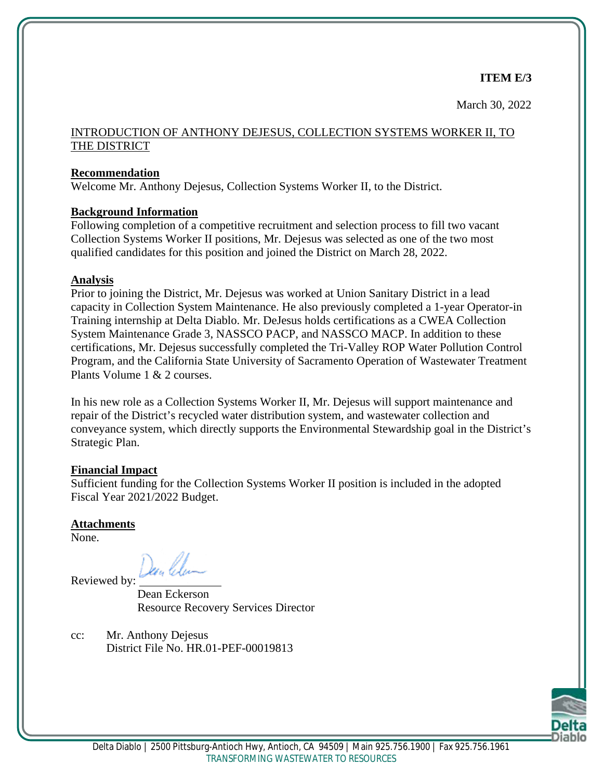March 30, 2022

#### INTRODUCTION OF ANTHONY DEJESUS, COLLECTION SYSTEMS WORKER II, TO THE DISTRICT

#### **Recommendation**

Welcome Mr. Anthony Dejesus, Collection Systems Worker II, to the District.

#### **Background Information**

Following completion of a competitive recruitment and selection process to fill two vacant Collection Systems Worker II positions, Mr. Dejesus was selected as one of the two most qualified candidates for this position and joined the District on March 28, 2022.

#### **Analysis**

Prior to joining the District, Mr. Dejesus was worked at Union Sanitary District in a lead capacity in Collection System Maintenance. He also previously completed a 1-year Operator-in Training internship at Delta Diablo. Mr. DeJesus holds certifications as a CWEA Collection System Maintenance Grade 3, NASSCO PACP, and NASSCO MACP. In addition to these certifications, Mr. Dejesus successfully completed the Tri-Valley ROP Water Pollution Control Program, and the California State University of Sacramento Operation of Wastewater Treatment Plants Volume 1 & 2 courses.

In his new role as a Collection Systems Worker II, Mr. Dejesus will support maintenance and repair of the District's recycled water distribution system, and wastewater collection and conveyance system, which directly supports the Environmental Stewardship goal in the District's Strategic Plan.

#### **Financial Impact**

Sufficient funding for the Collection Systems Worker II position is included in the adopted Fiscal Year 2021/2022 Budget.

#### **Attachments**

None.

Reviewed by: Dean Class

Dean Eckerson Resource Recovery Services Director

cc: Mr. Anthony Dejesus District File No. HR.01-PEF-00019813

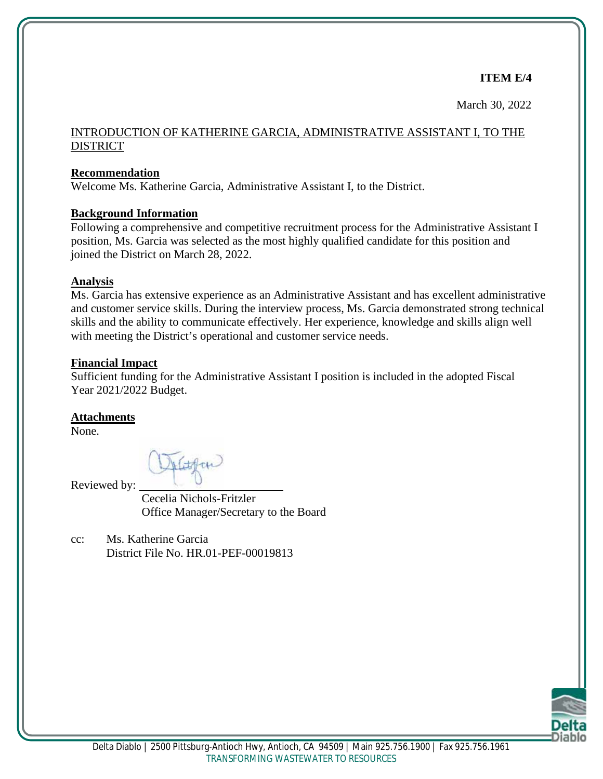March 30, 2022

## INTRODUCTION OF KATHERINE GARCIA, ADMINISTRATIVE ASSISTANT I, TO THE **DISTRICT**

## **Recommendation**

Welcome Ms. Katherine Garcia, Administrative Assistant I, to the District.

# **Background Information**

Following a comprehensive and competitive recruitment process for the Administrative Assistant I position, Ms. Garcia was selected as the most highly qualified candidate for this position and joined the District on March 28, 2022.

# **Analysis**

Ms. Garcia has extensive experience as an Administrative Assistant and has excellent administrative and customer service skills. During the interview process, Ms. Garcia demonstrated strong technical skills and the ability to communicate effectively. Her experience, knowledge and skills align well with meeting the District's operational and customer service needs.

# **Financial Impact**

Sufficient funding for the Administrative Assistant I position is included in the adopted Fiscal Year 2021/2022 Budget.

# **Attachments**

None.

Hitten

Reviewed by:

Cecelia Nichols-Fritzler Office Manager/Secretary to the Board

cc: Ms. Katherine Garcia District File No. HR.01-PEF-00019813

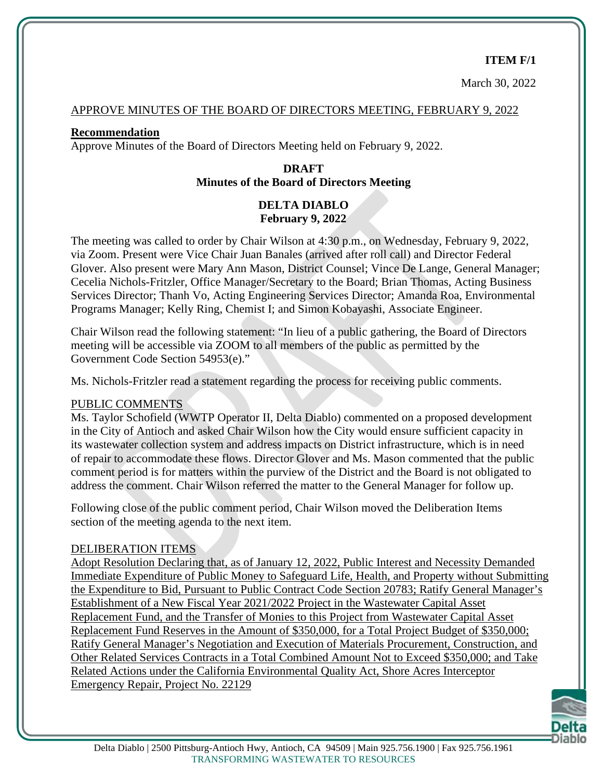#### **ITEM F/1**

March 30, 2022

#### APPROVE MINUTES OF THE BOARD OF DIRECTORS MEETING, FEBRUARY 9, 2022

#### **Recommendation**

Approve Minutes of the Board of Directors Meeting held on February 9, 2022.

## **DRAFT Minutes of the Board of Directors Meeting**

# **DELTA DIABLO February 9, 2022**

The meeting was called to order by Chair Wilson at 4:30 p.m., on Wednesday, February 9, 2022, via Zoom. Present were Vice Chair Juan Banales (arrived after roll call) and Director Federal Glover. Also present were Mary Ann Mason, District Counsel; Vince De Lange, General Manager; Cecelia Nichols-Fritzler, Office Manager/Secretary to the Board; Brian Thomas, Acting Business Services Director; Thanh Vo, Acting Engineering Services Director; Amanda Roa, Environmental Programs Manager; Kelly Ring, Chemist I; and Simon Kobayashi, Associate Engineer.

Chair Wilson read the following statement: "In lieu of a public gathering, the Board of Directors meeting will be accessible via ZOOM to all members of the public as permitted by the Government Code Section 54953(e)."

Ms. Nichols-Fritzler read a statement regarding the process for receiving public comments.

#### PUBLIC COMMENTS

Ms. Taylor Schofield (WWTP Operator II, Delta Diablo) commented on a proposed development in the City of Antioch and asked Chair Wilson how the City would ensure sufficient capacity in its wastewater collection system and address impacts on District infrastructure, which is in need of repair to accommodate these flows. Director Glover and Ms. Mason commented that the public comment period is for matters within the purview of the District and the Board is not obligated to address the comment. Chair Wilson referred the matter to the General Manager for follow up.

Following close of the public comment period, Chair Wilson moved the Deliberation Items section of the meeting agenda to the next item.

#### DELIBERATION ITEMS

Adopt Resolution Declaring that, as of January 12, 2022, Public Interest and Necessity Demanded Immediate Expenditure of Public Money to Safeguard Life, Health, and Property without Submitting the Expenditure to Bid, Pursuant to Public Contract Code Section 20783; Ratify General Manager's Establishment of a New Fiscal Year 2021/2022 Project in the Wastewater Capital Asset Replacement Fund, and the Transfer of Monies to this Project from Wastewater Capital Asset Replacement Fund Reserves in the Amount of \$350,000, for a Total Project Budget of \$350,000; Ratify General Manager's Negotiation and Execution of Materials Procurement, Construction, and Other Related Services Contracts in a Total Combined Amount Not to Exceed \$350,000; and Take Related Actions under the California Environmental Quality Act, Shore Acres Interceptor Emergency Repair, Project No. 22129

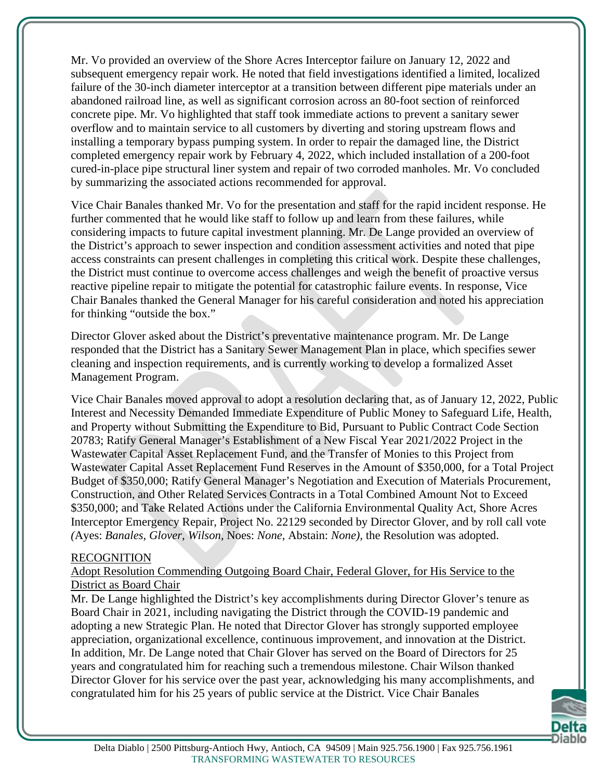Mr. Vo provided an overview of the Shore Acres Interceptor failure on January 12, 2022 and subsequent emergency repair work. He noted that field investigations identified a limited, localized failure of the 30-inch diameter interceptor at a transition between different pipe materials under an abandoned railroad line, as well as significant corrosion across an 80-foot section of reinforced concrete pipe. Mr. Vo highlighted that staff took immediate actions to prevent a sanitary sewer overflow and to maintain service to all customers by diverting and storing upstream flows and installing a temporary bypass pumping system. In order to repair the damaged line, the District completed emergency repair work by February 4, 2022, which included installation of a 200-foot cured-in-place pipe structural liner system and repair of two corroded manholes. Mr. Vo concluded by summarizing the associated actions recommended for approval.

Vice Chair Banales thanked Mr. Vo for the presentation and staff for the rapid incident response. He further commented that he would like staff to follow up and learn from these failures, while considering impacts to future capital investment planning. Mr. De Lange provided an overview of the District's approach to sewer inspection and condition assessment activities and noted that pipe access constraints can present challenges in completing this critical work. Despite these challenges, the District must continue to overcome access challenges and weigh the benefit of proactive versus reactive pipeline repair to mitigate the potential for catastrophic failure events. In response, Vice Chair Banales thanked the General Manager for his careful consideration and noted his appreciation for thinking "outside the box."

Director Glover asked about the District's preventative maintenance program. Mr. De Lange responded that the District has a Sanitary Sewer Management Plan in place, which specifies sewer cleaning and inspection requirements, and is currently working to develop a formalized Asset Management Program.

Vice Chair Banales moved approval to adopt a resolution declaring that, as of January 12, 2022, Public Interest and Necessity Demanded Immediate Expenditure of Public Money to Safeguard Life, Health, and Property without Submitting the Expenditure to Bid, Pursuant to Public Contract Code Section 20783; Ratify General Manager's Establishment of a New Fiscal Year 2021/2022 Project in the Wastewater Capital Asset Replacement Fund, and the Transfer of Monies to this Project from Wastewater Capital Asset Replacement Fund Reserves in the Amount of \$350,000, for a Total Project Budget of \$350,000; Ratify General Manager's Negotiation and Execution of Materials Procurement, Construction, and Other Related Services Contracts in a Total Combined Amount Not to Exceed \$350,000; and Take Related Actions under the California Environmental Quality Act, Shore Acres Interceptor Emergency Repair, Project No. 22129 seconded by Director Glover, and by roll call vote *(*Ayes: *Banales, Glover, Wilson,* Noes: *None,* Abstain: *None),* the Resolution was adopted.

#### RECOGNITION

#### Adopt Resolution Commending Outgoing Board Chair, Federal Glover, for His Service to the District as Board Chair

Mr. De Lange highlighted the District's key accomplishments during Director Glover's tenure as Board Chair in 2021, including navigating the District through the COVID-19 pandemic and adopting a new Strategic Plan. He noted that Director Glover has strongly supported employee appreciation, organizational excellence, continuous improvement, and innovation at the District. In addition, Mr. De Lange noted that Chair Glover has served on the Board of Directors for 25 years and congratulated him for reaching such a tremendous milestone. Chair Wilson thanked Director Glover for his service over the past year, acknowledging his many accomplishments, and congratulated him for his 25 years of public service at the District. Vice Chair Banales

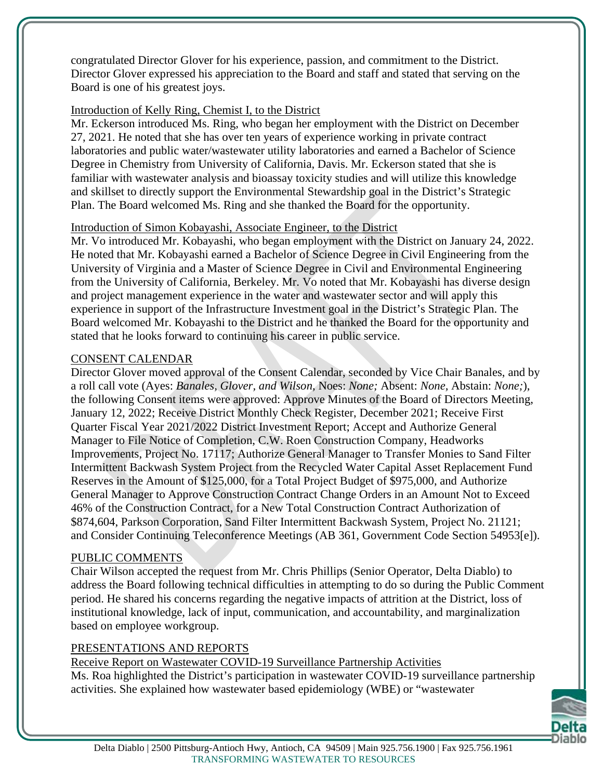congratulated Director Glover for his experience, passion, and commitment to the District. Director Glover expressed his appreciation to the Board and staff and stated that serving on the Board is one of his greatest joys.

#### Introduction of Kelly Ring, Chemist I, to the District

Mr. Eckerson introduced Ms. Ring, who began her employment with the District on December 27, 2021. He noted that she has over ten years of experience working in private contract laboratories and public water/wastewater utility laboratories and earned a Bachelor of Science Degree in Chemistry from University of California, Davis. Mr. Eckerson stated that she is familiar with wastewater analysis and bioassay toxicity studies and will utilize this knowledge and skillset to directly support the Environmental Stewardship goal in the District's Strategic Plan. The Board welcomed Ms. Ring and she thanked the Board for the opportunity.

#### Introduction of Simon Kobayashi, Associate Engineer, to the District

Mr. Vo introduced Mr. Kobayashi, who began employment with the District on January 24, 2022. He noted that Mr. Kobayashi earned a Bachelor of Science Degree in Civil Engineering from the University of Virginia and a Master of Science Degree in Civil and Environmental Engineering from the University of California, Berkeley. Mr. Vo noted that Mr. Kobayashi has diverse design and project management experience in the water and wastewater sector and will apply this experience in support of the Infrastructure Investment goal in the District's Strategic Plan. The Board welcomed Mr. Kobayashi to the District and he thanked the Board for the opportunity and stated that he looks forward to continuing his career in public service.

#### CONSENT CALENDAR

Director Glover moved approval of the Consent Calendar, seconded by Vice Chair Banales, and by a roll call vote (Ayes: *Banales, Glover, and Wilson*, Noes: *None;* Absent: *None,* Abstain: *None;*), the following Consent items were approved: Approve Minutes of the Board of Directors Meeting, January 12, 2022; Receive District Monthly Check Register, December 2021; Receive First Quarter Fiscal Year 2021/2022 District Investment Report; Accept and Authorize General Manager to File Notice of Completion, C.W. Roen Construction Company, Headworks Improvements, Project No. 17117; Authorize General Manager to Transfer Monies to Sand Filter Intermittent Backwash System Project from the Recycled Water Capital Asset Replacement Fund Reserves in the Amount of \$125,000, for a Total Project Budget of \$975,000, and Authorize General Manager to Approve Construction Contract Change Orders in an Amount Not to Exceed 46% of the Construction Contract, for a New Total Construction Contract Authorization of \$874,604, Parkson Corporation, Sand Filter Intermittent Backwash System, Project No. 21121; and Consider Continuing Teleconference Meetings (AB 361, Government Code Section 54953[e]).

#### PUBLIC COMMENTS

Chair Wilson accepted the request from Mr. Chris Phillips (Senior Operator, Delta Diablo) to address the Board following technical difficulties in attempting to do so during the Public Comment period. He shared his concerns regarding the negative impacts of attrition at the District, loss of institutional knowledge, lack of input, communication, and accountability, and marginalization based on employee workgroup.

#### PRESENTATIONS AND REPORTS

Receive Report on Wastewater COVID-19 Surveillance Partnership Activities Ms. Roa highlighted the District's participation in wastewater COVID-19 surveillance partnership activities. She explained how wastewater based epidemiology (WBE) or "wastewater

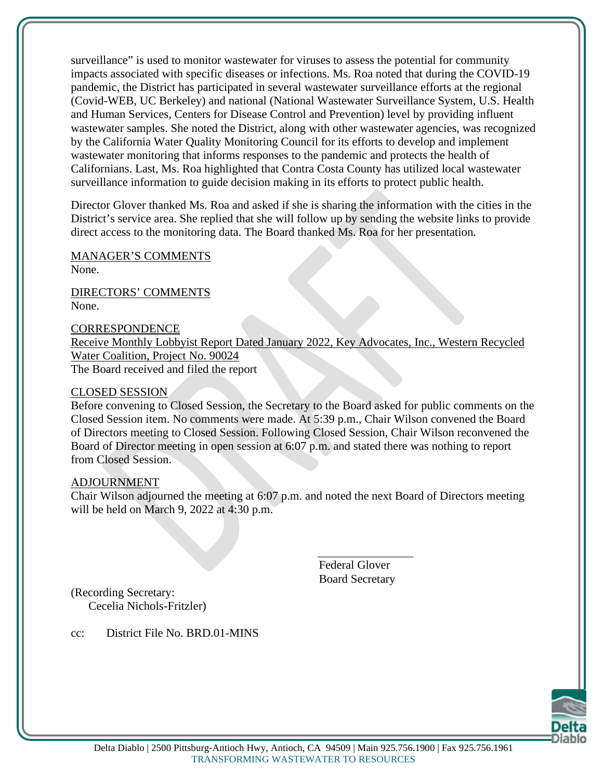surveillance" is used to monitor wastewater for viruses to assess the potential for community impacts associated with specific diseases or infections. Ms. Roa noted that during the COVID-19 pandemic, the District has participated in several wastewater surveillance efforts at the regional (Covid-WEB, UC Berkeley) and national (National Wastewater Surveillance System, U.S. Health and Human Services, Centers for Disease Control and Prevention) level by providing influent wastewater samples. She noted the District, along with other wastewater agencies, was recognized by the California Water Quality Monitoring Council for its efforts to develop and implement wastewater monitoring that informs responses to the pandemic and protects the health of Californians. Last, Ms. Roa highlighted that Contra Costa County has utilized local wastewater surveillance information to guide decision making in its efforts to protect public health.

Director Glover thanked Ms. Roa and asked if she is sharing the information with the cities in the District's service area. She replied that she will follow up by sending the website links to provide direct access to the monitoring data. The Board thanked Ms. Roa for her presentation.

MANAGER'S COMMENTS

None.

DIRECTORS' COMMENTS None.

**CORRESPONDENCE** 

Receive Monthly Lobbyist Report Dated January 2022, Key Advocates, Inc., Western Recycled Water Coalition, Project No. 90024

The Board received and filed the report

#### CLOSED SESSION

Before convening to Closed Session, the Secretary to the Board asked for public comments on the Closed Session item. No comments were made. At 5:39 p.m., Chair Wilson convened the Board of Directors meeting to Closed Session. Following Closed Session, Chair Wilson reconvened the Board of Director meeting in open session at 6:07 p.m. and stated there was nothing to report from Closed Session.

#### ADJOURNMENT

Chair Wilson adjourned the meeting at 6:07 p.m. and noted the next Board of Directors meeting will be held on March 9, 2022 at 4:30 p.m.

> Federal Glover Board Secretary

(Recording Secretary: Cecelia Nichols-Fritzler)

cc: District File No. BRD.01-MINS

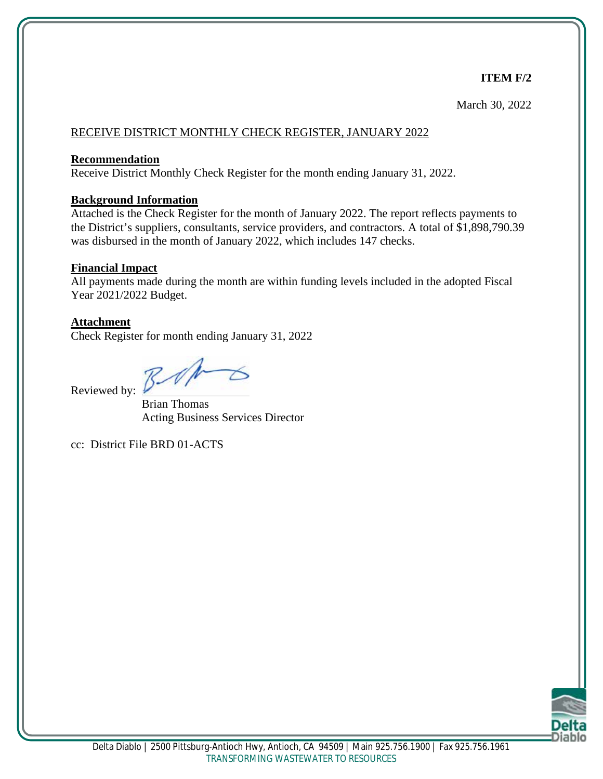# **ITEM F/2**

March 30, 2022

#### RECEIVE DISTRICT MONTHLY CHECK REGISTER, JANUARY 2022

#### **Recommendation**

Receive District Monthly Check Register for the month ending January 31, 2022.

#### **Background Information**

Attached is the Check Register for the month of January 2022. The report reflects payments to the District's suppliers, consultants, service providers, and contractors. A total of \$1,898,790.39 was disbursed in the month of January 2022, which includes 147 checks.

#### **Financial Impact**

All payments made during the month are within funding levels included in the adopted Fiscal Year 2021/2022 Budget.

#### **Attachment**

Check Register for month ending January 31, 2022

Reviewed by:

Brian Thomas Acting Business Services Director

cc: District File BRD 01-ACTS

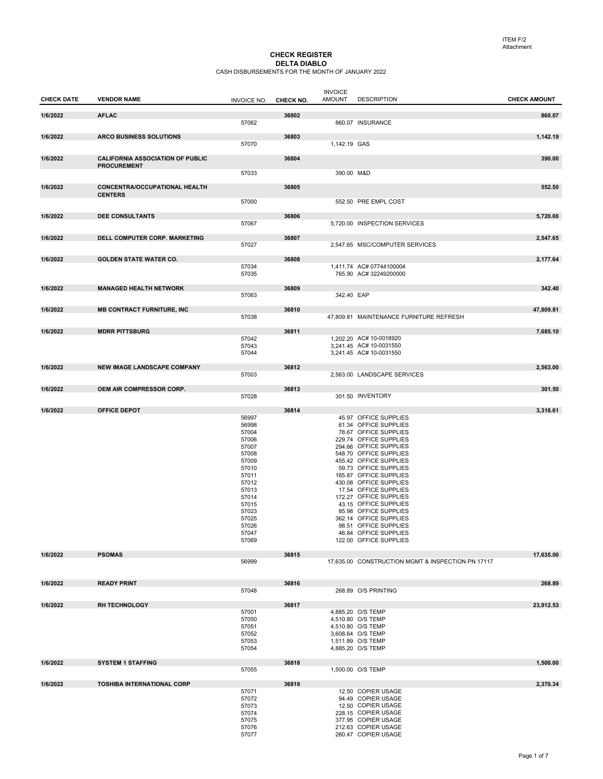#### CHECK REGISTER **DELTA DIABLO**<br>CASH DISBURSEMENTS FOR THE MONTH OF JANUARY 2022

| <b>CHECK DATE</b> | <b>VENDOR NAME</b>                                            |                    |           | <b>INVOICE</b><br><b>AMOUNT</b> | <b>DESCRIPTION</b>                                 | <b>CHECK AMOUNT</b> |
|-------------------|---------------------------------------------------------------|--------------------|-----------|---------------------------------|----------------------------------------------------|---------------------|
|                   |                                                               | <b>INVOICE NO.</b> | CHECK NO. |                                 |                                                    |                     |
| 1/6/2022          | <b>AFLAC</b>                                                  |                    | 36802     |                                 |                                                    | 860.07              |
|                   |                                                               | 57062              |           |                                 | 860.07 INSURANCE                                   |                     |
| 1/6/2022          | <b>ARCO BUSINESS SOLUTIONS</b>                                |                    | 36803     |                                 |                                                    | 1,142.19            |
|                   |                                                               | 57070              |           | 1,142.19 GAS                    |                                                    |                     |
|                   |                                                               |                    |           |                                 |                                                    |                     |
| 1/6/2022          | <b>CALIFORNIA ASSOCIATION OF PUBLIC</b><br><b>PROCUREMENT</b> |                    | 36804     |                                 |                                                    | 390.00              |
|                   |                                                               | 57033              |           | 390.00 M&D                      |                                                    |                     |
| 1/6/2022          | <b>CONCENTRA/OCCUPATIONAL HEALTH</b>                          |                    | 36805     |                                 |                                                    | 552.50              |
|                   | <b>CENTERS</b>                                                |                    |           |                                 |                                                    |                     |
|                   |                                                               | 57000              |           |                                 | 552.50 PRE EMPL COST                               |                     |
| 1/6/2022          | <b>DEE CONSULTANTS</b>                                        |                    | 36806     |                                 |                                                    | 5,720.00            |
|                   |                                                               | 57067              |           |                                 | 5,720.00 INSPECTION SERVICES                       |                     |
|                   |                                                               |                    |           |                                 |                                                    |                     |
| 1/6/2022          | DELL COMPUTER CORP. MARKETING                                 | 57027              | 36807     |                                 | 2,547.65 MSC/COMPUTER SERVICES                     | 2,547.65            |
|                   |                                                               |                    |           |                                 |                                                    |                     |
| 1/6/2022          | <b>GOLDEN STATE WATER CO.</b>                                 |                    | 36808     |                                 | 1,411.74 AC# 07744100004                           | 2,177.64            |
|                   |                                                               | 57034<br>57035     |           |                                 | 765.90 AC# 32249200000                             |                     |
|                   |                                                               |                    |           |                                 |                                                    |                     |
| 1/6/2022          | <b>MANAGED HEALTH NETWORK</b>                                 | 57063              | 36809     | 342.40 EAP                      |                                                    | 342.40              |
|                   |                                                               |                    |           |                                 |                                                    |                     |
| 1/6/2022          | <b>MB CONTRACT FURNITURE, INC</b>                             |                    | 36810     |                                 |                                                    | 47,809.81           |
|                   |                                                               | 57038              |           |                                 | 47,809.81 MAINTENANCE FURNITURE REFRESH            |                     |
| 1/6/2022          | <b>MDRR PITTSBURG</b>                                         |                    | 36811     |                                 |                                                    | 7,685.10            |
|                   |                                                               | 57042              |           |                                 | 1,202.20 AC# 10-0018920                            |                     |
|                   |                                                               | 57043<br>57044     |           |                                 | 3,241.45 AC# 10-0031550<br>3,241.45 AC# 10-0031550 |                     |
|                   |                                                               |                    |           |                                 |                                                    |                     |
| 1/6/2022          | <b>NEW IMAGE LANDSCAPE COMPANY</b>                            |                    | 36812     |                                 |                                                    | 2,563.00            |
|                   |                                                               | 57003              |           |                                 | 2,563.00 LANDSCAPE SERVICES                        |                     |
| 1/6/2022          | OEM AIR COMPRESSOR CORP.                                      |                    | 36813     |                                 |                                                    | 301.50              |
|                   |                                                               | 57028              |           |                                 | 301.50 INVENTORY                                   |                     |
| 1/6/2022          | <b>OFFICE DEPOT</b>                                           |                    | 36814     |                                 |                                                    | 3,318.61            |
|                   |                                                               | 56997              |           |                                 | 45.97 OFFICE SUPPLIES                              |                     |
|                   |                                                               | 56998              |           |                                 | 61.34 OFFICE SUPPLIES                              |                     |
|                   |                                                               | 57004<br>57006     |           |                                 | 78.67 OFFICE SUPPLIES<br>229.74 OFFICE SUPPLIES    |                     |
|                   |                                                               | 57007              |           |                                 | 294.66 OFFICE SUPPLIES                             |                     |
|                   |                                                               | 57008              |           |                                 | 548.70 OFFICE SUPPLIES                             |                     |
|                   |                                                               | 57009              |           |                                 | 455.42 OFFICE SUPPLIES                             |                     |
|                   |                                                               | 57010              |           |                                 | 59.73 OFFICE SUPPLIES                              |                     |
|                   |                                                               | 57011<br>57012     |           |                                 | 165.87 OFFICE SUPPLIES<br>430.08 OFFICE SUPPLIES   |                     |
|                   |                                                               | 57013              |           |                                 | 17.54 OFFICE SUPPLIES                              |                     |
|                   |                                                               | 57014              |           |                                 | 172.27 OFFICE SUPPLIES                             |                     |
|                   |                                                               | 57015              |           |                                 | 43.15 OFFICE SUPPLIES                              |                     |
|                   |                                                               | 57023              |           |                                 | 85.98 OFFICE SUPPLIES                              |                     |
|                   |                                                               | 57025<br>57026     |           |                                 | 362.14 OFFICE SUPPLIES<br>98.51 OFFICE SUPPLIES    |                     |
|                   |                                                               | 57047              |           |                                 | 46.84 OFFICE SUPPLIES                              |                     |
|                   |                                                               | 57069              |           |                                 | 122.00 OFFICE SUPPLIES                             |                     |
| 1/6/2022          | <b>PSOMAS</b>                                                 |                    | 36815     |                                 |                                                    | 17,635.00           |
|                   |                                                               | 56999              |           |                                 | 17,635.00 CONSTRUCTION MGMT & INSPECTION PN 17117  |                     |
|                   |                                                               |                    |           |                                 |                                                    |                     |
| 1/6/2022          | <b>READY PRINT</b>                                            |                    | 36816     |                                 |                                                    | 268.89              |
|                   |                                                               | 57048              |           |                                 | 268.89 O/S PRINTING                                |                     |
|                   |                                                               |                    |           |                                 |                                                    |                     |
| 1/6/2022          | <b>RH TECHNOLOGY</b>                                          | 57001              | 36817     |                                 | 4.885.20 O/S TEMP                                  | 23,912.53           |
|                   |                                                               | 57050              |           |                                 | 4,510.80 O/S TEMP                                  |                     |
|                   |                                                               | 57051              |           |                                 | 4,510.80 O/S TEMP                                  |                     |
|                   |                                                               | 57052              |           |                                 | 3,608.64 O/S TEMP                                  |                     |
|                   |                                                               | 57053<br>57054     |           |                                 | 1,511.89 O/S TEMP<br>4,885.20 O/S TEMP             |                     |
|                   |                                                               |                    |           |                                 |                                                    |                     |
| 1/6/2022          | <b>SYSTEM 1 STAFFING</b>                                      |                    | 36818     |                                 |                                                    | 1,500.00            |
|                   |                                                               | 57055              |           |                                 | 1,500.00 O/S TEMP                                  |                     |
| 1/6/2022          | <b>TOSHIBA INTERNATIONAL CORP</b>                             |                    | 36819     |                                 |                                                    | 2,370.34            |
|                   |                                                               | 57071              |           |                                 | 12.50 COPIER USAGE                                 |                     |
|                   |                                                               | 57072<br>57073     |           |                                 | 94.49 COPIER USAGE<br>12.50 COPIER USAGE           |                     |
|                   |                                                               | 57074              |           |                                 | 228.15 COPIER USAGE                                |                     |
|                   |                                                               | 57075              |           |                                 | 377.95 COPIER USAGE                                |                     |
|                   |                                                               | 57076              |           |                                 | 212.63 COPIER USAGE                                |                     |
|                   |                                                               | 57077              |           |                                 | 260.47 COPIER USAGE                                |                     |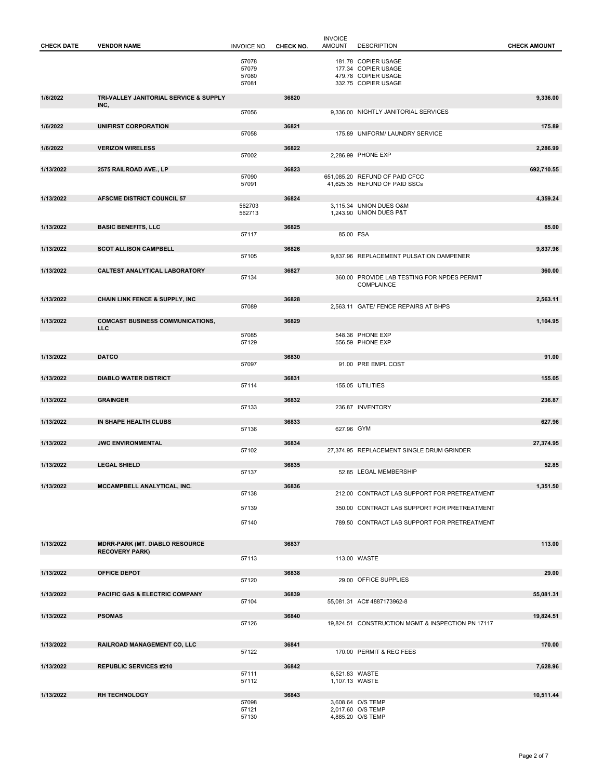| 181.78 COPIER USAGE<br>57078<br>177.34 COPIER USAGE<br>57079<br>479.78 COPIER USAGE<br>57080<br>332.75 COPIER USAGE<br>57081<br>1/6/2022<br>TRI-VALLEY JANITORIAL SERVICE & SUPPLY<br>36820<br>9,336.00<br>INC,<br>9.336.00 NIGHTLY JANITORIAL SERVICES<br>57056<br>1/6/2022<br>UNIFIRST CORPORATION<br>36821<br>175.89<br>57058<br>175.89 UNIFORM/ LAUNDRY SERVICE<br><b>VERIZON WIRELESS</b><br>1/6/2022<br>36822<br>2,286.99<br>2,286.99 PHONE EXP<br>57002<br>1/13/2022<br>2575 RAILROAD AVE., LP<br>36823<br>692,710.55<br>57090<br>651,085.20 REFUND OF PAID CFCC<br>41,625.35 REFUND OF PAID SSCs<br>57091<br>1/13/2022<br>AFSCME DISTRICT COUNCIL 57<br>36824<br>4,359.24<br>3,115.34 UNION DUES O&M<br>562703<br>562713<br>1,243.90 UNION DUES P&T<br>1/13/2022<br><b>BASIC BENEFITS, LLC</b><br>36825<br>85.00<br>85.00 FSA<br>57117<br><b>SCOT ALLISON CAMPBELL</b><br>1/13/2022<br>36826<br>9,837.96<br>57105<br>9,837.96 REPLACEMENT PULSATION DAMPENER<br>CALTEST ANALYTICAL LABORATORY<br>1/13/2022<br>36827<br>360.00<br>360.00 PROVIDE LAB TESTING FOR NPDES PERMIT<br>57134<br>COMPLAINCE<br>1/13/2022<br><b>CHAIN LINK FENCE &amp; SUPPLY, INC</b><br>36828<br>2,563.11<br>2,563.11 GATE/ FENCE REPAIRS AT BHPS<br>57089<br>1/13/2022<br><b>COMCAST BUSINESS COMMUNICATIONS,</b><br>36829<br>1,104.95<br><b>LLC</b><br>548.36 PHONE EXP<br>57085<br>57129<br>556.59 PHONE EXP<br><b>DATCO</b><br>91.00<br>1/13/2022<br>36830<br>57097<br>91.00 PRE EMPL COST<br>1/13/2022<br><b>DIABLO WATER DISTRICT</b><br>36831<br>155.05<br>155.05 UTILITIES<br>57114<br><b>GRAINGER</b><br>1/13/2022<br>36832<br>236.87<br>57133<br>236.87 INVENTORY<br>1/13/2022<br>IN SHAPE HEALTH CLUBS<br>36833<br>627.96<br>627.96 GYM<br>57136<br>1/13/2022<br><b>JWC ENVIRONMENTAL</b><br>27,374.95<br>36834<br>57102<br>27,374.95 REPLACEMENT SINGLE DRUM GRINDER<br>1/13/2022<br><b>LEGAL SHIELD</b><br>36835<br>52.85<br>57137<br>52.85 LEGAL MEMBERSHIP<br>1/13/2022<br>MCCAMPBELL ANALYTICAL, INC.<br>36836<br>1,351.50<br>57138<br>212.00 CONTRACT LAB SUPPORT FOR PRETREATMENT<br>57139<br>350.00 CONTRACT LAB SUPPORT FOR PRETREATMENT<br>57140<br>789.50 CONTRACT LAB SUPPORT FOR PRETREATMENT<br>36837<br>1/13/2022<br><b>MDRR-PARK (MT. DIABLO RESOURCE</b><br>113.00<br><b>RECOVERY PARK)</b><br>57113<br>113.00 WASTE<br>1/13/2022<br>29.00<br><b>OFFICE DEPOT</b><br>36838<br>29.00 OFFICE SUPPLIES<br>57120<br>1/13/2022<br><b>PACIFIC GAS &amp; ELECTRIC COMPANY</b><br>36839<br>55,081.31<br>57104<br>55,081.31 AC# 4887173962-8<br>1/13/2022<br><b>PSOMAS</b><br>36840<br>19,824.51<br>19,824.51 CONSTRUCTION MGMT & INSPECTION PN 17117<br>57126<br>1/13/2022<br>RAILROAD MANAGEMENT CO, LLC<br>36841<br>170.00<br>170.00 PERMIT & REG FEES<br>57122<br>1/13/2022<br><b>REPUBLIC SERVICES #210</b><br>36842<br>7,628.96<br>57111<br>6,521.83 WASTE<br>57112<br>1,107.13 WASTE<br><b>RH TECHNOLOGY</b><br>36843<br>1/13/2022<br>10,511.44<br>57098<br>3,608.64 O/S TEMP<br>57121<br>2,017.60 O/S TEMP<br>57130<br>4,885.20 O/S TEMP | <b>CHECK DATE</b> | <b>VENDOR NAME</b> | <b>INVOICE NO.</b> | CHECK NO. | <b>INVOICE</b><br><b>AMOUNT</b> | <b>DESCRIPTION</b> | <b>CHECK AMOUNT</b> |
|------------------------------------------------------------------------------------------------------------------------------------------------------------------------------------------------------------------------------------------------------------------------------------------------------------------------------------------------------------------------------------------------------------------------------------------------------------------------------------------------------------------------------------------------------------------------------------------------------------------------------------------------------------------------------------------------------------------------------------------------------------------------------------------------------------------------------------------------------------------------------------------------------------------------------------------------------------------------------------------------------------------------------------------------------------------------------------------------------------------------------------------------------------------------------------------------------------------------------------------------------------------------------------------------------------------------------------------------------------------------------------------------------------------------------------------------------------------------------------------------------------------------------------------------------------------------------------------------------------------------------------------------------------------------------------------------------------------------------------------------------------------------------------------------------------------------------------------------------------------------------------------------------------------------------------------------------------------------------------------------------------------------------------------------------------------------------------------------------------------------------------------------------------------------------------------------------------------------------------------------------------------------------------------------------------------------------------------------------------------------------------------------------------------------------------------------------------------------------------------------------------------------------------------------------------------------------------------------------------------------------------------------------------------------------------------------------------------------------------------------------------------------------------------------------------------------------------------------------------------------------------------------------------------------------------------------------------------------------------------------------------------------------------------------------|-------------------|--------------------|--------------------|-----------|---------------------------------|--------------------|---------------------|
|                                                                                                                                                                                                                                                                                                                                                                                                                                                                                                                                                                                                                                                                                                                                                                                                                                                                                                                                                                                                                                                                                                                                                                                                                                                                                                                                                                                                                                                                                                                                                                                                                                                                                                                                                                                                                                                                                                                                                                                                                                                                                                                                                                                                                                                                                                                                                                                                                                                                                                                                                                                                                                                                                                                                                                                                                                                                                                                                                                                                                                                      |                   |                    |                    |           |                                 |                    |                     |
|                                                                                                                                                                                                                                                                                                                                                                                                                                                                                                                                                                                                                                                                                                                                                                                                                                                                                                                                                                                                                                                                                                                                                                                                                                                                                                                                                                                                                                                                                                                                                                                                                                                                                                                                                                                                                                                                                                                                                                                                                                                                                                                                                                                                                                                                                                                                                                                                                                                                                                                                                                                                                                                                                                                                                                                                                                                                                                                                                                                                                                                      |                   |                    |                    |           |                                 |                    |                     |
|                                                                                                                                                                                                                                                                                                                                                                                                                                                                                                                                                                                                                                                                                                                                                                                                                                                                                                                                                                                                                                                                                                                                                                                                                                                                                                                                                                                                                                                                                                                                                                                                                                                                                                                                                                                                                                                                                                                                                                                                                                                                                                                                                                                                                                                                                                                                                                                                                                                                                                                                                                                                                                                                                                                                                                                                                                                                                                                                                                                                                                                      |                   |                    |                    |           |                                 |                    |                     |
|                                                                                                                                                                                                                                                                                                                                                                                                                                                                                                                                                                                                                                                                                                                                                                                                                                                                                                                                                                                                                                                                                                                                                                                                                                                                                                                                                                                                                                                                                                                                                                                                                                                                                                                                                                                                                                                                                                                                                                                                                                                                                                                                                                                                                                                                                                                                                                                                                                                                                                                                                                                                                                                                                                                                                                                                                                                                                                                                                                                                                                                      |                   |                    |                    |           |                                 |                    |                     |
|                                                                                                                                                                                                                                                                                                                                                                                                                                                                                                                                                                                                                                                                                                                                                                                                                                                                                                                                                                                                                                                                                                                                                                                                                                                                                                                                                                                                                                                                                                                                                                                                                                                                                                                                                                                                                                                                                                                                                                                                                                                                                                                                                                                                                                                                                                                                                                                                                                                                                                                                                                                                                                                                                                                                                                                                                                                                                                                                                                                                                                                      |                   |                    |                    |           |                                 |                    |                     |
|                                                                                                                                                                                                                                                                                                                                                                                                                                                                                                                                                                                                                                                                                                                                                                                                                                                                                                                                                                                                                                                                                                                                                                                                                                                                                                                                                                                                                                                                                                                                                                                                                                                                                                                                                                                                                                                                                                                                                                                                                                                                                                                                                                                                                                                                                                                                                                                                                                                                                                                                                                                                                                                                                                                                                                                                                                                                                                                                                                                                                                                      |                   |                    |                    |           |                                 |                    |                     |
|                                                                                                                                                                                                                                                                                                                                                                                                                                                                                                                                                                                                                                                                                                                                                                                                                                                                                                                                                                                                                                                                                                                                                                                                                                                                                                                                                                                                                                                                                                                                                                                                                                                                                                                                                                                                                                                                                                                                                                                                                                                                                                                                                                                                                                                                                                                                                                                                                                                                                                                                                                                                                                                                                                                                                                                                                                                                                                                                                                                                                                                      |                   |                    |                    |           |                                 |                    |                     |
|                                                                                                                                                                                                                                                                                                                                                                                                                                                                                                                                                                                                                                                                                                                                                                                                                                                                                                                                                                                                                                                                                                                                                                                                                                                                                                                                                                                                                                                                                                                                                                                                                                                                                                                                                                                                                                                                                                                                                                                                                                                                                                                                                                                                                                                                                                                                                                                                                                                                                                                                                                                                                                                                                                                                                                                                                                                                                                                                                                                                                                                      |                   |                    |                    |           |                                 |                    |                     |
|                                                                                                                                                                                                                                                                                                                                                                                                                                                                                                                                                                                                                                                                                                                                                                                                                                                                                                                                                                                                                                                                                                                                                                                                                                                                                                                                                                                                                                                                                                                                                                                                                                                                                                                                                                                                                                                                                                                                                                                                                                                                                                                                                                                                                                                                                                                                                                                                                                                                                                                                                                                                                                                                                                                                                                                                                                                                                                                                                                                                                                                      |                   |                    |                    |           |                                 |                    |                     |
|                                                                                                                                                                                                                                                                                                                                                                                                                                                                                                                                                                                                                                                                                                                                                                                                                                                                                                                                                                                                                                                                                                                                                                                                                                                                                                                                                                                                                                                                                                                                                                                                                                                                                                                                                                                                                                                                                                                                                                                                                                                                                                                                                                                                                                                                                                                                                                                                                                                                                                                                                                                                                                                                                                                                                                                                                                                                                                                                                                                                                                                      |                   |                    |                    |           |                                 |                    |                     |
|                                                                                                                                                                                                                                                                                                                                                                                                                                                                                                                                                                                                                                                                                                                                                                                                                                                                                                                                                                                                                                                                                                                                                                                                                                                                                                                                                                                                                                                                                                                                                                                                                                                                                                                                                                                                                                                                                                                                                                                                                                                                                                                                                                                                                                                                                                                                                                                                                                                                                                                                                                                                                                                                                                                                                                                                                                                                                                                                                                                                                                                      |                   |                    |                    |           |                                 |                    |                     |
|                                                                                                                                                                                                                                                                                                                                                                                                                                                                                                                                                                                                                                                                                                                                                                                                                                                                                                                                                                                                                                                                                                                                                                                                                                                                                                                                                                                                                                                                                                                                                                                                                                                                                                                                                                                                                                                                                                                                                                                                                                                                                                                                                                                                                                                                                                                                                                                                                                                                                                                                                                                                                                                                                                                                                                                                                                                                                                                                                                                                                                                      |                   |                    |                    |           |                                 |                    |                     |
|                                                                                                                                                                                                                                                                                                                                                                                                                                                                                                                                                                                                                                                                                                                                                                                                                                                                                                                                                                                                                                                                                                                                                                                                                                                                                                                                                                                                                                                                                                                                                                                                                                                                                                                                                                                                                                                                                                                                                                                                                                                                                                                                                                                                                                                                                                                                                                                                                                                                                                                                                                                                                                                                                                                                                                                                                                                                                                                                                                                                                                                      |                   |                    |                    |           |                                 |                    |                     |
|                                                                                                                                                                                                                                                                                                                                                                                                                                                                                                                                                                                                                                                                                                                                                                                                                                                                                                                                                                                                                                                                                                                                                                                                                                                                                                                                                                                                                                                                                                                                                                                                                                                                                                                                                                                                                                                                                                                                                                                                                                                                                                                                                                                                                                                                                                                                                                                                                                                                                                                                                                                                                                                                                                                                                                                                                                                                                                                                                                                                                                                      |                   |                    |                    |           |                                 |                    |                     |
|                                                                                                                                                                                                                                                                                                                                                                                                                                                                                                                                                                                                                                                                                                                                                                                                                                                                                                                                                                                                                                                                                                                                                                                                                                                                                                                                                                                                                                                                                                                                                                                                                                                                                                                                                                                                                                                                                                                                                                                                                                                                                                                                                                                                                                                                                                                                                                                                                                                                                                                                                                                                                                                                                                                                                                                                                                                                                                                                                                                                                                                      |                   |                    |                    |           |                                 |                    |                     |
|                                                                                                                                                                                                                                                                                                                                                                                                                                                                                                                                                                                                                                                                                                                                                                                                                                                                                                                                                                                                                                                                                                                                                                                                                                                                                                                                                                                                                                                                                                                                                                                                                                                                                                                                                                                                                                                                                                                                                                                                                                                                                                                                                                                                                                                                                                                                                                                                                                                                                                                                                                                                                                                                                                                                                                                                                                                                                                                                                                                                                                                      |                   |                    |                    |           |                                 |                    |                     |
|                                                                                                                                                                                                                                                                                                                                                                                                                                                                                                                                                                                                                                                                                                                                                                                                                                                                                                                                                                                                                                                                                                                                                                                                                                                                                                                                                                                                                                                                                                                                                                                                                                                                                                                                                                                                                                                                                                                                                                                                                                                                                                                                                                                                                                                                                                                                                                                                                                                                                                                                                                                                                                                                                                                                                                                                                                                                                                                                                                                                                                                      |                   |                    |                    |           |                                 |                    |                     |
|                                                                                                                                                                                                                                                                                                                                                                                                                                                                                                                                                                                                                                                                                                                                                                                                                                                                                                                                                                                                                                                                                                                                                                                                                                                                                                                                                                                                                                                                                                                                                                                                                                                                                                                                                                                                                                                                                                                                                                                                                                                                                                                                                                                                                                                                                                                                                                                                                                                                                                                                                                                                                                                                                                                                                                                                                                                                                                                                                                                                                                                      |                   |                    |                    |           |                                 |                    |                     |
|                                                                                                                                                                                                                                                                                                                                                                                                                                                                                                                                                                                                                                                                                                                                                                                                                                                                                                                                                                                                                                                                                                                                                                                                                                                                                                                                                                                                                                                                                                                                                                                                                                                                                                                                                                                                                                                                                                                                                                                                                                                                                                                                                                                                                                                                                                                                                                                                                                                                                                                                                                                                                                                                                                                                                                                                                                                                                                                                                                                                                                                      |                   |                    |                    |           |                                 |                    |                     |
|                                                                                                                                                                                                                                                                                                                                                                                                                                                                                                                                                                                                                                                                                                                                                                                                                                                                                                                                                                                                                                                                                                                                                                                                                                                                                                                                                                                                                                                                                                                                                                                                                                                                                                                                                                                                                                                                                                                                                                                                                                                                                                                                                                                                                                                                                                                                                                                                                                                                                                                                                                                                                                                                                                                                                                                                                                                                                                                                                                                                                                                      |                   |                    |                    |           |                                 |                    |                     |
|                                                                                                                                                                                                                                                                                                                                                                                                                                                                                                                                                                                                                                                                                                                                                                                                                                                                                                                                                                                                                                                                                                                                                                                                                                                                                                                                                                                                                                                                                                                                                                                                                                                                                                                                                                                                                                                                                                                                                                                                                                                                                                                                                                                                                                                                                                                                                                                                                                                                                                                                                                                                                                                                                                                                                                                                                                                                                                                                                                                                                                                      |                   |                    |                    |           |                                 |                    |                     |
|                                                                                                                                                                                                                                                                                                                                                                                                                                                                                                                                                                                                                                                                                                                                                                                                                                                                                                                                                                                                                                                                                                                                                                                                                                                                                                                                                                                                                                                                                                                                                                                                                                                                                                                                                                                                                                                                                                                                                                                                                                                                                                                                                                                                                                                                                                                                                                                                                                                                                                                                                                                                                                                                                                                                                                                                                                                                                                                                                                                                                                                      |                   |                    |                    |           |                                 |                    |                     |
|                                                                                                                                                                                                                                                                                                                                                                                                                                                                                                                                                                                                                                                                                                                                                                                                                                                                                                                                                                                                                                                                                                                                                                                                                                                                                                                                                                                                                                                                                                                                                                                                                                                                                                                                                                                                                                                                                                                                                                                                                                                                                                                                                                                                                                                                                                                                                                                                                                                                                                                                                                                                                                                                                                                                                                                                                                                                                                                                                                                                                                                      |                   |                    |                    |           |                                 |                    |                     |
|                                                                                                                                                                                                                                                                                                                                                                                                                                                                                                                                                                                                                                                                                                                                                                                                                                                                                                                                                                                                                                                                                                                                                                                                                                                                                                                                                                                                                                                                                                                                                                                                                                                                                                                                                                                                                                                                                                                                                                                                                                                                                                                                                                                                                                                                                                                                                                                                                                                                                                                                                                                                                                                                                                                                                                                                                                                                                                                                                                                                                                                      |                   |                    |                    |           |                                 |                    |                     |
|                                                                                                                                                                                                                                                                                                                                                                                                                                                                                                                                                                                                                                                                                                                                                                                                                                                                                                                                                                                                                                                                                                                                                                                                                                                                                                                                                                                                                                                                                                                                                                                                                                                                                                                                                                                                                                                                                                                                                                                                                                                                                                                                                                                                                                                                                                                                                                                                                                                                                                                                                                                                                                                                                                                                                                                                                                                                                                                                                                                                                                                      |                   |                    |                    |           |                                 |                    |                     |
|                                                                                                                                                                                                                                                                                                                                                                                                                                                                                                                                                                                                                                                                                                                                                                                                                                                                                                                                                                                                                                                                                                                                                                                                                                                                                                                                                                                                                                                                                                                                                                                                                                                                                                                                                                                                                                                                                                                                                                                                                                                                                                                                                                                                                                                                                                                                                                                                                                                                                                                                                                                                                                                                                                                                                                                                                                                                                                                                                                                                                                                      |                   |                    |                    |           |                                 |                    |                     |
|                                                                                                                                                                                                                                                                                                                                                                                                                                                                                                                                                                                                                                                                                                                                                                                                                                                                                                                                                                                                                                                                                                                                                                                                                                                                                                                                                                                                                                                                                                                                                                                                                                                                                                                                                                                                                                                                                                                                                                                                                                                                                                                                                                                                                                                                                                                                                                                                                                                                                                                                                                                                                                                                                                                                                                                                                                                                                                                                                                                                                                                      |                   |                    |                    |           |                                 |                    |                     |
|                                                                                                                                                                                                                                                                                                                                                                                                                                                                                                                                                                                                                                                                                                                                                                                                                                                                                                                                                                                                                                                                                                                                                                                                                                                                                                                                                                                                                                                                                                                                                                                                                                                                                                                                                                                                                                                                                                                                                                                                                                                                                                                                                                                                                                                                                                                                                                                                                                                                                                                                                                                                                                                                                                                                                                                                                                                                                                                                                                                                                                                      |                   |                    |                    |           |                                 |                    |                     |
|                                                                                                                                                                                                                                                                                                                                                                                                                                                                                                                                                                                                                                                                                                                                                                                                                                                                                                                                                                                                                                                                                                                                                                                                                                                                                                                                                                                                                                                                                                                                                                                                                                                                                                                                                                                                                                                                                                                                                                                                                                                                                                                                                                                                                                                                                                                                                                                                                                                                                                                                                                                                                                                                                                                                                                                                                                                                                                                                                                                                                                                      |                   |                    |                    |           |                                 |                    |                     |
|                                                                                                                                                                                                                                                                                                                                                                                                                                                                                                                                                                                                                                                                                                                                                                                                                                                                                                                                                                                                                                                                                                                                                                                                                                                                                                                                                                                                                                                                                                                                                                                                                                                                                                                                                                                                                                                                                                                                                                                                                                                                                                                                                                                                                                                                                                                                                                                                                                                                                                                                                                                                                                                                                                                                                                                                                                                                                                                                                                                                                                                      |                   |                    |                    |           |                                 |                    |                     |
|                                                                                                                                                                                                                                                                                                                                                                                                                                                                                                                                                                                                                                                                                                                                                                                                                                                                                                                                                                                                                                                                                                                                                                                                                                                                                                                                                                                                                                                                                                                                                                                                                                                                                                                                                                                                                                                                                                                                                                                                                                                                                                                                                                                                                                                                                                                                                                                                                                                                                                                                                                                                                                                                                                                                                                                                                                                                                                                                                                                                                                                      |                   |                    |                    |           |                                 |                    |                     |
|                                                                                                                                                                                                                                                                                                                                                                                                                                                                                                                                                                                                                                                                                                                                                                                                                                                                                                                                                                                                                                                                                                                                                                                                                                                                                                                                                                                                                                                                                                                                                                                                                                                                                                                                                                                                                                                                                                                                                                                                                                                                                                                                                                                                                                                                                                                                                                                                                                                                                                                                                                                                                                                                                                                                                                                                                                                                                                                                                                                                                                                      |                   |                    |                    |           |                                 |                    |                     |
|                                                                                                                                                                                                                                                                                                                                                                                                                                                                                                                                                                                                                                                                                                                                                                                                                                                                                                                                                                                                                                                                                                                                                                                                                                                                                                                                                                                                                                                                                                                                                                                                                                                                                                                                                                                                                                                                                                                                                                                                                                                                                                                                                                                                                                                                                                                                                                                                                                                                                                                                                                                                                                                                                                                                                                                                                                                                                                                                                                                                                                                      |                   |                    |                    |           |                                 |                    |                     |
|                                                                                                                                                                                                                                                                                                                                                                                                                                                                                                                                                                                                                                                                                                                                                                                                                                                                                                                                                                                                                                                                                                                                                                                                                                                                                                                                                                                                                                                                                                                                                                                                                                                                                                                                                                                                                                                                                                                                                                                                                                                                                                                                                                                                                                                                                                                                                                                                                                                                                                                                                                                                                                                                                                                                                                                                                                                                                                                                                                                                                                                      |                   |                    |                    |           |                                 |                    |                     |
|                                                                                                                                                                                                                                                                                                                                                                                                                                                                                                                                                                                                                                                                                                                                                                                                                                                                                                                                                                                                                                                                                                                                                                                                                                                                                                                                                                                                                                                                                                                                                                                                                                                                                                                                                                                                                                                                                                                                                                                                                                                                                                                                                                                                                                                                                                                                                                                                                                                                                                                                                                                                                                                                                                                                                                                                                                                                                                                                                                                                                                                      |                   |                    |                    |           |                                 |                    |                     |
|                                                                                                                                                                                                                                                                                                                                                                                                                                                                                                                                                                                                                                                                                                                                                                                                                                                                                                                                                                                                                                                                                                                                                                                                                                                                                                                                                                                                                                                                                                                                                                                                                                                                                                                                                                                                                                                                                                                                                                                                                                                                                                                                                                                                                                                                                                                                                                                                                                                                                                                                                                                                                                                                                                                                                                                                                                                                                                                                                                                                                                                      |                   |                    |                    |           |                                 |                    |                     |
|                                                                                                                                                                                                                                                                                                                                                                                                                                                                                                                                                                                                                                                                                                                                                                                                                                                                                                                                                                                                                                                                                                                                                                                                                                                                                                                                                                                                                                                                                                                                                                                                                                                                                                                                                                                                                                                                                                                                                                                                                                                                                                                                                                                                                                                                                                                                                                                                                                                                                                                                                                                                                                                                                                                                                                                                                                                                                                                                                                                                                                                      |                   |                    |                    |           |                                 |                    |                     |
|                                                                                                                                                                                                                                                                                                                                                                                                                                                                                                                                                                                                                                                                                                                                                                                                                                                                                                                                                                                                                                                                                                                                                                                                                                                                                                                                                                                                                                                                                                                                                                                                                                                                                                                                                                                                                                                                                                                                                                                                                                                                                                                                                                                                                                                                                                                                                                                                                                                                                                                                                                                                                                                                                                                                                                                                                                                                                                                                                                                                                                                      |                   |                    |                    |           |                                 |                    |                     |
|                                                                                                                                                                                                                                                                                                                                                                                                                                                                                                                                                                                                                                                                                                                                                                                                                                                                                                                                                                                                                                                                                                                                                                                                                                                                                                                                                                                                                                                                                                                                                                                                                                                                                                                                                                                                                                                                                                                                                                                                                                                                                                                                                                                                                                                                                                                                                                                                                                                                                                                                                                                                                                                                                                                                                                                                                                                                                                                                                                                                                                                      |                   |                    |                    |           |                                 |                    |                     |
|                                                                                                                                                                                                                                                                                                                                                                                                                                                                                                                                                                                                                                                                                                                                                                                                                                                                                                                                                                                                                                                                                                                                                                                                                                                                                                                                                                                                                                                                                                                                                                                                                                                                                                                                                                                                                                                                                                                                                                                                                                                                                                                                                                                                                                                                                                                                                                                                                                                                                                                                                                                                                                                                                                                                                                                                                                                                                                                                                                                                                                                      |                   |                    |                    |           |                                 |                    |                     |
|                                                                                                                                                                                                                                                                                                                                                                                                                                                                                                                                                                                                                                                                                                                                                                                                                                                                                                                                                                                                                                                                                                                                                                                                                                                                                                                                                                                                                                                                                                                                                                                                                                                                                                                                                                                                                                                                                                                                                                                                                                                                                                                                                                                                                                                                                                                                                                                                                                                                                                                                                                                                                                                                                                                                                                                                                                                                                                                                                                                                                                                      |                   |                    |                    |           |                                 |                    |                     |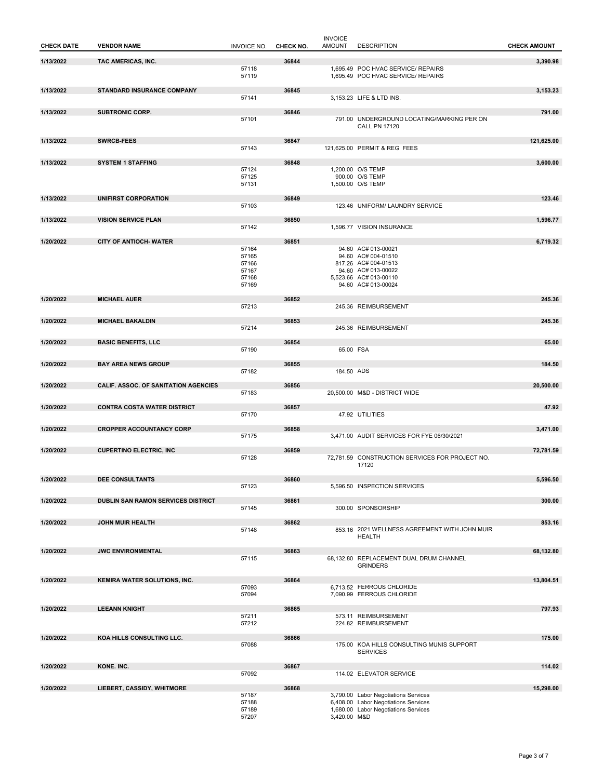| <b>CHECK DATE</b> | <b>VENDOR NAME</b>                          | <b>INVOICE NO.</b> | CHECK NO. | <b>INVOICE</b><br><b>AMOUNT</b> | <b>DESCRIPTION</b>                                                       | <b>CHECK AMOUNT</b> |
|-------------------|---------------------------------------------|--------------------|-----------|---------------------------------|--------------------------------------------------------------------------|---------------------|
| 1/13/2022         | TAC AMERICAS, INC.                          |                    | 36844     |                                 |                                                                          | 3,390.98            |
|                   |                                             | 57118<br>57119     |           |                                 | 1,695.49 POC HVAC SERVICE/ REPAIRS<br>1,695.49 POC HVAC SERVICE/ REPAIRS |                     |
|                   |                                             |                    |           |                                 |                                                                          |                     |
| 1/13/2022         | <b>STANDARD INSURANCE COMPANY</b>           |                    | 36845     |                                 |                                                                          | 3,153.23            |
|                   |                                             | 57141              |           |                                 | 3.153.23 LIFE & LTD INS.                                                 |                     |
| 1/13/2022         | <b>SUBTRONIC CORP.</b>                      |                    | 36846     |                                 |                                                                          | 791.00              |
|                   |                                             | 57101              |           |                                 | 791.00 UNDERGROUND LOCATING/MARKING PER ON                               |                     |
|                   |                                             |                    |           |                                 | <b>CALL PN 17120</b>                                                     |                     |
| 1/13/2022         | <b>SWRCB-FEES</b>                           |                    | 36847     |                                 |                                                                          | 121,625.00          |
|                   |                                             | 57143              |           |                                 | 121,625.00 PERMIT & REG FEES                                             |                     |
|                   |                                             |                    |           |                                 |                                                                          |                     |
| 1/13/2022         | <b>SYSTEM 1 STAFFING</b>                    | 57124              | 36848     |                                 | 1,200.00 O/S TEMP                                                        | 3,600.00            |
|                   |                                             | 57125              |           |                                 | 900.00 O/S TEMP                                                          |                     |
|                   |                                             | 57131              |           |                                 | 1,500.00 O/S TEMP                                                        |                     |
| 1/13/2022         | UNIFIRST CORPORATION                        |                    | 36849     |                                 |                                                                          | 123.46              |
|                   |                                             | 57103              |           |                                 | 123.46 UNIFORM/ LAUNDRY SERVICE                                          |                     |
|                   |                                             |                    |           |                                 |                                                                          |                     |
| 1/13/2022         | <b>VISION SERVICE PLAN</b>                  |                    | 36850     |                                 |                                                                          | 1,596.77            |
|                   |                                             | 57142              |           |                                 | 1,596.77 VISION INSURANCE                                                |                     |
| 1/20/2022         | <b>CITY OF ANTIOCH- WATER</b>               |                    | 36851     |                                 |                                                                          | 6,719.32            |
|                   |                                             | 57164              |           |                                 | 94.60 AC# 013-00021                                                      |                     |
|                   |                                             | 57165<br>57166     |           |                                 | 94.60 AC# 004-01510<br>817.26 AC# 004-01513                              |                     |
|                   |                                             | 57167              |           |                                 | 94.60 AC# 013-00022                                                      |                     |
|                   |                                             | 57168              |           |                                 | 5,523.66 AC# 013-00110                                                   |                     |
|                   |                                             | 57169              |           |                                 | 94.60 AC# 013-00024                                                      |                     |
| 1/20/2022         | <b>MICHAEL AUER</b>                         |                    | 36852     |                                 |                                                                          | 245.36              |
|                   |                                             | 57213              |           |                                 | 245.36 REIMBURSEMENT                                                     |                     |
|                   |                                             |                    |           |                                 |                                                                          |                     |
| 1/20/2022         | <b>MICHAEL BAKALDIN</b>                     | 57214              | 36853     |                                 | 245.36 REIMBURSEMENT                                                     | 245.36              |
|                   |                                             |                    |           |                                 |                                                                          |                     |
| 1/20/2022         | <b>BASIC BENEFITS, LLC</b>                  |                    | 36854     |                                 |                                                                          | 65.00               |
|                   |                                             | 57190              |           | 65.00 FSA                       |                                                                          |                     |
| 1/20/2022         | <b>BAY AREA NEWS GROUP</b>                  |                    | 36855     |                                 |                                                                          | 184.50              |
|                   |                                             | 57182              |           | 184.50 ADS                      |                                                                          |                     |
| 1/20/2022         |                                             |                    |           |                                 |                                                                          |                     |
|                   | <b>CALIF. ASSOC. OF SANITATION AGENCIES</b> | 57183              | 36856     |                                 | 20,500.00 M&D - DISTRICT WIDE                                            | 20,500.00           |
|                   |                                             |                    |           |                                 |                                                                          |                     |
| 1/20/2022         | <b>CONTRA COSTA WATER DISTRICT</b>          |                    | 36857     |                                 |                                                                          | 47.92               |
|                   |                                             | 57170              |           |                                 | 47.92 UTILITIES                                                          |                     |
| 1/20/2022         | <b>CROPPER ACCOUNTANCY CORP</b>             |                    | 36858     |                                 |                                                                          | 3,471.00            |
|                   |                                             | 57175              |           |                                 | 3,471.00 AUDIT SERVICES FOR FYE 06/30/2021                               |                     |
| 1/20/2022         | <b>CUPERTINO ELECTRIC, INC</b>              |                    | 36859     |                                 |                                                                          | 72,781.59           |
|                   |                                             | 57128              |           |                                 | 72.781.59 CONSTRUCTION SERVICES FOR PROJECT NO.                          |                     |
|                   |                                             |                    |           |                                 | 17120                                                                    |                     |
| 1/20/2022         | <b>DEE CONSULTANTS</b>                      |                    | 36860     |                                 |                                                                          | 5,596.50            |
|                   |                                             | 57123              |           |                                 | 5,596.50 INSPECTION SERVICES                                             |                     |
|                   |                                             |                    |           |                                 |                                                                          |                     |
| 1/20/2022         | DUBLIN SAN RAMON SERVICES DISTRICT          | 57145              | 36861     |                                 | 300.00 SPONSORSHIP                                                       | 300.00              |
|                   |                                             |                    |           |                                 |                                                                          |                     |
| 1/20/2022         | <b>JOHN MUIR HEALTH</b>                     |                    | 36862     |                                 |                                                                          | 853.16              |
|                   |                                             | 57148              |           |                                 | 853.16 2021 WELLNESS AGREEMENT WITH JOHN MUIR<br><b>HEALTH</b>           |                     |
|                   |                                             |                    |           |                                 |                                                                          |                     |
| 1/20/2022         | <b>JWC ENVIRONMENTAL</b>                    |                    | 36863     |                                 |                                                                          | 68,132.80           |
|                   |                                             | 57115              |           |                                 | 68,132.80 REPLACEMENT DUAL DRUM CHANNEL<br><b>GRINDERS</b>               |                     |
|                   |                                             |                    |           |                                 |                                                                          |                     |
| 1/20/2022         | KEMIRA WATER SOLUTIONS, INC.                |                    | 36864     |                                 |                                                                          | 13,804.51           |
|                   |                                             | 57093              |           |                                 | 6,713.52 FERROUS CHLORIDE                                                |                     |
|                   |                                             | 57094              |           |                                 | 7,090.99 FERROUS CHLORIDE                                                |                     |
| 1/20/2022         | <b>LEEANN KNIGHT</b>                        |                    | 36865     |                                 |                                                                          | 797.93              |
|                   |                                             | 57211              |           |                                 | 573.11 REIMBURSEMENT                                                     |                     |
|                   |                                             | 57212              |           |                                 | 224.82 REIMBURSEMENT                                                     |                     |
| 1/20/2022         | KOA HILLS CONSULTING LLC.                   |                    | 36866     |                                 |                                                                          | 175.00              |
|                   |                                             | 57088              |           |                                 | 175.00 KOA HILLS CONSULTING MUNIS SUPPORT                                |                     |
|                   |                                             |                    |           |                                 | <b>SERVICES</b>                                                          |                     |
| 1/20/2022         | KONE. INC.                                  |                    | 36867     |                                 |                                                                          | 114.02              |
|                   |                                             | 57092              |           |                                 | 114.02 ELEVATOR SERVICE                                                  |                     |
| 1/20/2022         |                                             |                    |           |                                 |                                                                          |                     |
|                   | LIEBERT, CASSIDY, WHITMORE                  | 57187              | 36868     |                                 | 3,790.00 Labor Negotiations Services                                     | 15,298.00           |
|                   |                                             | 57188              |           |                                 | 6,408.00 Labor Negotiations Services                                     |                     |
|                   |                                             | 57189              |           |                                 | 1,680.00 Labor Negotiations Services                                     |                     |
|                   |                                             | 57207              |           | 3,420.00 M&D                    |                                                                          |                     |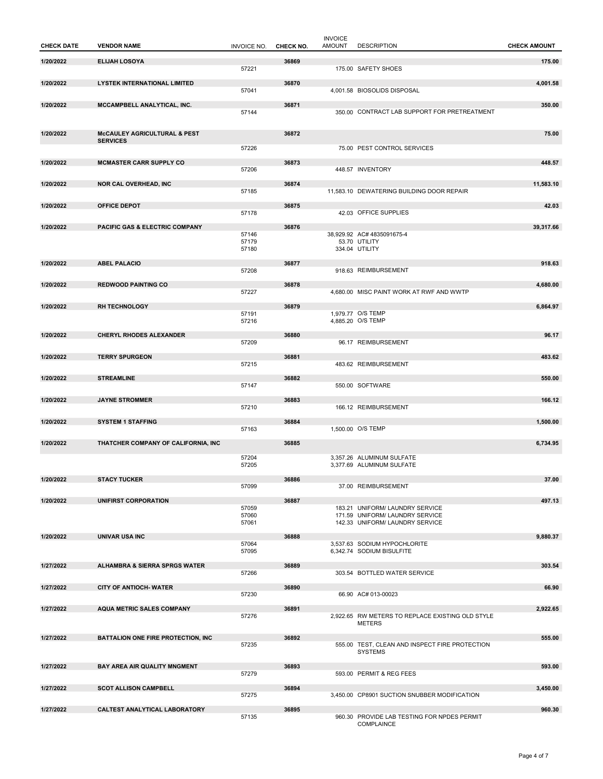| <b>CHECK DATE</b> | <b>VENDOR NAME</b>                              | <b>INVOICE NO.</b>      | CHECK NO. | <b>INVOICE</b><br><b>AMOUNT</b> | <b>DESCRIPTION</b>                                                                                    | <b>CHECK AMOUNT</b> |
|-------------------|-------------------------------------------------|-------------------------|-----------|---------------------------------|-------------------------------------------------------------------------------------------------------|---------------------|
| 1/20/2022         | <b>ELIJAH LOSOYA</b>                            |                         | 36869     |                                 |                                                                                                       | 175.00              |
| 1/20/2022         | <b>LYSTEK INTERNATIONAL LIMITED</b>             | 57221                   | 36870     |                                 | 175.00 SAFETY SHOES                                                                                   | 4,001.58            |
|                   |                                                 | 57041                   |           |                                 | 4,001.58 BIOSOLIDS DISPOSAL                                                                           |                     |
| 1/20/2022         | MCCAMPBELL ANALYTICAL, INC.                     | 57144                   | 36871     |                                 | 350.00 CONTRACT LAB SUPPORT FOR PRETREATMENT                                                          | 350.00              |
| 1/20/2022         | McCAULEY AGRICULTURAL & PEST<br><b>SERVICES</b> |                         | 36872     |                                 |                                                                                                       | 75.00               |
|                   |                                                 | 57226                   |           |                                 | 75.00 PEST CONTROL SERVICES                                                                           |                     |
| 1/20/2022         | <b>MCMASTER CARR SUPPLY CO</b>                  | 57206                   | 36873     |                                 | 448.57 INVENTORY                                                                                      | 448.57              |
| 1/20/2022         | <b>NOR CAL OVERHEAD, INC</b>                    | 57185                   | 36874     |                                 | 11,583.10 DEWATERING BUILDING DOOR REPAIR                                                             | 11,583.10           |
| 1/20/2022         | <b>OFFICE DEPOT</b>                             |                         | 36875     |                                 |                                                                                                       | 42.03               |
| 1/20/2022         | PACIFIC GAS & ELECTRIC COMPANY                  | 57178                   | 36876     |                                 | 42.03 OFFICE SUPPLIES                                                                                 | 39,317.66           |
|                   |                                                 | 57146<br>57179<br>57180 |           |                                 | 38,929.92 AC# 4835091675-4<br>53.70 UTILITY<br>334.04 UTILITY                                         |                     |
| 1/20/2022         | <b>ABEL PALACIO</b>                             | 57208                   | 36877     |                                 | 918.63 REIMBURSEMENT                                                                                  | 918.63              |
| 1/20/2022         | <b>REDWOOD PAINTING CO</b>                      |                         | 36878     |                                 |                                                                                                       | 4,680.00            |
|                   |                                                 | 57227                   |           |                                 | 4,680.00 MISC PAINT WORK AT RWF AND WWTP                                                              |                     |
| 1/20/2022         | <b>RH TECHNOLOGY</b>                            | 57191<br>57216          | 36879     |                                 | 1,979.77 O/S TEMP<br>4,885.20 O/S TEMP                                                                | 6,864.97            |
| 1/20/2022         | <b>CHERYL RHODES ALEXANDER</b>                  | 57209                   | 36880     |                                 | 96.17 REIMBURSEMENT                                                                                   | 96.17               |
| 1/20/2022         | <b>TERRY SPURGEON</b>                           |                         | 36881     |                                 |                                                                                                       | 483.62              |
|                   |                                                 | 57215                   |           |                                 | 483.62 REIMBURSEMENT                                                                                  |                     |
| 1/20/2022         | <b>STREAMLINE</b>                               | 57147                   | 36882     |                                 | 550.00 SOFTWARE                                                                                       | 550.00              |
| 1/20/2022         | <b>JAYNE STROMMER</b>                           |                         | 36883     |                                 |                                                                                                       | 166.12              |
| 1/20/2022         |                                                 | 57210                   |           |                                 | 166.12 REIMBURSEMENT                                                                                  |                     |
|                   | <b>SYSTEM 1 STAFFING</b>                        | 57163                   | 36884     |                                 | 1,500.00 O/S TEMP                                                                                     | 1,500.00            |
| 1/20/2022         | THATCHER COMPANY OF CALIFORNIA, INC             |                         | 36885     |                                 |                                                                                                       | 6,734.95            |
|                   |                                                 | 57204<br>57205          |           |                                 | 3,357.26 ALUMINUM SULFATE<br>3,377.69 ALUMINUM SULFATE                                                |                     |
| 1/20/2022         | <b>STACY TUCKER</b>                             |                         | 36886     |                                 |                                                                                                       | 37.00               |
|                   |                                                 | 57099                   |           |                                 | 37.00 REIMBURSEMENT                                                                                   |                     |
| 1/20/2022         | UNIFIRST CORPORATION                            | 57059<br>57060<br>57061 | 36887     |                                 | 183.21 UNIFORM/ LAUNDRY SERVICE<br>171.59 UNIFORM/ LAUNDRY SERVICE<br>142.33 UNIFORM/ LAUNDRY SERVICE | 497.13              |
| 1/20/2022         | <b>UNIVAR USA INC</b>                           |                         | 36888     |                                 |                                                                                                       | 9,880.37            |
|                   |                                                 | 57064<br>57095          |           |                                 | 3.537.63 SODIUM HYPOCHLORITE<br>6,342.74 SODIUM BISULFITE                                             |                     |
| 1/27/2022         | <b>ALHAMBRA &amp; SIERRA SPRGS WATER</b>        |                         | 36889     |                                 |                                                                                                       | 303.54              |
| 1/27/2022         | <b>CITY OF ANTIOCH- WATER</b>                   | 57266                   | 36890     |                                 | 303.54 BOTTLED WATER SERVICE                                                                          | 66.90               |
|                   |                                                 | 57230                   |           |                                 | 66.90 AC# 013-00023                                                                                   |                     |
| 1/27/2022         | <b>AQUA METRIC SALES COMPANY</b>                | 57276                   | 36891     |                                 | 2,922.65 RW METERS TO REPLACE EXISTING OLD STYLE<br><b>METERS</b>                                     | 2,922.65            |
| 1/27/2022         | <b>BATTALION ONE FIRE PROTECTION, INC</b>       |                         | 36892     |                                 |                                                                                                       | 555.00              |
|                   |                                                 | 57235                   |           |                                 | 555.00 TEST, CLEAN AND INSPECT FIRE PROTECTION<br><b>SYSTEMS</b>                                      |                     |
| 1/27/2022         | BAY AREA AIR QUALITY MNGMENT                    |                         | 36893     |                                 |                                                                                                       | 593.00              |
| 1/27/2022         | <b>SCOT ALLISON CAMPBELL</b>                    | 57279                   | 36894     |                                 | 593.00 PERMIT & REG FEES                                                                              | 3,450.00            |
|                   |                                                 | 57275                   |           |                                 | 3,450.00 CP8901 SUCTION SNUBBER MODIFICATION                                                          |                     |
| 1/27/2022         | <b>CALTEST ANALYTICAL LABORATORY</b>            | 57135                   | 36895     |                                 | 960.30 PROVIDE LAB TESTING FOR NPDES PERMIT<br>COMPLAINCE                                             | 960.30              |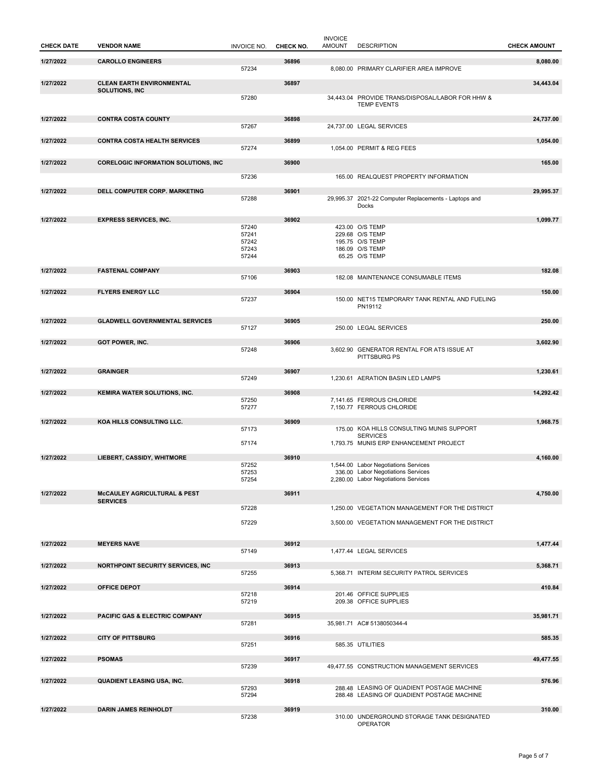| 1/27/2022<br><b>CAROLLO ENGINEERS</b><br>36896<br>8.080.00<br>57234<br>8,080.00 PRIMARY CLARIFIER AREA IMPROVE<br>1/27/2022<br><b>CLEAN EARTH ENVIRONMENTAL</b><br>36897<br>34,443.04<br><b>SOLUTIONS, INC</b><br>57280<br>34,443.04 PROVIDE TRANS/DISPOSAL/LABOR FOR HHW &<br><b>TEMP EVENTS</b><br>1/27/2022<br><b>CONTRA COSTA COUNTY</b><br>36898<br>24,737.00<br>57267<br>24,737.00 LEGAL SERVICES<br>1/27/2022<br><b>CONTRA COSTA HEALTH SERVICES</b><br>36899<br>1,054.00<br>57274<br>1,054.00 PERMIT & REG FEES<br>36900<br>1/27/2022<br><b>CORELOGIC INFORMATION SOLUTIONS, INC.</b><br>165.00<br>57236<br>165.00 REALQUEST PROPERTY INFORMATION<br>36901<br>1/27/2022<br>DELL COMPUTER CORP. MARKETING<br>29,995.37<br>57288<br>29,995.37 2021-22 Computer Replacements - Laptops and<br>Docks<br>1/27/2022<br>36902<br>1,099.77<br><b>EXPRESS SERVICES, INC.</b><br>57240<br>423.00 O/S TEMP<br>57241<br>229.68 O/S TEMP<br>57242<br>195.75 O/S TEMP<br>57243<br>186.09 O/S TEMP<br>57244<br>65.25 O/S TEMP<br>1/27/2022<br>36903<br>182.08<br><b>FASTENAL COMPANY</b><br>57106<br>182.08 MAINTENANCE CONSUMABLE ITEMS<br><b>FLYERS ENERGY LLC</b><br>1/27/2022<br>36904<br>150.00<br>57237<br>150.00 NET15 TEMPORARY TANK RENTAL AND FUELING<br>PN19112<br>1/27/2022<br><b>GLADWELL GOVERNMENTAL SERVICES</b><br>36905<br>250.00<br>57127<br>250.00 LEGAL SERVICES<br>1/27/2022<br><b>GOT POWER, INC.</b><br>36906<br>3,602.90<br>57248<br>3,602.90 GENERATOR RENTAL FOR ATS ISSUE AT<br>PITTSBURG PS<br>1/27/2022<br><b>GRAINGER</b><br>36907<br>1,230.61<br>57249<br>1,230.61 AERATION BASIN LED LAMPS<br>1/27/2022<br>36908<br>14,292.42<br><b>KEMIRA WATER SOLUTIONS, INC.</b><br>7,141.65 FERROUS CHLORIDE<br>57250<br>7,150.77 FERROUS CHLORIDE<br>57277<br>1/27/2022<br>KOA HILLS CONSULTING LLC.<br>36909<br>1,968.75<br>175.00 KOA HILLS CONSULTING MUNIS SUPPORT<br>57173<br><b>SERVICES</b><br>1.793.75 MUNIS ERP ENHANCEMENT PROJECT<br>57174<br>1/27/2022<br>36910<br>LIEBERT, CASSIDY, WHITMORE<br>4,160.00<br>57252<br>1,544.00 Labor Negotiations Services<br>57253<br>336.00 Labor Negotiations Services<br>57254<br>2,280.00 Labor Negotiations Services<br>36911<br>1/27/2022<br><b>McCAULEY AGRICULTURAL &amp; PEST</b><br>4,750.00<br><b>SERVICES</b><br>57228<br>1,250.00 VEGETATION MANAGEMENT FOR THE DISTRICT<br>57229<br>3,500.00 VEGETATION MANAGEMENT FOR THE DISTRICT<br>1/27/2022<br><b>MEYERS NAVE</b><br>36912<br>1.477.44<br>57149<br>1,477.44 LEGAL SERVICES<br>36913<br>1/27/2022<br>NORTHPOINT SECURITY SERVICES, INC.<br>5,368.71<br>57255<br>5.368.71 INTERIM SECURITY PATROL SERVICES<br>36914<br>1/27/2022<br><b>OFFICE DEPOT</b><br>410.84<br>201.46 OFFICE SUPPLIES<br>57218<br>209.38 OFFICE SUPPLIES<br>57219<br>1/27/2022<br><b>PACIFIC GAS &amp; ELECTRIC COMPANY</b><br>36915<br>35,981.71<br>57281<br>35,981.71 AC# 5138050344-4<br>1/27/2022<br><b>CITY OF PITTSBURG</b><br>36916<br>585.35<br>57251<br>585.35 UTILITIES<br><b>PSOMAS</b><br>1/27/2022<br>36917<br>49,477.55<br>49,477.55 CONSTRUCTION MANAGEMENT SERVICES<br>57239<br>1/27/2022<br>QUADIENT LEASING USA, INC.<br>36918<br>576.96<br>288.48 LEASING OF QUADIENT POSTAGE MACHINE<br>57293<br>57294<br>288.48 LEASING OF QUADIENT POSTAGE MACHINE<br>1/27/2022<br><b>DARIN JAMES REINHOLDT</b><br>36919<br>310.00<br>57238<br>310.00 UNDERGROUND STORAGE TANK DESIGNATED | <b>CHECK DATE</b> | <b>VENDOR NAME</b> | <b>INVOICE NO.</b> | CHECK NO. | <b>INVOICE</b><br><b>AMOUNT</b> | <b>DESCRIPTION</b> | <b>CHECK AMOUNT</b> |
|-----------------------------------------------------------------------------------------------------------------------------------------------------------------------------------------------------------------------------------------------------------------------------------------------------------------------------------------------------------------------------------------------------------------------------------------------------------------------------------------------------------------------------------------------------------------------------------------------------------------------------------------------------------------------------------------------------------------------------------------------------------------------------------------------------------------------------------------------------------------------------------------------------------------------------------------------------------------------------------------------------------------------------------------------------------------------------------------------------------------------------------------------------------------------------------------------------------------------------------------------------------------------------------------------------------------------------------------------------------------------------------------------------------------------------------------------------------------------------------------------------------------------------------------------------------------------------------------------------------------------------------------------------------------------------------------------------------------------------------------------------------------------------------------------------------------------------------------------------------------------------------------------------------------------------------------------------------------------------------------------------------------------------------------------------------------------------------------------------------------------------------------------------------------------------------------------------------------------------------------------------------------------------------------------------------------------------------------------------------------------------------------------------------------------------------------------------------------------------------------------------------------------------------------------------------------------------------------------------------------------------------------------------------------------------------------------------------------------------------------------------------------------------------------------------------------------------------------------------------------------------------------------------------------------------------------------------------------------------------------------------------------------------------------------------------------------------------------------------------------------------------------------------------------------------------------------------------------------------------------------------------------------------------------------------------------------------------------------------------------------------------------------------|-------------------|--------------------|--------------------|-----------|---------------------------------|--------------------|---------------------|
|                                                                                                                                                                                                                                                                                                                                                                                                                                                                                                                                                                                                                                                                                                                                                                                                                                                                                                                                                                                                                                                                                                                                                                                                                                                                                                                                                                                                                                                                                                                                                                                                                                                                                                                                                                                                                                                                                                                                                                                                                                                                                                                                                                                                                                                                                                                                                                                                                                                                                                                                                                                                                                                                                                                                                                                                                                                                                                                                                                                                                                                                                                                                                                                                                                                                                                                                                                                                     |                   |                    |                    |           |                                 |                    |                     |
|                                                                                                                                                                                                                                                                                                                                                                                                                                                                                                                                                                                                                                                                                                                                                                                                                                                                                                                                                                                                                                                                                                                                                                                                                                                                                                                                                                                                                                                                                                                                                                                                                                                                                                                                                                                                                                                                                                                                                                                                                                                                                                                                                                                                                                                                                                                                                                                                                                                                                                                                                                                                                                                                                                                                                                                                                                                                                                                                                                                                                                                                                                                                                                                                                                                                                                                                                                                                     |                   |                    |                    |           |                                 |                    |                     |
|                                                                                                                                                                                                                                                                                                                                                                                                                                                                                                                                                                                                                                                                                                                                                                                                                                                                                                                                                                                                                                                                                                                                                                                                                                                                                                                                                                                                                                                                                                                                                                                                                                                                                                                                                                                                                                                                                                                                                                                                                                                                                                                                                                                                                                                                                                                                                                                                                                                                                                                                                                                                                                                                                                                                                                                                                                                                                                                                                                                                                                                                                                                                                                                                                                                                                                                                                                                                     |                   |                    |                    |           |                                 |                    |                     |
|                                                                                                                                                                                                                                                                                                                                                                                                                                                                                                                                                                                                                                                                                                                                                                                                                                                                                                                                                                                                                                                                                                                                                                                                                                                                                                                                                                                                                                                                                                                                                                                                                                                                                                                                                                                                                                                                                                                                                                                                                                                                                                                                                                                                                                                                                                                                                                                                                                                                                                                                                                                                                                                                                                                                                                                                                                                                                                                                                                                                                                                                                                                                                                                                                                                                                                                                                                                                     |                   |                    |                    |           |                                 |                    |                     |
|                                                                                                                                                                                                                                                                                                                                                                                                                                                                                                                                                                                                                                                                                                                                                                                                                                                                                                                                                                                                                                                                                                                                                                                                                                                                                                                                                                                                                                                                                                                                                                                                                                                                                                                                                                                                                                                                                                                                                                                                                                                                                                                                                                                                                                                                                                                                                                                                                                                                                                                                                                                                                                                                                                                                                                                                                                                                                                                                                                                                                                                                                                                                                                                                                                                                                                                                                                                                     |                   |                    |                    |           |                                 |                    |                     |
|                                                                                                                                                                                                                                                                                                                                                                                                                                                                                                                                                                                                                                                                                                                                                                                                                                                                                                                                                                                                                                                                                                                                                                                                                                                                                                                                                                                                                                                                                                                                                                                                                                                                                                                                                                                                                                                                                                                                                                                                                                                                                                                                                                                                                                                                                                                                                                                                                                                                                                                                                                                                                                                                                                                                                                                                                                                                                                                                                                                                                                                                                                                                                                                                                                                                                                                                                                                                     |                   |                    |                    |           |                                 |                    |                     |
|                                                                                                                                                                                                                                                                                                                                                                                                                                                                                                                                                                                                                                                                                                                                                                                                                                                                                                                                                                                                                                                                                                                                                                                                                                                                                                                                                                                                                                                                                                                                                                                                                                                                                                                                                                                                                                                                                                                                                                                                                                                                                                                                                                                                                                                                                                                                                                                                                                                                                                                                                                                                                                                                                                                                                                                                                                                                                                                                                                                                                                                                                                                                                                                                                                                                                                                                                                                                     |                   |                    |                    |           |                                 |                    |                     |
|                                                                                                                                                                                                                                                                                                                                                                                                                                                                                                                                                                                                                                                                                                                                                                                                                                                                                                                                                                                                                                                                                                                                                                                                                                                                                                                                                                                                                                                                                                                                                                                                                                                                                                                                                                                                                                                                                                                                                                                                                                                                                                                                                                                                                                                                                                                                                                                                                                                                                                                                                                                                                                                                                                                                                                                                                                                                                                                                                                                                                                                                                                                                                                                                                                                                                                                                                                                                     |                   |                    |                    |           |                                 |                    |                     |
|                                                                                                                                                                                                                                                                                                                                                                                                                                                                                                                                                                                                                                                                                                                                                                                                                                                                                                                                                                                                                                                                                                                                                                                                                                                                                                                                                                                                                                                                                                                                                                                                                                                                                                                                                                                                                                                                                                                                                                                                                                                                                                                                                                                                                                                                                                                                                                                                                                                                                                                                                                                                                                                                                                                                                                                                                                                                                                                                                                                                                                                                                                                                                                                                                                                                                                                                                                                                     |                   |                    |                    |           |                                 |                    |                     |
|                                                                                                                                                                                                                                                                                                                                                                                                                                                                                                                                                                                                                                                                                                                                                                                                                                                                                                                                                                                                                                                                                                                                                                                                                                                                                                                                                                                                                                                                                                                                                                                                                                                                                                                                                                                                                                                                                                                                                                                                                                                                                                                                                                                                                                                                                                                                                                                                                                                                                                                                                                                                                                                                                                                                                                                                                                                                                                                                                                                                                                                                                                                                                                                                                                                                                                                                                                                                     |                   |                    |                    |           |                                 |                    |                     |
|                                                                                                                                                                                                                                                                                                                                                                                                                                                                                                                                                                                                                                                                                                                                                                                                                                                                                                                                                                                                                                                                                                                                                                                                                                                                                                                                                                                                                                                                                                                                                                                                                                                                                                                                                                                                                                                                                                                                                                                                                                                                                                                                                                                                                                                                                                                                                                                                                                                                                                                                                                                                                                                                                                                                                                                                                                                                                                                                                                                                                                                                                                                                                                                                                                                                                                                                                                                                     |                   |                    |                    |           |                                 |                    |                     |
|                                                                                                                                                                                                                                                                                                                                                                                                                                                                                                                                                                                                                                                                                                                                                                                                                                                                                                                                                                                                                                                                                                                                                                                                                                                                                                                                                                                                                                                                                                                                                                                                                                                                                                                                                                                                                                                                                                                                                                                                                                                                                                                                                                                                                                                                                                                                                                                                                                                                                                                                                                                                                                                                                                                                                                                                                                                                                                                                                                                                                                                                                                                                                                                                                                                                                                                                                                                                     |                   |                    |                    |           |                                 |                    |                     |
|                                                                                                                                                                                                                                                                                                                                                                                                                                                                                                                                                                                                                                                                                                                                                                                                                                                                                                                                                                                                                                                                                                                                                                                                                                                                                                                                                                                                                                                                                                                                                                                                                                                                                                                                                                                                                                                                                                                                                                                                                                                                                                                                                                                                                                                                                                                                                                                                                                                                                                                                                                                                                                                                                                                                                                                                                                                                                                                                                                                                                                                                                                                                                                                                                                                                                                                                                                                                     |                   |                    |                    |           |                                 |                    |                     |
|                                                                                                                                                                                                                                                                                                                                                                                                                                                                                                                                                                                                                                                                                                                                                                                                                                                                                                                                                                                                                                                                                                                                                                                                                                                                                                                                                                                                                                                                                                                                                                                                                                                                                                                                                                                                                                                                                                                                                                                                                                                                                                                                                                                                                                                                                                                                                                                                                                                                                                                                                                                                                                                                                                                                                                                                                                                                                                                                                                                                                                                                                                                                                                                                                                                                                                                                                                                                     |                   |                    |                    |           |                                 |                    |                     |
|                                                                                                                                                                                                                                                                                                                                                                                                                                                                                                                                                                                                                                                                                                                                                                                                                                                                                                                                                                                                                                                                                                                                                                                                                                                                                                                                                                                                                                                                                                                                                                                                                                                                                                                                                                                                                                                                                                                                                                                                                                                                                                                                                                                                                                                                                                                                                                                                                                                                                                                                                                                                                                                                                                                                                                                                                                                                                                                                                                                                                                                                                                                                                                                                                                                                                                                                                                                                     |                   |                    |                    |           |                                 |                    |                     |
|                                                                                                                                                                                                                                                                                                                                                                                                                                                                                                                                                                                                                                                                                                                                                                                                                                                                                                                                                                                                                                                                                                                                                                                                                                                                                                                                                                                                                                                                                                                                                                                                                                                                                                                                                                                                                                                                                                                                                                                                                                                                                                                                                                                                                                                                                                                                                                                                                                                                                                                                                                                                                                                                                                                                                                                                                                                                                                                                                                                                                                                                                                                                                                                                                                                                                                                                                                                                     |                   |                    |                    |           |                                 |                    |                     |
|                                                                                                                                                                                                                                                                                                                                                                                                                                                                                                                                                                                                                                                                                                                                                                                                                                                                                                                                                                                                                                                                                                                                                                                                                                                                                                                                                                                                                                                                                                                                                                                                                                                                                                                                                                                                                                                                                                                                                                                                                                                                                                                                                                                                                                                                                                                                                                                                                                                                                                                                                                                                                                                                                                                                                                                                                                                                                                                                                                                                                                                                                                                                                                                                                                                                                                                                                                                                     |                   |                    |                    |           |                                 |                    |                     |
|                                                                                                                                                                                                                                                                                                                                                                                                                                                                                                                                                                                                                                                                                                                                                                                                                                                                                                                                                                                                                                                                                                                                                                                                                                                                                                                                                                                                                                                                                                                                                                                                                                                                                                                                                                                                                                                                                                                                                                                                                                                                                                                                                                                                                                                                                                                                                                                                                                                                                                                                                                                                                                                                                                                                                                                                                                                                                                                                                                                                                                                                                                                                                                                                                                                                                                                                                                                                     |                   |                    |                    |           |                                 |                    |                     |
|                                                                                                                                                                                                                                                                                                                                                                                                                                                                                                                                                                                                                                                                                                                                                                                                                                                                                                                                                                                                                                                                                                                                                                                                                                                                                                                                                                                                                                                                                                                                                                                                                                                                                                                                                                                                                                                                                                                                                                                                                                                                                                                                                                                                                                                                                                                                                                                                                                                                                                                                                                                                                                                                                                                                                                                                                                                                                                                                                                                                                                                                                                                                                                                                                                                                                                                                                                                                     |                   |                    |                    |           |                                 |                    |                     |
|                                                                                                                                                                                                                                                                                                                                                                                                                                                                                                                                                                                                                                                                                                                                                                                                                                                                                                                                                                                                                                                                                                                                                                                                                                                                                                                                                                                                                                                                                                                                                                                                                                                                                                                                                                                                                                                                                                                                                                                                                                                                                                                                                                                                                                                                                                                                                                                                                                                                                                                                                                                                                                                                                                                                                                                                                                                                                                                                                                                                                                                                                                                                                                                                                                                                                                                                                                                                     |                   |                    |                    |           |                                 |                    |                     |
|                                                                                                                                                                                                                                                                                                                                                                                                                                                                                                                                                                                                                                                                                                                                                                                                                                                                                                                                                                                                                                                                                                                                                                                                                                                                                                                                                                                                                                                                                                                                                                                                                                                                                                                                                                                                                                                                                                                                                                                                                                                                                                                                                                                                                                                                                                                                                                                                                                                                                                                                                                                                                                                                                                                                                                                                                                                                                                                                                                                                                                                                                                                                                                                                                                                                                                                                                                                                     |                   |                    |                    |           |                                 |                    |                     |
|                                                                                                                                                                                                                                                                                                                                                                                                                                                                                                                                                                                                                                                                                                                                                                                                                                                                                                                                                                                                                                                                                                                                                                                                                                                                                                                                                                                                                                                                                                                                                                                                                                                                                                                                                                                                                                                                                                                                                                                                                                                                                                                                                                                                                                                                                                                                                                                                                                                                                                                                                                                                                                                                                                                                                                                                                                                                                                                                                                                                                                                                                                                                                                                                                                                                                                                                                                                                     |                   |                    |                    |           |                                 |                    |                     |
|                                                                                                                                                                                                                                                                                                                                                                                                                                                                                                                                                                                                                                                                                                                                                                                                                                                                                                                                                                                                                                                                                                                                                                                                                                                                                                                                                                                                                                                                                                                                                                                                                                                                                                                                                                                                                                                                                                                                                                                                                                                                                                                                                                                                                                                                                                                                                                                                                                                                                                                                                                                                                                                                                                                                                                                                                                                                                                                                                                                                                                                                                                                                                                                                                                                                                                                                                                                                     |                   |                    |                    |           |                                 |                    |                     |
|                                                                                                                                                                                                                                                                                                                                                                                                                                                                                                                                                                                                                                                                                                                                                                                                                                                                                                                                                                                                                                                                                                                                                                                                                                                                                                                                                                                                                                                                                                                                                                                                                                                                                                                                                                                                                                                                                                                                                                                                                                                                                                                                                                                                                                                                                                                                                                                                                                                                                                                                                                                                                                                                                                                                                                                                                                                                                                                                                                                                                                                                                                                                                                                                                                                                                                                                                                                                     |                   |                    |                    |           |                                 |                    |                     |
|                                                                                                                                                                                                                                                                                                                                                                                                                                                                                                                                                                                                                                                                                                                                                                                                                                                                                                                                                                                                                                                                                                                                                                                                                                                                                                                                                                                                                                                                                                                                                                                                                                                                                                                                                                                                                                                                                                                                                                                                                                                                                                                                                                                                                                                                                                                                                                                                                                                                                                                                                                                                                                                                                                                                                                                                                                                                                                                                                                                                                                                                                                                                                                                                                                                                                                                                                                                                     |                   |                    |                    |           |                                 |                    |                     |
|                                                                                                                                                                                                                                                                                                                                                                                                                                                                                                                                                                                                                                                                                                                                                                                                                                                                                                                                                                                                                                                                                                                                                                                                                                                                                                                                                                                                                                                                                                                                                                                                                                                                                                                                                                                                                                                                                                                                                                                                                                                                                                                                                                                                                                                                                                                                                                                                                                                                                                                                                                                                                                                                                                                                                                                                                                                                                                                                                                                                                                                                                                                                                                                                                                                                                                                                                                                                     |                   |                    |                    |           |                                 |                    |                     |
|                                                                                                                                                                                                                                                                                                                                                                                                                                                                                                                                                                                                                                                                                                                                                                                                                                                                                                                                                                                                                                                                                                                                                                                                                                                                                                                                                                                                                                                                                                                                                                                                                                                                                                                                                                                                                                                                                                                                                                                                                                                                                                                                                                                                                                                                                                                                                                                                                                                                                                                                                                                                                                                                                                                                                                                                                                                                                                                                                                                                                                                                                                                                                                                                                                                                                                                                                                                                     |                   |                    |                    |           |                                 |                    |                     |
|                                                                                                                                                                                                                                                                                                                                                                                                                                                                                                                                                                                                                                                                                                                                                                                                                                                                                                                                                                                                                                                                                                                                                                                                                                                                                                                                                                                                                                                                                                                                                                                                                                                                                                                                                                                                                                                                                                                                                                                                                                                                                                                                                                                                                                                                                                                                                                                                                                                                                                                                                                                                                                                                                                                                                                                                                                                                                                                                                                                                                                                                                                                                                                                                                                                                                                                                                                                                     |                   |                    |                    |           |                                 |                    |                     |
|                                                                                                                                                                                                                                                                                                                                                                                                                                                                                                                                                                                                                                                                                                                                                                                                                                                                                                                                                                                                                                                                                                                                                                                                                                                                                                                                                                                                                                                                                                                                                                                                                                                                                                                                                                                                                                                                                                                                                                                                                                                                                                                                                                                                                                                                                                                                                                                                                                                                                                                                                                                                                                                                                                                                                                                                                                                                                                                                                                                                                                                                                                                                                                                                                                                                                                                                                                                                     |                   |                    |                    |           |                                 |                    |                     |
|                                                                                                                                                                                                                                                                                                                                                                                                                                                                                                                                                                                                                                                                                                                                                                                                                                                                                                                                                                                                                                                                                                                                                                                                                                                                                                                                                                                                                                                                                                                                                                                                                                                                                                                                                                                                                                                                                                                                                                                                                                                                                                                                                                                                                                                                                                                                                                                                                                                                                                                                                                                                                                                                                                                                                                                                                                                                                                                                                                                                                                                                                                                                                                                                                                                                                                                                                                                                     |                   |                    |                    |           |                                 |                    |                     |
|                                                                                                                                                                                                                                                                                                                                                                                                                                                                                                                                                                                                                                                                                                                                                                                                                                                                                                                                                                                                                                                                                                                                                                                                                                                                                                                                                                                                                                                                                                                                                                                                                                                                                                                                                                                                                                                                                                                                                                                                                                                                                                                                                                                                                                                                                                                                                                                                                                                                                                                                                                                                                                                                                                                                                                                                                                                                                                                                                                                                                                                                                                                                                                                                                                                                                                                                                                                                     |                   |                    |                    |           |                                 |                    |                     |
|                                                                                                                                                                                                                                                                                                                                                                                                                                                                                                                                                                                                                                                                                                                                                                                                                                                                                                                                                                                                                                                                                                                                                                                                                                                                                                                                                                                                                                                                                                                                                                                                                                                                                                                                                                                                                                                                                                                                                                                                                                                                                                                                                                                                                                                                                                                                                                                                                                                                                                                                                                                                                                                                                                                                                                                                                                                                                                                                                                                                                                                                                                                                                                                                                                                                                                                                                                                                     |                   |                    |                    |           |                                 |                    |                     |
|                                                                                                                                                                                                                                                                                                                                                                                                                                                                                                                                                                                                                                                                                                                                                                                                                                                                                                                                                                                                                                                                                                                                                                                                                                                                                                                                                                                                                                                                                                                                                                                                                                                                                                                                                                                                                                                                                                                                                                                                                                                                                                                                                                                                                                                                                                                                                                                                                                                                                                                                                                                                                                                                                                                                                                                                                                                                                                                                                                                                                                                                                                                                                                                                                                                                                                                                                                                                     |                   |                    |                    |           |                                 |                    |                     |
|                                                                                                                                                                                                                                                                                                                                                                                                                                                                                                                                                                                                                                                                                                                                                                                                                                                                                                                                                                                                                                                                                                                                                                                                                                                                                                                                                                                                                                                                                                                                                                                                                                                                                                                                                                                                                                                                                                                                                                                                                                                                                                                                                                                                                                                                                                                                                                                                                                                                                                                                                                                                                                                                                                                                                                                                                                                                                                                                                                                                                                                                                                                                                                                                                                                                                                                                                                                                     |                   |                    |                    |           |                                 |                    |                     |
|                                                                                                                                                                                                                                                                                                                                                                                                                                                                                                                                                                                                                                                                                                                                                                                                                                                                                                                                                                                                                                                                                                                                                                                                                                                                                                                                                                                                                                                                                                                                                                                                                                                                                                                                                                                                                                                                                                                                                                                                                                                                                                                                                                                                                                                                                                                                                                                                                                                                                                                                                                                                                                                                                                                                                                                                                                                                                                                                                                                                                                                                                                                                                                                                                                                                                                                                                                                                     |                   |                    |                    |           |                                 |                    |                     |
|                                                                                                                                                                                                                                                                                                                                                                                                                                                                                                                                                                                                                                                                                                                                                                                                                                                                                                                                                                                                                                                                                                                                                                                                                                                                                                                                                                                                                                                                                                                                                                                                                                                                                                                                                                                                                                                                                                                                                                                                                                                                                                                                                                                                                                                                                                                                                                                                                                                                                                                                                                                                                                                                                                                                                                                                                                                                                                                                                                                                                                                                                                                                                                                                                                                                                                                                                                                                     |                   |                    |                    |           |                                 |                    |                     |
|                                                                                                                                                                                                                                                                                                                                                                                                                                                                                                                                                                                                                                                                                                                                                                                                                                                                                                                                                                                                                                                                                                                                                                                                                                                                                                                                                                                                                                                                                                                                                                                                                                                                                                                                                                                                                                                                                                                                                                                                                                                                                                                                                                                                                                                                                                                                                                                                                                                                                                                                                                                                                                                                                                                                                                                                                                                                                                                                                                                                                                                                                                                                                                                                                                                                                                                                                                                                     |                   |                    |                    |           |                                 |                    |                     |
|                                                                                                                                                                                                                                                                                                                                                                                                                                                                                                                                                                                                                                                                                                                                                                                                                                                                                                                                                                                                                                                                                                                                                                                                                                                                                                                                                                                                                                                                                                                                                                                                                                                                                                                                                                                                                                                                                                                                                                                                                                                                                                                                                                                                                                                                                                                                                                                                                                                                                                                                                                                                                                                                                                                                                                                                                                                                                                                                                                                                                                                                                                                                                                                                                                                                                                                                                                                                     |                   |                    |                    |           |                                 |                    |                     |
|                                                                                                                                                                                                                                                                                                                                                                                                                                                                                                                                                                                                                                                                                                                                                                                                                                                                                                                                                                                                                                                                                                                                                                                                                                                                                                                                                                                                                                                                                                                                                                                                                                                                                                                                                                                                                                                                                                                                                                                                                                                                                                                                                                                                                                                                                                                                                                                                                                                                                                                                                                                                                                                                                                                                                                                                                                                                                                                                                                                                                                                                                                                                                                                                                                                                                                                                                                                                     |                   |                    |                    |           |                                 |                    |                     |
|                                                                                                                                                                                                                                                                                                                                                                                                                                                                                                                                                                                                                                                                                                                                                                                                                                                                                                                                                                                                                                                                                                                                                                                                                                                                                                                                                                                                                                                                                                                                                                                                                                                                                                                                                                                                                                                                                                                                                                                                                                                                                                                                                                                                                                                                                                                                                                                                                                                                                                                                                                                                                                                                                                                                                                                                                                                                                                                                                                                                                                                                                                                                                                                                                                                                                                                                                                                                     |                   |                    |                    |           |                                 |                    |                     |
|                                                                                                                                                                                                                                                                                                                                                                                                                                                                                                                                                                                                                                                                                                                                                                                                                                                                                                                                                                                                                                                                                                                                                                                                                                                                                                                                                                                                                                                                                                                                                                                                                                                                                                                                                                                                                                                                                                                                                                                                                                                                                                                                                                                                                                                                                                                                                                                                                                                                                                                                                                                                                                                                                                                                                                                                                                                                                                                                                                                                                                                                                                                                                                                                                                                                                                                                                                                                     |                   |                    |                    |           |                                 |                    |                     |
|                                                                                                                                                                                                                                                                                                                                                                                                                                                                                                                                                                                                                                                                                                                                                                                                                                                                                                                                                                                                                                                                                                                                                                                                                                                                                                                                                                                                                                                                                                                                                                                                                                                                                                                                                                                                                                                                                                                                                                                                                                                                                                                                                                                                                                                                                                                                                                                                                                                                                                                                                                                                                                                                                                                                                                                                                                                                                                                                                                                                                                                                                                                                                                                                                                                                                                                                                                                                     |                   |                    |                    |           |                                 |                    |                     |
|                                                                                                                                                                                                                                                                                                                                                                                                                                                                                                                                                                                                                                                                                                                                                                                                                                                                                                                                                                                                                                                                                                                                                                                                                                                                                                                                                                                                                                                                                                                                                                                                                                                                                                                                                                                                                                                                                                                                                                                                                                                                                                                                                                                                                                                                                                                                                                                                                                                                                                                                                                                                                                                                                                                                                                                                                                                                                                                                                                                                                                                                                                                                                                                                                                                                                                                                                                                                     |                   |                    |                    |           |                                 |                    |                     |
|                                                                                                                                                                                                                                                                                                                                                                                                                                                                                                                                                                                                                                                                                                                                                                                                                                                                                                                                                                                                                                                                                                                                                                                                                                                                                                                                                                                                                                                                                                                                                                                                                                                                                                                                                                                                                                                                                                                                                                                                                                                                                                                                                                                                                                                                                                                                                                                                                                                                                                                                                                                                                                                                                                                                                                                                                                                                                                                                                                                                                                                                                                                                                                                                                                                                                                                                                                                                     |                   |                    |                    |           |                                 |                    |                     |
|                                                                                                                                                                                                                                                                                                                                                                                                                                                                                                                                                                                                                                                                                                                                                                                                                                                                                                                                                                                                                                                                                                                                                                                                                                                                                                                                                                                                                                                                                                                                                                                                                                                                                                                                                                                                                                                                                                                                                                                                                                                                                                                                                                                                                                                                                                                                                                                                                                                                                                                                                                                                                                                                                                                                                                                                                                                                                                                                                                                                                                                                                                                                                                                                                                                                                                                                                                                                     |                   |                    |                    |           |                                 |                    |                     |
|                                                                                                                                                                                                                                                                                                                                                                                                                                                                                                                                                                                                                                                                                                                                                                                                                                                                                                                                                                                                                                                                                                                                                                                                                                                                                                                                                                                                                                                                                                                                                                                                                                                                                                                                                                                                                                                                                                                                                                                                                                                                                                                                                                                                                                                                                                                                                                                                                                                                                                                                                                                                                                                                                                                                                                                                                                                                                                                                                                                                                                                                                                                                                                                                                                                                                                                                                                                                     |                   |                    |                    |           |                                 |                    |                     |
|                                                                                                                                                                                                                                                                                                                                                                                                                                                                                                                                                                                                                                                                                                                                                                                                                                                                                                                                                                                                                                                                                                                                                                                                                                                                                                                                                                                                                                                                                                                                                                                                                                                                                                                                                                                                                                                                                                                                                                                                                                                                                                                                                                                                                                                                                                                                                                                                                                                                                                                                                                                                                                                                                                                                                                                                                                                                                                                                                                                                                                                                                                                                                                                                                                                                                                                                                                                                     |                   |                    |                    |           |                                 |                    |                     |
|                                                                                                                                                                                                                                                                                                                                                                                                                                                                                                                                                                                                                                                                                                                                                                                                                                                                                                                                                                                                                                                                                                                                                                                                                                                                                                                                                                                                                                                                                                                                                                                                                                                                                                                                                                                                                                                                                                                                                                                                                                                                                                                                                                                                                                                                                                                                                                                                                                                                                                                                                                                                                                                                                                                                                                                                                                                                                                                                                                                                                                                                                                                                                                                                                                                                                                                                                                                                     |                   |                    |                    |           |                                 |                    |                     |
|                                                                                                                                                                                                                                                                                                                                                                                                                                                                                                                                                                                                                                                                                                                                                                                                                                                                                                                                                                                                                                                                                                                                                                                                                                                                                                                                                                                                                                                                                                                                                                                                                                                                                                                                                                                                                                                                                                                                                                                                                                                                                                                                                                                                                                                                                                                                                                                                                                                                                                                                                                                                                                                                                                                                                                                                                                                                                                                                                                                                                                                                                                                                                                                                                                                                                                                                                                                                     |                   |                    |                    |           |                                 |                    |                     |
|                                                                                                                                                                                                                                                                                                                                                                                                                                                                                                                                                                                                                                                                                                                                                                                                                                                                                                                                                                                                                                                                                                                                                                                                                                                                                                                                                                                                                                                                                                                                                                                                                                                                                                                                                                                                                                                                                                                                                                                                                                                                                                                                                                                                                                                                                                                                                                                                                                                                                                                                                                                                                                                                                                                                                                                                                                                                                                                                                                                                                                                                                                                                                                                                                                                                                                                                                                                                     |                   |                    |                    |           |                                 |                    |                     |
|                                                                                                                                                                                                                                                                                                                                                                                                                                                                                                                                                                                                                                                                                                                                                                                                                                                                                                                                                                                                                                                                                                                                                                                                                                                                                                                                                                                                                                                                                                                                                                                                                                                                                                                                                                                                                                                                                                                                                                                                                                                                                                                                                                                                                                                                                                                                                                                                                                                                                                                                                                                                                                                                                                                                                                                                                                                                                                                                                                                                                                                                                                                                                                                                                                                                                                                                                                                                     |                   |                    |                    |           |                                 |                    |                     |
|                                                                                                                                                                                                                                                                                                                                                                                                                                                                                                                                                                                                                                                                                                                                                                                                                                                                                                                                                                                                                                                                                                                                                                                                                                                                                                                                                                                                                                                                                                                                                                                                                                                                                                                                                                                                                                                                                                                                                                                                                                                                                                                                                                                                                                                                                                                                                                                                                                                                                                                                                                                                                                                                                                                                                                                                                                                                                                                                                                                                                                                                                                                                                                                                                                                                                                                                                                                                     |                   |                    |                    |           |                                 |                    |                     |
|                                                                                                                                                                                                                                                                                                                                                                                                                                                                                                                                                                                                                                                                                                                                                                                                                                                                                                                                                                                                                                                                                                                                                                                                                                                                                                                                                                                                                                                                                                                                                                                                                                                                                                                                                                                                                                                                                                                                                                                                                                                                                                                                                                                                                                                                                                                                                                                                                                                                                                                                                                                                                                                                                                                                                                                                                                                                                                                                                                                                                                                                                                                                                                                                                                                                                                                                                                                                     |                   |                    |                    |           |                                 |                    |                     |
|                                                                                                                                                                                                                                                                                                                                                                                                                                                                                                                                                                                                                                                                                                                                                                                                                                                                                                                                                                                                                                                                                                                                                                                                                                                                                                                                                                                                                                                                                                                                                                                                                                                                                                                                                                                                                                                                                                                                                                                                                                                                                                                                                                                                                                                                                                                                                                                                                                                                                                                                                                                                                                                                                                                                                                                                                                                                                                                                                                                                                                                                                                                                                                                                                                                                                                                                                                                                     |                   |                    |                    |           |                                 |                    |                     |
|                                                                                                                                                                                                                                                                                                                                                                                                                                                                                                                                                                                                                                                                                                                                                                                                                                                                                                                                                                                                                                                                                                                                                                                                                                                                                                                                                                                                                                                                                                                                                                                                                                                                                                                                                                                                                                                                                                                                                                                                                                                                                                                                                                                                                                                                                                                                                                                                                                                                                                                                                                                                                                                                                                                                                                                                                                                                                                                                                                                                                                                                                                                                                                                                                                                                                                                                                                                                     |                   |                    |                    |           |                                 |                    |                     |
|                                                                                                                                                                                                                                                                                                                                                                                                                                                                                                                                                                                                                                                                                                                                                                                                                                                                                                                                                                                                                                                                                                                                                                                                                                                                                                                                                                                                                                                                                                                                                                                                                                                                                                                                                                                                                                                                                                                                                                                                                                                                                                                                                                                                                                                                                                                                                                                                                                                                                                                                                                                                                                                                                                                                                                                                                                                                                                                                                                                                                                                                                                                                                                                                                                                                                                                                                                                                     |                   |                    |                    |           |                                 | <b>OPERATOR</b>    |                     |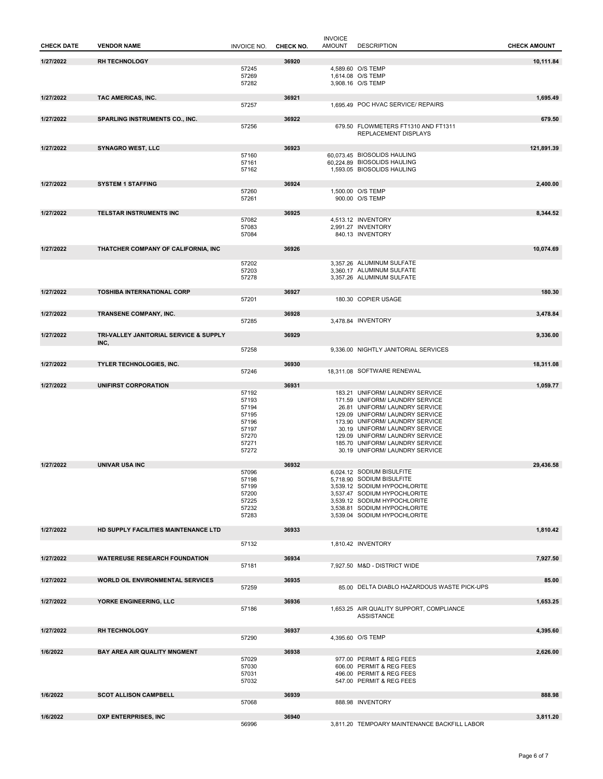| <b>CHECK DATE</b> | <b>VENDOR NAME</b>                     | <b>INVOICE NO.</b> | CHECK NO. | <b>INVOICE</b><br><b>AMOUNT</b> | <b>DESCRIPTION</b>                                                | <b>CHECK AMOUNT</b> |
|-------------------|----------------------------------------|--------------------|-----------|---------------------------------|-------------------------------------------------------------------|---------------------|
| 1/27/2022         | <b>RH TECHNOLOGY</b>                   |                    | 36920     |                                 |                                                                   | 10,111.84           |
|                   |                                        | 57245              |           |                                 | 4.589.60 O/S TEMP                                                 |                     |
|                   |                                        | 57269<br>57282     |           |                                 | 1,614.08 O/S TEMP<br>3,908.16 O/S TEMP                            |                     |
|                   |                                        |                    |           |                                 |                                                                   |                     |
| 1/27/2022         | TAC AMERICAS, INC.                     | 57257              | 36921     |                                 | 1,695.49 POC HVAC SERVICE/ REPAIRS                                | 1,695.49            |
|                   |                                        |                    |           |                                 |                                                                   |                     |
| 1/27/2022         | SPARLING INSTRUMENTS CO., INC.         | 57256              | 36922     |                                 | 679.50 FLOWMETERS FT1310 AND FT1311                               | 679.50              |
|                   |                                        |                    |           |                                 | REPLACEMENT DISPLAYS                                              |                     |
| 1/27/2022         | <b>SYNAGRO WEST, LLC</b>               |                    | 36923     |                                 |                                                                   | 121,891.39          |
|                   |                                        | 57160              |           |                                 | 60,073.45 BIOSOLIDS HAULING<br>60,224.89 BIOSOLIDS HAULING        |                     |
|                   |                                        | 57161<br>57162     |           |                                 | 1,593.05 BIOSOLIDS HAULING                                        |                     |
| 1/27/2022         | <b>SYSTEM 1 STAFFING</b>               |                    | 36924     |                                 |                                                                   | 2,400.00            |
|                   |                                        | 57260              |           |                                 | 1,500.00 O/S TEMP                                                 |                     |
|                   |                                        | 57261              |           |                                 | 900.00 O/S TEMP                                                   |                     |
| 1/27/2022         | TELSTAR INSTRUMENTS INC                |                    | 36925     |                                 |                                                                   | 8,344.52            |
|                   |                                        | 57082<br>57083     |           |                                 | 4,513.12 INVENTORY<br>2,991.27 INVENTORY                          |                     |
|                   |                                        | 57084              |           |                                 | 840.13 INVENTORY                                                  |                     |
| 1/27/2022         | THATCHER COMPANY OF CALIFORNIA, INC    |                    | 36926     |                                 |                                                                   | 10,074.69           |
|                   |                                        |                    |           |                                 |                                                                   |                     |
|                   |                                        | 57202<br>57203     |           |                                 | 3,357.26 ALUMINUM SULFATE<br>3,360.17 ALUMINUM SULFATE            |                     |
|                   |                                        | 57278              |           |                                 | 3,357.26 ALUMINUM SULFATE                                         |                     |
| 1/27/2022         | <b>TOSHIBA INTERNATIONAL CORP</b>      |                    | 36927     |                                 |                                                                   | 180.30              |
|                   |                                        | 57201              |           |                                 | 180.30 COPIER USAGE                                               |                     |
| 1/27/2022         | TRANSENE COMPANY, INC.                 |                    | 36928     |                                 |                                                                   | 3,478.84            |
|                   |                                        | 57285              |           |                                 | 3,478.84 INVENTORY                                                |                     |
| 1/27/2022         | TRI-VALLEY JANITORIAL SERVICE & SUPPLY |                    | 36929     |                                 |                                                                   | 9,336.00            |
|                   | INC,                                   | 57258              |           |                                 | 9,336.00 NIGHTLY JANITORIAL SERVICES                              |                     |
|                   |                                        |                    |           |                                 |                                                                   |                     |
| 1/27/2022         | <b>TYLER TECHNOLOGIES, INC.</b>        | 57246              | 36930     |                                 | 18,311.08 SOFTWARE RENEWAL                                        | 18,311.08           |
|                   |                                        |                    |           |                                 |                                                                   |                     |
| 1/27/2022         | UNIFIRST CORPORATION                   | 57192              | 36931     |                                 | 183.21 UNIFORM/ LAUNDRY SERVICE                                   | 1,059.77            |
|                   |                                        | 57193              |           |                                 | 171.59 UNIFORM/ LAUNDRY SERVICE                                   |                     |
|                   |                                        | 57194<br>57195     |           |                                 | 26.81 UNIFORM/ LAUNDRY SERVICE<br>129.09 UNIFORM/ LAUNDRY SERVICE |                     |
|                   |                                        | 57196              |           |                                 | 173.90 UNIFORM/ LAUNDRY SERVICE                                   |                     |
|                   |                                        | 57197<br>57270     |           |                                 | 30.19 UNIFORM/ LAUNDRY SERVICE<br>129.09 UNIFORM/ LAUNDRY SERVICE |                     |
|                   |                                        | 57271<br>57272     |           |                                 | 185.70 UNIFORM/ LAUNDRY SERVICE<br>30.19 UNIFORM/ LAUNDRY SERVICE |                     |
|                   |                                        |                    |           |                                 |                                                                   |                     |
| 1/27/2022         | UNIVAR USA INC                         | 57096              | 36932     |                                 | 6,024.12 SODIUM BISULFITE                                         | 29,436.58           |
|                   |                                        | 57198              |           |                                 | 5,718.90 SODIUM BISULFITE                                         |                     |
|                   |                                        | 57199<br>57200     |           |                                 | 3,539.12 SODIUM HYPOCHLORITE<br>3,537.47 SODIUM HYPOCHLORITE      |                     |
|                   |                                        | 57225              |           |                                 | 3.539.12 SODIUM HYPOCHLORITE                                      |                     |
|                   |                                        | 57232<br>57283     |           |                                 | 3,538.81 SODIUM HYPOCHLORITE<br>3.539.04 SODIUM HYPOCHLORITE      |                     |
|                   |                                        |                    |           |                                 |                                                                   |                     |
| 1/27/2022         | HD SUPPLY FACILITIES MAINTENANCE LTD   |                    | 36933     |                                 |                                                                   | 1,810.42            |
|                   |                                        | 57132              |           |                                 | 1,810.42 INVENTORY                                                |                     |
| 1/27/2022         | <b>WATEREUSE RESEARCH FOUNDATION</b>   |                    | 36934     |                                 |                                                                   | 7,927.50            |
|                   |                                        | 57181              |           |                                 | 7,927.50 M&D - DISTRICT WIDE                                      |                     |
| 1/27/2022         | WORLD OIL ENVIRONMENTAL SERVICES       |                    | 36935     |                                 |                                                                   | 85.00               |
|                   |                                        | 57259              |           |                                 | 85.00 DELTA DIABLO HAZARDOUS WASTE PICK-UPS                       |                     |
| 1/27/2022         | YORKE ENGINEERING, LLC                 |                    | 36936     |                                 |                                                                   | 1,653.25            |
|                   |                                        | 57186              |           |                                 | 1,653.25 AIR QUALITY SUPPORT, COMPLIANCE<br><b>ASSISTANCE</b>     |                     |
|                   |                                        |                    |           |                                 |                                                                   |                     |
| 1/27/2022         | <b>RH TECHNOLOGY</b>                   | 57290              | 36937     |                                 | 4,395.60 O/S TEMP                                                 | 4,395.60            |
| 1/6/2022          | BAY AREA AIR QUALITY MNGMENT           |                    | 36938     |                                 |                                                                   | 2,626.00            |
|                   |                                        | 57029              |           |                                 | 977.00 PERMIT & REG FEES                                          |                     |
|                   |                                        | 57030<br>57031     |           |                                 | 606.00 PERMIT & REG FEES<br>496.00 PERMIT & REG FEES              |                     |
|                   |                                        | 57032              |           |                                 | 547.00 PERMIT & REG FEES                                          |                     |
| 1/6/2022          | <b>SCOT ALLISON CAMPBELL</b>           |                    | 36939     |                                 |                                                                   | 888.98              |
|                   |                                        | 57068              |           |                                 | 888.98 INVENTORY                                                  |                     |
| 1/6/2022          | DXP ENTERPRISES, INC                   |                    | 36940     |                                 |                                                                   | 3,811.20            |
|                   |                                        | 56996              |           |                                 | 3,811.20 TEMPOARY MAINTENANCE BACKFILL LABOR                      |                     |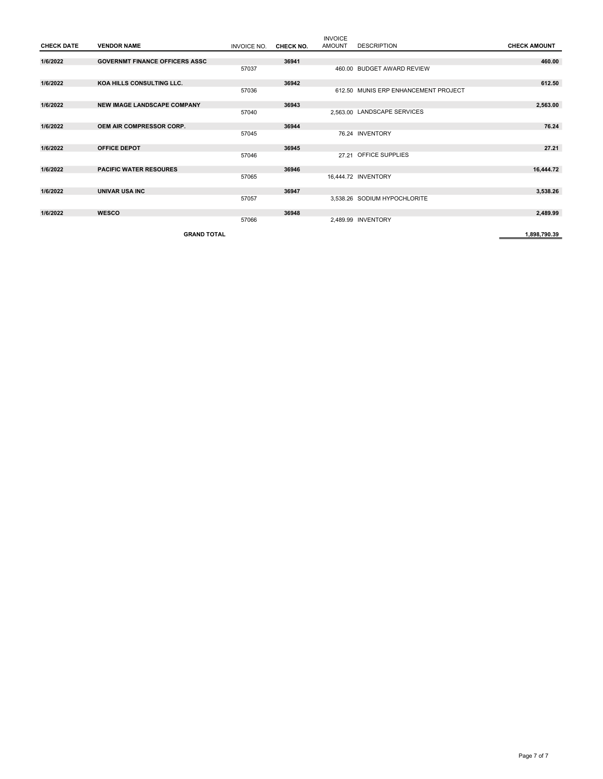|                   |                                       |             |                  | <b>INVOICE</b> |                                      |                     |
|-------------------|---------------------------------------|-------------|------------------|----------------|--------------------------------------|---------------------|
| <b>CHECK DATE</b> | <b>VENDOR NAME</b>                    | INVOICE NO. | <b>CHECK NO.</b> | <b>AMOUNT</b>  | <b>DESCRIPTION</b>                   | <b>CHECK AMOUNT</b> |
|                   |                                       |             |                  |                |                                      |                     |
| 1/6/2022          | <b>GOVERNMT FINANCE OFFICERS ASSC</b> |             | 36941            |                |                                      | 460.00              |
|                   |                                       | 57037       |                  |                | 460.00 BUDGET AWARD REVIEW           |                     |
| 1/6/2022          | KOA HILLS CONSULTING LLC.             |             | 36942            |                |                                      | 612.50              |
|                   |                                       | 57036       |                  |                | 612.50 MUNIS ERP ENHANCEMENT PROJECT |                     |
| 1/6/2022          | <b>NEW IMAGE LANDSCAPE COMPANY</b>    |             | 36943            |                |                                      | 2,563.00            |
|                   |                                       | 57040       |                  |                | 2.563.00 LANDSCAPE SERVICES          |                     |
| 1/6/2022          | <b>OEM AIR COMPRESSOR CORP.</b>       |             | 36944            |                |                                      | 76.24               |
|                   |                                       | 57045       |                  |                | 76.24 INVENTORY                      |                     |
| 1/6/2022          | <b>OFFICE DEPOT</b>                   |             | 36945            |                |                                      | 27.21               |
|                   |                                       | 57046       |                  |                | 27.21 OFFICE SUPPLIES                |                     |
| 1/6/2022          | <b>PACIFIC WATER RESOURES</b>         |             | 36946            |                |                                      | 16,444.72           |
|                   |                                       | 57065       |                  |                | 16,444.72 INVENTORY                  |                     |
| 1/6/2022          | <b>UNIVAR USA INC</b>                 |             | 36947            |                |                                      | 3,538.26            |
|                   |                                       | 57057       |                  |                | 3,538.26 SODIUM HYPOCHLORITE         |                     |
| 1/6/2022          | <b>WESCO</b>                          |             | 36948            |                |                                      | 2,489.99            |
|                   |                                       | 57066       |                  |                | 2,489.99 INVENTORY                   |                     |
|                   | <b>GRAND TOTAL</b>                    |             |                  |                |                                      | 1.898.790.39        |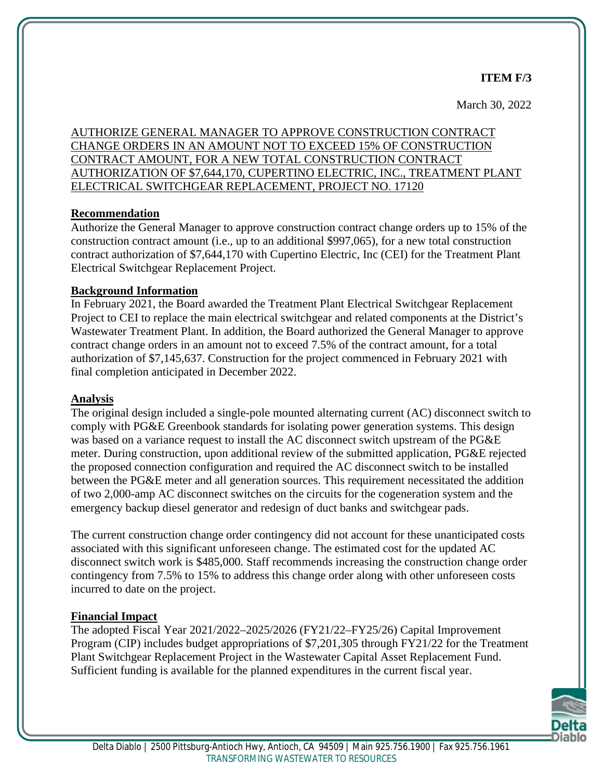## **ITEM F/3**

March 30, 2022

AUTHORIZE GENERAL MANAGER TO APPROVE CONSTRUCTION CONTRACT CHANGE ORDERS IN AN AMOUNT NOT TO EXCEED 15% OF CONSTRUCTION CONTRACT AMOUNT, FOR A NEW TOTAL CONSTRUCTION CONTRACT AUTHORIZATION OF \$7,644,170, CUPERTINO ELECTRIC, INC., TREATMENT PLANT ELECTRICAL SWITCHGEAR REPLACEMENT, PROJECT NO. 17120

#### **Recommendation**

Authorize the General Manager to approve construction contract change orders up to 15% of the construction contract amount (i.e., up to an additional \$997,065), for a new total construction contract authorization of \$7,644,170 with Cupertino Electric, Inc (CEI) for the Treatment Plant Electrical Switchgear Replacement Project.

# **Background Information**

In February 2021, the Board awarded the Treatment Plant Electrical Switchgear Replacement Project to CEI to replace the main electrical switchgear and related components at the District's Wastewater Treatment Plant. In addition, the Board authorized the General Manager to approve contract change orders in an amount not to exceed 7.5% of the contract amount, for a total authorization of \$7,145,637. Construction for the project commenced in February 2021 with final completion anticipated in December 2022.

#### **Analysis**

The original design included a single-pole mounted alternating current (AC) disconnect switch to comply with PG&E Greenbook standards for isolating power generation systems. This design was based on a variance request to install the AC disconnect switch upstream of the PG&E meter. During construction, upon additional review of the submitted application, PG&E rejected the proposed connection configuration and required the AC disconnect switch to be installed between the PG&E meter and all generation sources. This requirement necessitated the addition of two 2,000-amp AC disconnect switches on the circuits for the cogeneration system and the emergency backup diesel generator and redesign of duct banks and switchgear pads.

The current construction change order contingency did not account for these unanticipated costs associated with this significant unforeseen change. The estimated cost for the updated AC disconnect switch work is \$485,000. Staff recommends increasing the construction change order contingency from 7.5% to 15% to address this change order along with other unforeseen costs incurred to date on the project.

# **Financial Impact**

The adopted Fiscal Year 2021/2022–2025/2026 (FY21/22–FY25/26) Capital Improvement Program (CIP) includes budget appropriations of \$7,201,305 through FY21/22 for the Treatment Plant Switchgear Replacement Project in the Wastewater Capital Asset Replacement Fund. Sufficient funding is available for the planned expenditures in the current fiscal year.

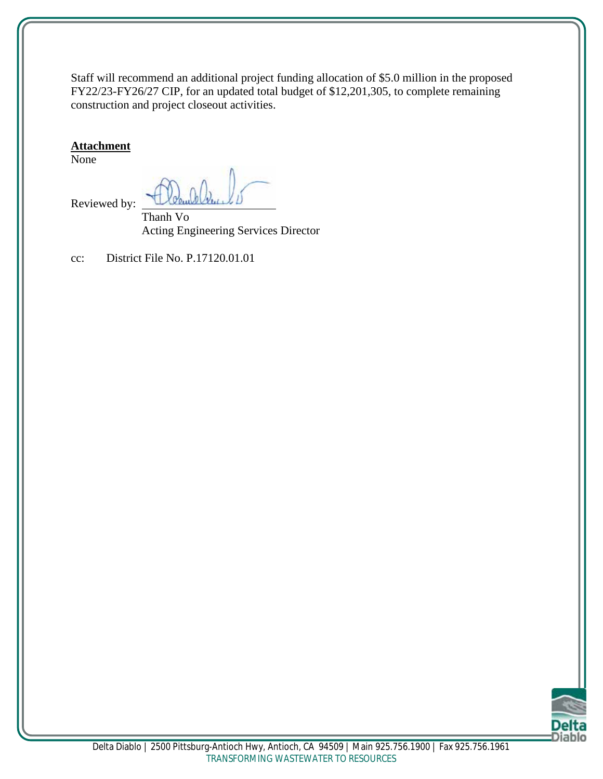Staff will recommend an additional project funding allocation of \$5.0 million in the proposed FY22/23-FY26/27 CIP, for an updated total budget of \$12,201,305, to complete remaining construction and project closeout activities.

#### **Attachment**

None

Reviewed by:

Thanh Vo Acting Engineering Services Director

cc: District File No. P.17120.01.01

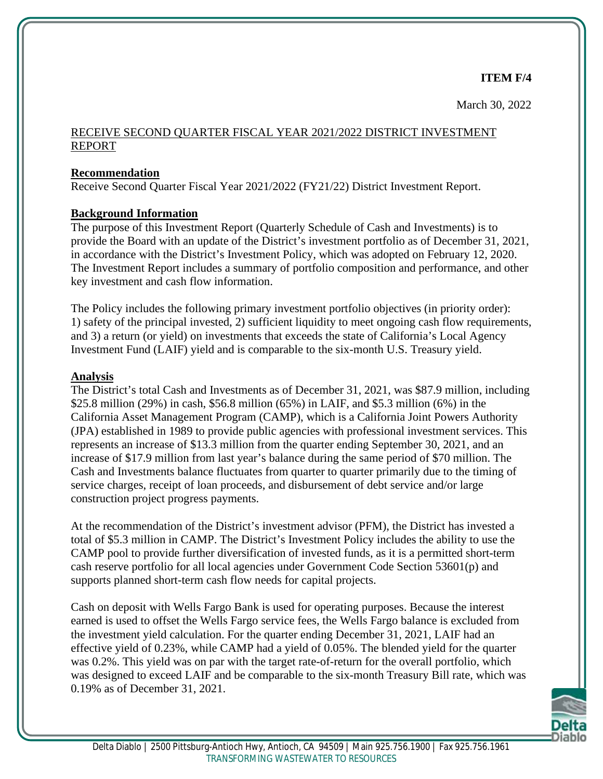**ITEM F/4**

March 30, 2022

# RECEIVE SECOND QUARTER FISCAL YEAR 2021/2022 DISTRICT INVESTMENT REPORT

# **Recommendation**

Receive Second Quarter Fiscal Year 2021/2022 (FY21/22) District Investment Report.

# **Background Information**

The purpose of this Investment Report (Quarterly Schedule of Cash and Investments) is to provide the Board with an update of the District's investment portfolio as of December 31, 2021, in accordance with the District's Investment Policy, which was adopted on February 12, 2020. The Investment Report includes a summary of portfolio composition and performance, and other key investment and cash flow information.

The Policy includes the following primary investment portfolio objectives (in priority order): 1) safety of the principal invested, 2) sufficient liquidity to meet ongoing cash flow requirements, and 3) a return (or yield) on investments that exceeds the state of California's Local Agency Investment Fund (LAIF) yield and is comparable to the six-month U.S. Treasury yield.

# **Analysis**

The District's total Cash and Investments as of December 31, 2021, was \$87.9 million, including \$25.8 million (29%) in cash, \$56.8 million (65%) in LAIF, and \$5.3 million (6%) in the California Asset Management Program (CAMP), which is a California Joint Powers Authority (JPA) established in 1989 to provide public agencies with professional investment services. This represents an increase of \$13.3 million from the quarter ending September 30, 2021, and an increase of \$17.9 million from last year's balance during the same period of \$70 million. The Cash and Investments balance fluctuates from quarter to quarter primarily due to the timing of service charges, receipt of loan proceeds, and disbursement of debt service and/or large construction project progress payments.

At the recommendation of the District's investment advisor (PFM), the District has invested a total of \$5.3 million in CAMP. The District's Investment Policy includes the ability to use the CAMP pool to provide further diversification of invested funds, as it is a permitted short-term cash reserve portfolio for all local agencies under Government Code Section 53601(p) and supports planned short-term cash flow needs for capital projects.

Cash on deposit with Wells Fargo Bank is used for operating purposes. Because the interest earned is used to offset the Wells Fargo service fees, the Wells Fargo balance is excluded from the investment yield calculation. For the quarter ending December 31, 2021, LAIF had an effective yield of 0.23%, while CAMP had a yield of 0.05%. The blended yield for the quarter was 0.2%. This yield was on par with the target rate-of-return for the overall portfolio, which was designed to exceed LAIF and be comparable to the six-month Treasury Bill rate, which was 0.19% as of December 31, 2021.

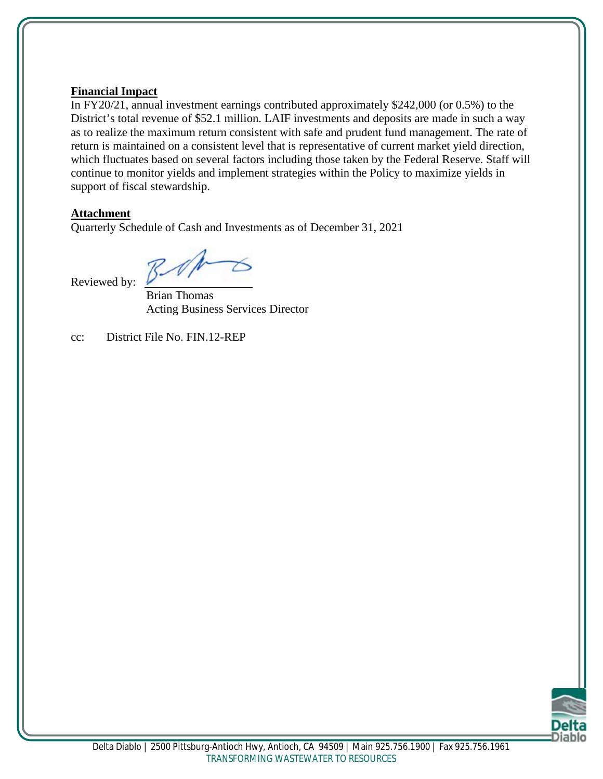#### **Financial Impact**

In FY20/21, annual investment earnings contributed approximately \$242,000 (or 0.5%) to the District's total revenue of \$52.1 million. LAIF investments and deposits are made in such a way as to realize the maximum return consistent with safe and prudent fund management. The rate of return is maintained on a consistent level that is representative of current market yield direction, which fluctuates based on several factors including those taken by the Federal Reserve. Staff will continue to monitor yields and implement strategies within the Policy to maximize yields in support of fiscal stewardship.

#### **Attachment**

Quarterly Schedule of Cash and Investments as of December 31, 2021

Reviewed by:

Brian Thomas Acting Business Services Director

cc: District File No. FIN.12-REP

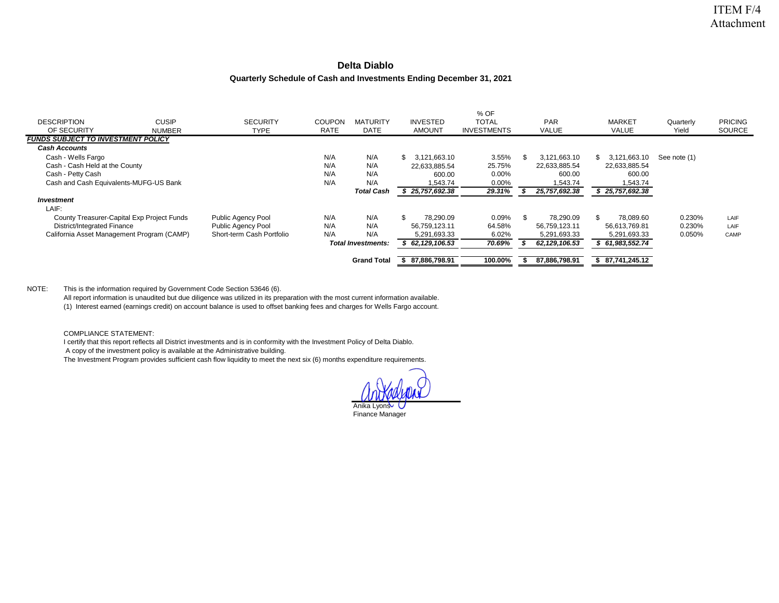#### **Delta Diablo**

#### **Quarterly Schedule of Cash and Investments Ending December 31, 2021**

|                                            |               |                           |               |                           |                     | % OF               |    |                 |                 |              |                |
|--------------------------------------------|---------------|---------------------------|---------------|---------------------------|---------------------|--------------------|----|-----------------|-----------------|--------------|----------------|
| <b>DESCRIPTION</b>                         | <b>CUSIP</b>  | <b>SECURITY</b>           | <b>COUPON</b> | <b>MATURITY</b>           | <b>INVESTED</b>     | <b>TOTAL</b>       |    | PAR             | <b>MARKET</b>   | Quarterly    | <b>PRICING</b> |
| OF SECURITY                                | <b>NUMBER</b> | TYPE                      | <b>RATE</b>   | <b>DATE</b>               | <b>AMOUNT</b>       | <b>INVESTMENTS</b> |    | VALUE           | VALUE           | Yield        | SOURCE         |
| <b>FUNDS SUBJECT TO INVESTMENT POLICY</b>  |               |                           |               |                           |                     |                    |    |                 |                 |              |                |
| <b>Cash Accounts</b>                       |               |                           |               |                           |                     |                    |    |                 |                 |              |                |
| Cash - Wells Fargo                         |               |                           | N/A           | N/A                       | 3.121.663.10<br>SS. | 3.55%              | ж. | 3,121,663.10    | 3,121,663.10    | See note (1) |                |
| Cash - Cash Held at the County             |               |                           | N/A           | N/A                       | 22,633,885.54       | 25.75%             |    | 22,633,885.54   | 22,633,885.54   |              |                |
| Cash - Petty Cash                          |               |                           | N/A           | N/A                       | 600.00              | 0.00%              |    | 600.00          | 600.00          |              |                |
| Cash and Cash Equivalents-MUFG-US Bank     |               |                           | N/A           | N/A                       | 1.543.74            | 0.00%              |    | 1.543.74        | 1,543.74        |              |                |
|                                            |               |                           |               | <b>Total Cash</b>         | 25,757,692.38       | 29.31%             |    | 25,757,692.38   | 25,757,692.38   |              |                |
| <i><b>Investment</b></i>                   |               |                           |               |                           |                     |                    |    |                 |                 |              |                |
| LAIF:                                      |               |                           |               |                           |                     |                    |    |                 |                 |              |                |
| County Treasurer-Capital Exp Project Funds |               | Public Agency Pool        | N/A           | N/A                       | \$.<br>78.290.09    | 0.09%              | £. | 78,290.09       | 78.089.60       | 0.230%       | LAIF           |
| District/Integrated Finance                |               | Public Agency Pool        | N/A           | N/A                       | 56,759,123.11       | 64.58%             |    | 56,759,123.11   | 56,613,769.81   | 0.230%       | LAIF           |
| California Asset Management Program (CAMP) |               | Short-term Cash Portfolio | N/A           | N/A                       | 5,291,693.33        | 6.02%              |    | 5,291,693.33    | 5,291,693.33    | 0.050%       | CAMP           |
|                                            |               |                           |               | <b>Total Investments:</b> | \$62,129,106.53     | 70.69%             |    | 62, 129, 106.53 | \$61,983,552.74 |              |                |
|                                            |               |                           |               | <b>Grand Total</b>        | 87,886,798.91       | 100.00%            |    | 87,886,798.91   | \$87,741,245.12 |              |                |

#### NOTE: This is the information required by Government Code Section 53646 (6).

All report information is unaudited but due diligence was utilized in its preparation with the most current information available.

(1) Interest earned (earnings credit) on account balance is used to offset banking fees and charges for Wells Fargo account.

COMPLIANCE STATEMENT:

I certify that this report reflects all District investments and is in conformity with the Investment Policy of Delta Diablo.

A copy of the investment policy is available at the Administrative building.

The Investment Program provides sufficient cash flow liquidity to meet the next six (6) months expenditure requirements.

Anika Lyons Finance Manager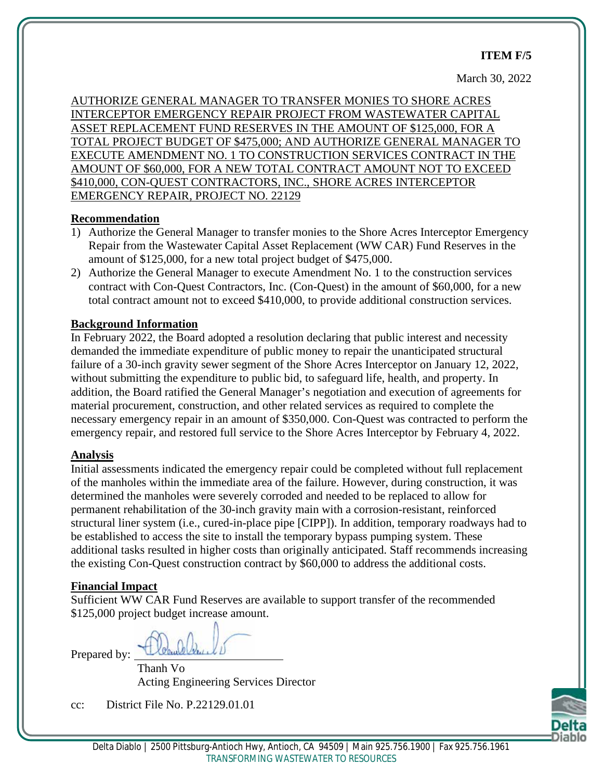#### **ITEM F/5**

#### March 30, 2022

AUTHORIZE GENERAL MANAGER TO TRANSFER MONIES TO SHORE ACRES INTERCEPTOR EMERGENCY REPAIR PROJECT FROM WASTEWATER CAPITAL ASSET REPLACEMENT FUND RESERVES IN THE AMOUNT OF \$125,000, FOR A TOTAL PROJECT BUDGET OF \$475,000; AND AUTHORIZE GENERAL MANAGER TO EXECUTE AMENDMENT NO. 1 TO CONSTRUCTION SERVICES CONTRACT IN THE AMOUNT OF \$60,000, FOR A NEW TOTAL CONTRACT AMOUNT NOT TO EXCEED \$410,000, CON-QUEST CONTRACTORS, INC., SHORE ACRES INTERCEPTOR EMERGENCY REPAIR, PROJECT NO. 22129

#### **Recommendation**

- 1) Authorize the General Manager to transfer monies to the Shore Acres Interceptor Emergency Repair from the Wastewater Capital Asset Replacement (WW CAR) Fund Reserves in the amount of \$125,000, for a new total project budget of \$475,000.
- 2) Authorize the General Manager to execute Amendment No. 1 to the construction services contract with Con-Quest Contractors, Inc. (Con-Quest) in the amount of \$60,000, for a new total contract amount not to exceed \$410,000, to provide additional construction services.

#### **Background Information**

In February 2022, the Board adopted a resolution declaring that public interest and necessity demanded the immediate expenditure of public money to repair the unanticipated structural failure of a 30-inch gravity sewer segment of the Shore Acres Interceptor on January 12, 2022, without submitting the expenditure to public bid, to safeguard life, health, and property. In addition, the Board ratified the General Manager's negotiation and execution of agreements for material procurement, construction, and other related services as required to complete the necessary emergency repair in an amount of \$350,000. Con-Quest was contracted to perform the emergency repair, and restored full service to the Shore Acres Interceptor by February 4, 2022.

#### **Analysis**

Initial assessments indicated the emergency repair could be completed without full replacement of the manholes within the immediate area of the failure. However, during construction, it was determined the manholes were severely corroded and needed to be replaced to allow for permanent rehabilitation of the 30-inch gravity main with a corrosion-resistant, reinforced structural liner system (i.e., cured-in-place pipe [CIPP]). In addition, temporary roadways had to be established to access the site to install the temporary bypass pumping system. These additional tasks resulted in higher costs than originally anticipated. Staff recommends increasing the existing Con-Quest construction contract by \$60,000 to address the additional costs.

#### **Financial Impact**

Sufficient WW CAR Fund Reserves are available to support transfer of the recommended \$125,000 project budget increase amount.

Prepared by:

Thanh Vo Acting Engineering Services Director

cc: District File No. P.22129.01.01

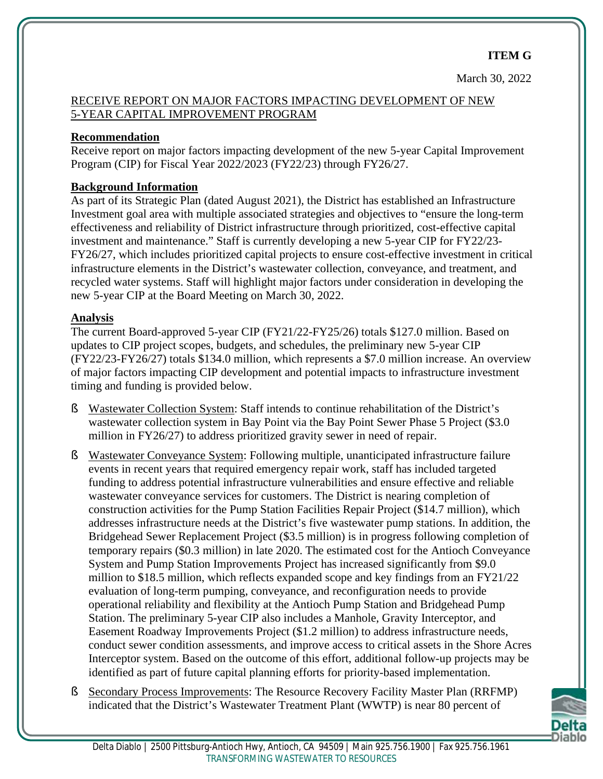# RECEIVE REPORT ON MAJOR FACTORS IMPACTING DEVELOPMENT OF NEW 5-YEAR CAPITAL IMPROVEMENT PROGRAM

# **Recommendation**

Receive report on major factors impacting development of the new 5-year Capital Improvement Program (CIP) for Fiscal Year 2022/2023 (FY22/23) through FY26/27.

# **Background Information**

As part of its Strategic Plan (dated August 2021), the District has established an Infrastructure Investment goal area with multiple associated strategies and objectives to "ensure the long-term effectiveness and reliability of District infrastructure through prioritized, cost-effective capital investment and maintenance." Staff is currently developing a new 5-year CIP for FY22/23- FY26/27, which includes prioritized capital projects to ensure cost-effective investment in critical infrastructure elements in the District's wastewater collection, conveyance, and treatment, and recycled water systems. Staff will highlight major factors under consideration in developing the new 5-year CIP at the Board Meeting on March 30, 2022.

# **Analysis**

The current Board-approved 5-year CIP (FY21/22-FY25/26) totals \$127.0 million. Based on updates to CIP project scopes, budgets, and schedules, the preliminary new 5-year CIP (FY22/23-FY26/27) totals \$134.0 million, which represents a \$7.0 million increase. An overview of major factors impacting CIP development and potential impacts to infrastructure investment timing and funding is provided below.

- § Wastewater Collection System: Staff intends to continue rehabilitation of the District's wastewater collection system in Bay Point via the Bay Point Sewer Phase 5 Project (\$3.0) million in FY26/27) to address prioritized gravity sewer in need of repair.
- § Wastewater Conveyance System: Following multiple, unanticipated infrastructure failure events in recent years that required emergency repair work, staff has included targeted funding to address potential infrastructure vulnerabilities and ensure effective and reliable wastewater conveyance services for customers. The District is nearing completion of construction activities for the Pump Station Facilities Repair Project (\$14.7 million), which addresses infrastructure needs at the District's five wastewater pump stations. In addition, the Bridgehead Sewer Replacement Project (\$3.5 million) is in progress following completion of temporary repairs (\$0.3 million) in late 2020. The estimated cost for the Antioch Conveyance System and Pump Station Improvements Project has increased significantly from \$9.0 million to \$18.5 million, which reflects expanded scope and key findings from an FY21/22 evaluation of long-term pumping, conveyance, and reconfiguration needs to provide operational reliability and flexibility at the Antioch Pump Station and Bridgehead Pump Station. The preliminary 5-year CIP also includes a Manhole, Gravity Interceptor, and Easement Roadway Improvements Project (\$1.2 million) to address infrastructure needs, conduct sewer condition assessments, and improve access to critical assets in the Shore Acres Interceptor system. Based on the outcome of this effort, additional follow-up projects may be identified as part of future capital planning efforts for priority-based implementation.
- § Secondary Process Improvements: The Resource Recovery Facility Master Plan (RRFMP) indicated that the District's Wastewater Treatment Plant (WWTP) is near 80 percent of

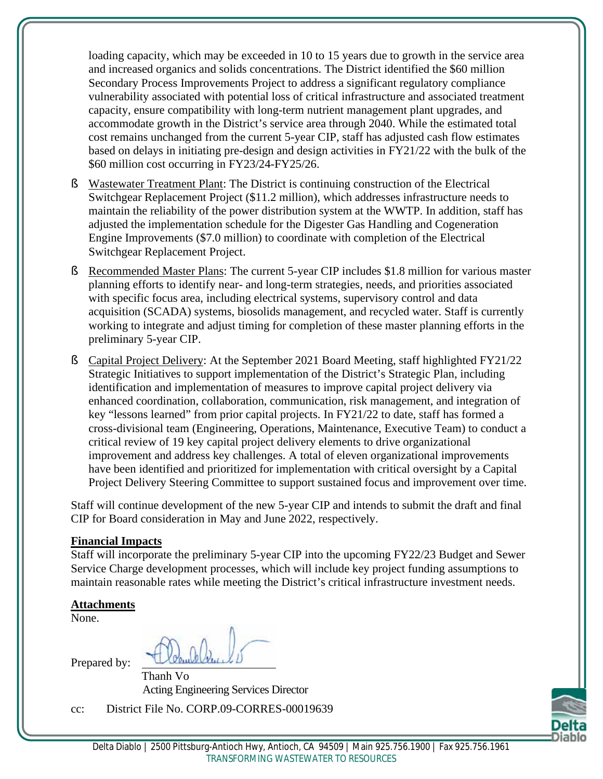loading capacity, which may be exceeded in 10 to 15 years due to growth in the service area and increased organics and solids concentrations. The District identified the \$60 million Secondary Process Improvements Project to address a significant regulatory compliance vulnerability associated with potential loss of critical infrastructure and associated treatment capacity, ensure compatibility with long-term nutrient management plant upgrades, and accommodate growth in the District's service area through 2040. While the estimated total cost remains unchanged from the current 5-year CIP, staff has adjusted cash flow estimates based on delays in initiating pre-design and design activities in FY21/22 with the bulk of the \$60 million cost occurring in FY23/24-FY25/26.

- § Wastewater Treatment Plant: The District is continuing construction of the Electrical Switchgear Replacement Project (\$11.2 million), which addresses infrastructure needs to maintain the reliability of the power distribution system at the WWTP. In addition, staff has adjusted the implementation schedule for the Digester Gas Handling and Cogeneration Engine Improvements (\$7.0 million) to coordinate with completion of the Electrical Switchgear Replacement Project.
- § Recommended Master Plans: The current 5-year CIP includes \$1.8 million for various master planning efforts to identify near- and long-term strategies, needs, and priorities associated with specific focus area, including electrical systems, supervisory control and data acquisition (SCADA) systems, biosolids management, and recycled water. Staff is currently working to integrate and adjust timing for completion of these master planning efforts in the preliminary 5-year CIP.
- § Capital Project Delivery: At the September 2021 Board Meeting, staff highlighted FY21/22 Strategic Initiatives to support implementation of the District's Strategic Plan, including identification and implementation of measures to improve capital project delivery via enhanced coordination, collaboration, communication, risk management, and integration of key "lessons learned" from prior capital projects. In FY21/22 to date, staff has formed a cross-divisional team (Engineering, Operations, Maintenance, Executive Team) to conduct a critical review of 19 key capital project delivery elements to drive organizational improvement and address key challenges. A total of eleven organizational improvements have been identified and prioritized for implementation with critical oversight by a Capital Project Delivery Steering Committee to support sustained focus and improvement over time.

Staff will continue development of the new 5-year CIP and intends to submit the draft and final CIP for Board consideration in May and June 2022, respectively.

#### **Financial Impacts**

Staff will incorporate the preliminary 5-year CIP into the upcoming FY22/23 Budget and Sewer Service Charge development processes, which will include key project funding assumptions to maintain reasonable rates while meeting the District's critical infrastructure investment needs.

# **Attachments**

None.

Prepared by:

Thanh Vo Acting Engineering Services Director

cc: District File No. CORP.09-CORRES-00019639

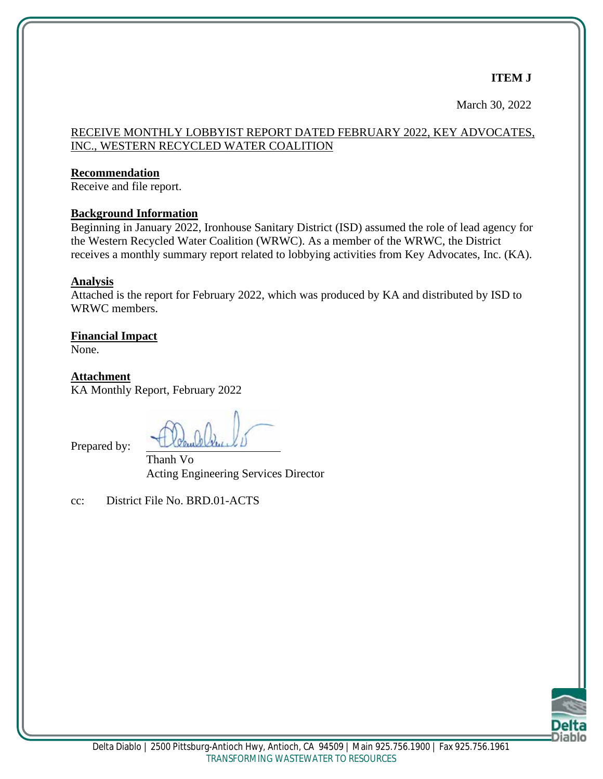# **ITEM J**

March 30, 2022

# RECEIVE MONTHLY LOBBYIST REPORT DATED FEBRUARY 2022, KEY ADVOCATES, INC., WESTERN RECYCLED WATER COALITION

#### **Recommendation**

Receive and file report.

#### **Background Information**

Beginning in January 2022, Ironhouse Sanitary District (ISD) assumed the role of lead agency for the Western Recycled Water Coalition (WRWC). As a member of the WRWC, the District receives a monthly summary report related to lobbying activities from Key Advocates, Inc. (KA).

#### **Analysis**

Attached is the report for February 2022, which was produced by KA and distributed by ISD to WRWC members.

# **Financial Impact**

None.

**Attachment** KA Monthly Report, February 2022

Prepared by:

Thanh Vo Acting Engineering Services Director

cc: District File No. BRD.01-ACTS

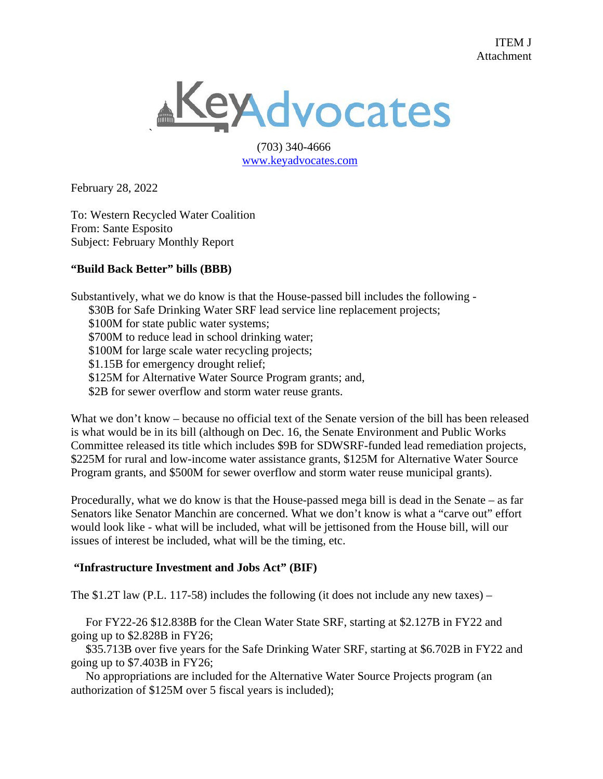

 (703) 340-4666 [www.keyadvocates.com](http://www.keyadvocates.com/)

February 28, 2022

To: Western Recycled Water Coalition From: Sante Esposito Subject: February Monthly Report

#### **"Build Back Better" bills (BBB)**

Substantively, what we do know is that the House-passed bill includes the following - \$30B for Safe Drinking Water SRF lead service line replacement projects; \$100M for state public water systems; \$700M to reduce lead in school drinking water; \$100M for large scale water recycling projects; \$1.15B for emergency drought relief; \$125M for Alternative Water Source Program grants; and, \$2B for sewer overflow and storm water reuse grants.

What we don't know – because no official text of the Senate version of the bill has been released is what would be in its bill (although on Dec. 16, the Senate Environment and Public Works Committee released its title which includes \$9B for SDWSRF-funded lead remediation projects, \$225M for rural and low-income water assistance grants, \$125M for Alternative Water Source Program grants, and \$500M for sewer overflow and storm water reuse municipal grants).

Procedurally, what we do know is that the House-passed mega bill is dead in the Senate – as far Senators like Senator Manchin are concerned. What we don't know is what a "carve out" effort would look like - what will be included, what will be jettisoned from the House bill, will our issues of interest be included, what will be the timing, etc.

#### **"Infrastructure Investment and Jobs Act" (BIF)**

The \$1.2T law (P.L. 117-58) includes the following (it does not include any new taxes) –

 For FY22-26 \$12.838B for the Clean Water State SRF, starting at \$2.127B in FY22 and going up to \$2.828B in FY26;

 \$35.713B over five years for the Safe Drinking Water SRF, starting at \$6.702B in FY22 and going up to \$7.403B in FY26;

 No appropriations are included for the Alternative Water Source Projects program (an authorization of \$125M over 5 fiscal years is included);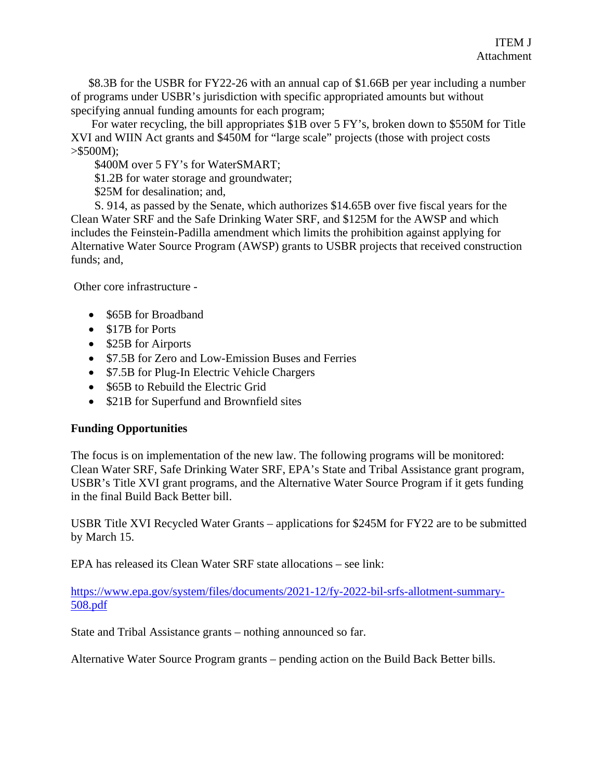\$8.3B for the USBR for FY22-26 with an annual cap of \$1.66B per year including a number of programs under USBR's jurisdiction with specific appropriated amounts but without specifying annual funding amounts for each program;

 For water recycling, the bill appropriates \$1B over 5 FY's, broken down to \$550M for Title XVI and WIIN Act grants and \$450M for "large scale" projects (those with project costs  $> $500M);$ 

\$400M over 5 FY's for WaterSMART;

\$1.2B for water storage and groundwater;

\$25M for desalination; and,

 S. 914, as passed by the Senate, which authorizes \$14.65B over five fiscal years for the Clean Water SRF and the Safe Drinking Water SRF, and \$125M for the AWSP and which includes the Feinstein-Padilla amendment which limits the prohibition against applying for Alternative Water Source Program (AWSP) grants to USBR projects that received construction funds; and,

Other core infrastructure -

- \$65B for Broadband
- \$17B for Ports
- \$25B for Airports
- \$7.5B for Zero and Low-Emission Buses and Ferries
- \$7.5B for Plug-In Electric Vehicle Chargers
- \$65B to Rebuild the Electric Grid
- \$21B for Superfund and Brownfield sites

#### **Funding Opportunities**

The focus is on implementation of the new law. The following programs will be monitored: Clean Water SRF, Safe Drinking Water SRF, EPA's State and Tribal Assistance grant program, USBR's Title XVI grant programs, and the Alternative Water Source Program if it gets funding in the final Build Back Better bill.

USBR Title XVI Recycled Water Grants – applications for \$245M for FY22 are to be submitted by March 15.

EPA has released its Clean Water SRF state allocations – see link:

[https://www.epa.gov/system/files/documents/2021-12/fy-2022-bil-srfs-allotment-summary-](https://www.epa.gov/system/files/documents/2021-12/fy-2022-bil-srfs-allotment-summary-508.pdf)[508.pdf](https://www.epa.gov/system/files/documents/2021-12/fy-2022-bil-srfs-allotment-summary-508.pdf)

State and Tribal Assistance grants – nothing announced so far.

Alternative Water Source Program grants – pending action on the Build Back Better bills.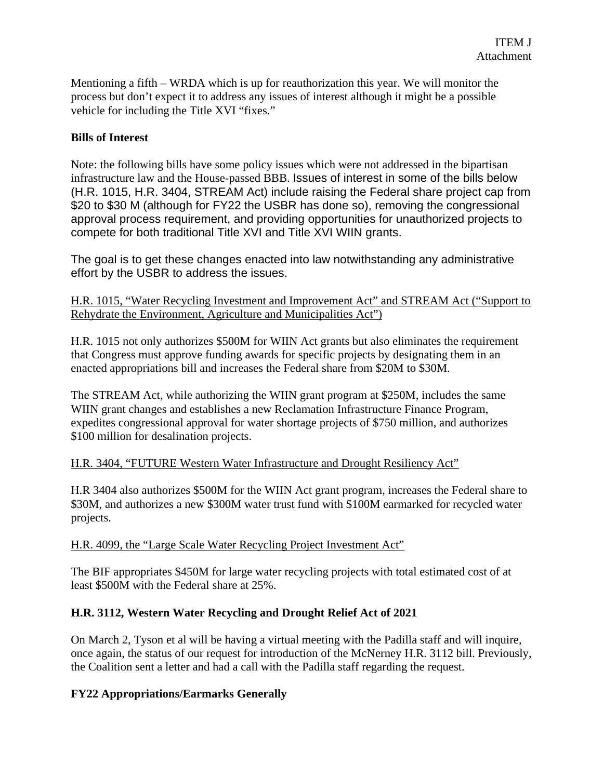Mentioning a fifth – WRDA which is up for reauthorization this year. We will monitor the process but don't expect it to address any issues of interest although it might be a possible vehicle for including the Title XVI "fixes."

#### **Bills of Interest**

Note: the following bills have some policy issues which were not addressed in the bipartisan infrastructure law and the House-passed BBB. Issues of interest in some of the bills below (H.R. 1015, H.R. 3404, STREAM Act) include raising the Federal share project cap from \$20 to \$30 M (although for FY22 the USBR has done so), removing the congressional approval process requirement, and providing opportunities for unauthorized projects to compete for both traditional Title XVI and Title XVI WIIN grants.

The goal is to get these changes enacted into law notwithstanding any administrative effort by the USBR to address the issues.

H.R. 1015, "Water Recycling Investment and Improvement Act" and STREAM Act ("Support to Rehydrate the Environment, Agriculture and Municipalities Act")

H.R. 1015 not only authorizes \$500M for WIIN Act grants but also eliminates the requirement that Congress must approve funding awards for specific projects by designating them in an enacted appropriations bill and increases the Federal share from \$20M to \$30M.

The STREAM Act, while authorizing the WIIN grant program at \$250M, includes the same WIIN grant changes and establishes a new Reclamation Infrastructure Finance Program, expedites congressional approval for water shortage projects of \$750 million, and authorizes \$100 million for desalination projects.

#### H.R. 3404, "FUTURE Western Water Infrastructure and Drought Resiliency Act"

H.R 3404 also authorizes \$500M for the WIIN Act grant program, increases the Federal share to \$30M, and authorizes a new \$300M water trust fund with \$100M earmarked for recycled water projects.

#### H.R. 4099, the "Large Scale Water Recycling Project Investment Act"

The BIF appropriates \$450M for large water recycling projects with total estimated cost of at least \$500M with the Federal share at 25%.

#### **H.R. 3112, Western Water Recycling and Drought Relief Act of 2021**

On March 2, Tyson et al will be having a virtual meeting with the Padilla staff and will inquire, once again, the status of our request for introduction of the McNerney H.R. 3112 bill. Previously, the Coalition sent a letter and had a call with the Padilla staff regarding the request.

#### **FY22 Appropriations/Earmarks Generally**